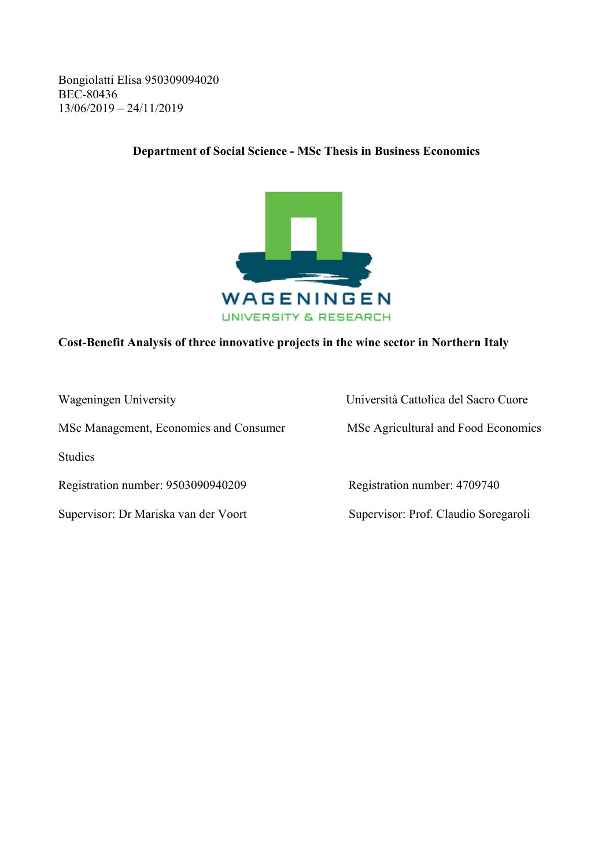Bongiolatti Elisa 950309094020 BEC-80436 13/06/2019 – 24/11/2019

### **Department of Social Science - MSc Thesis in Business Economics**



#### **Cost-Benefit Analysis of three innovative projects in the wine sector in Northern Italy**

MSc Management, Economics and Consumer MSc Agricultural and Food Economics

Studies

Registration number: 9503090940209 Registration number: 4709740

Supervisor: Dr Mariska van der Voort Supervisor: Prof. Claudio Soregaroli

Wageningen University Università Cattolica del Sacro Cuore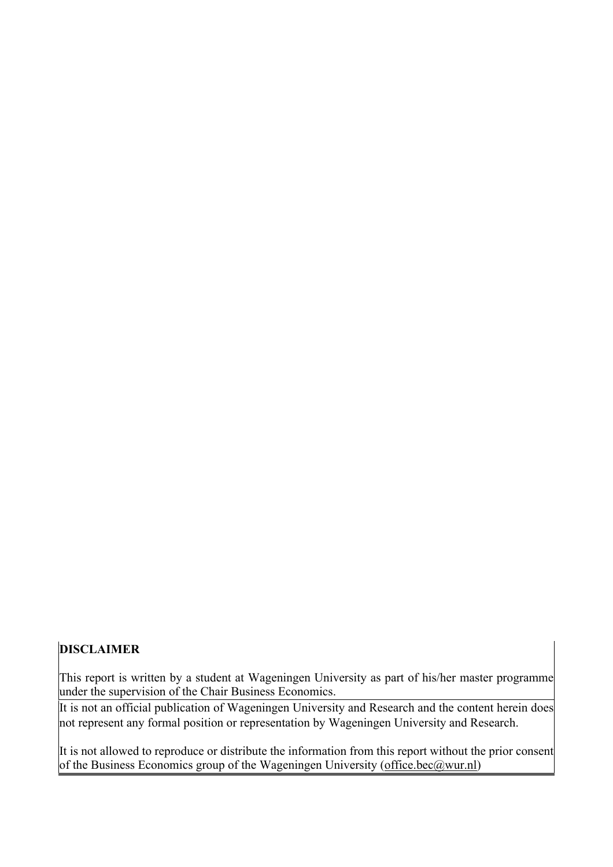# **DISCLAIMER**

This report is written by a student at Wageningen University as part of his/her master programme under the supervision of the Chair Business Economics.

It is not an official publication of Wageningen University and Research and the content herein does not represent any formal position or representation by Wageningen University and Research.

It is not allowed to reproduce or distribute the information from this report without the prior consent of the Business Economics group of the Wageningen University (office.bec@wur.nl)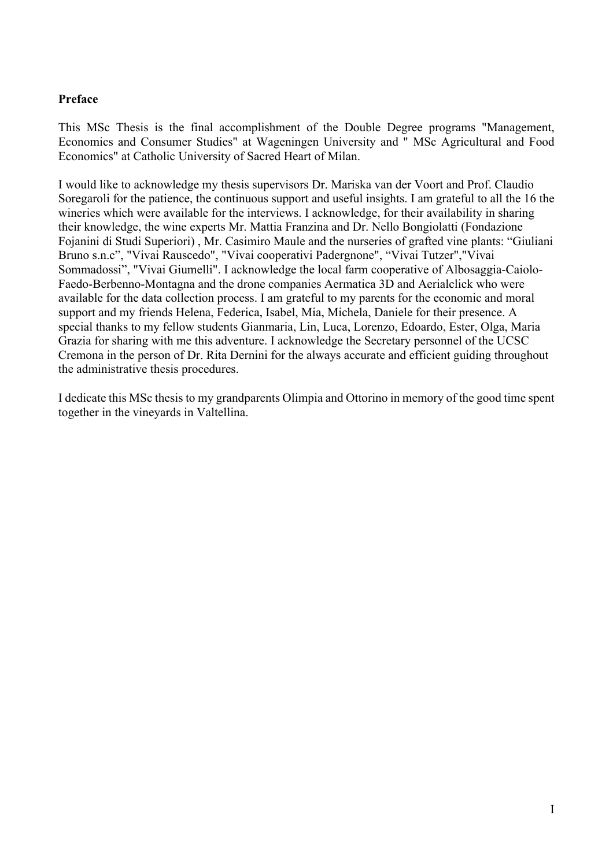### **Preface**

This MSc Thesis is the final accomplishment of the Double Degree programs "Management, Economics and Consumer Studies" at Wageningen University and " MSc Agricultural and Food Economics" at Catholic University of Sacred Heart of Milan.

I would like to acknowledge my thesis supervisors Dr. Mariska van der Voort and Prof. Claudio Soregaroli for the patience, the continuous support and useful insights. I am grateful to all the 16 the wineries which were available for the interviews. I acknowledge, for their availability in sharing their knowledge, the wine experts Mr. Mattia Franzina and Dr. Nello Bongiolatti (Fondazione Fojanini di Studi Superiori) , Mr. Casimiro Maule and the nurseries of grafted vine plants: "Giuliani Bruno s.n.c", "Vivai Rauscedo", "Vivai cooperativi Padergnone", "Vivai Tutzer","Vivai Sommadossi", "Vivai Giumelli". I acknowledge the local farm cooperative of Albosaggia-Caiolo-Faedo-Berbenno-Montagna and the drone companies Aermatica 3D and Aerialclick who were available for the data collection process. I am grateful to my parents for the economic and moral support and my friends Helena, Federica, Isabel, Mia, Michela, Daniele for their presence. A special thanks to my fellow students Gianmaria, Lin, Luca, Lorenzo, Edoardo, Ester, Olga, Maria Grazia for sharing with me this adventure. I acknowledge the Secretary personnel of the UCSC Cremona in the person of Dr. Rita Dernini for the always accurate and efficient guiding throughout the administrative thesis procedures.

I dedicate this MSc thesis to my grandparents Olimpia and Ottorino in memory of the good time spent together in the vineyards in Valtellina.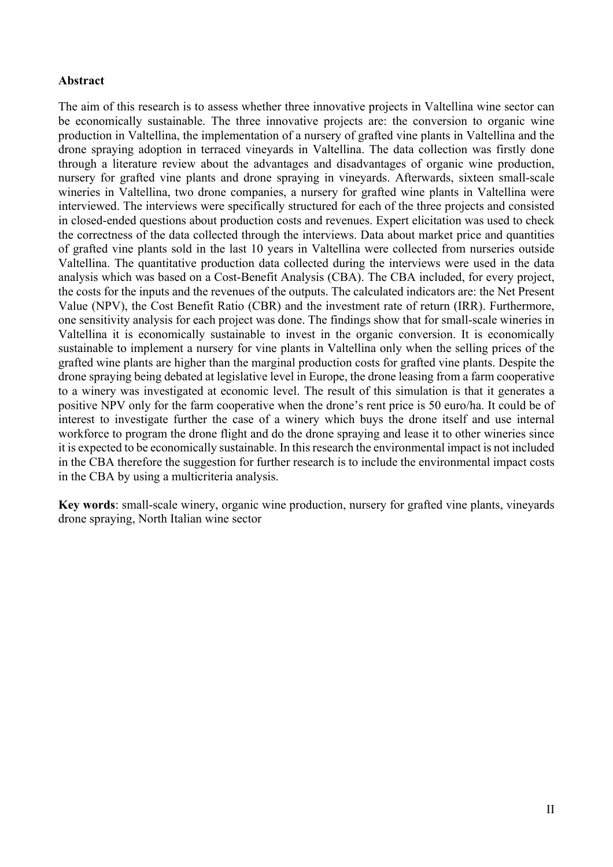#### **Abstract**

The aim of this research is to assess whether three innovative projects in Valtellina wine sector can be economically sustainable. The three innovative projects are: the conversion to organic wine production in Valtellina, the implementation of a nursery of grafted vine plants in Valtellina and the drone spraying adoption in terraced vineyards in Valtellina. The data collection was firstly done through a literature review about the advantages and disadvantages of organic wine production, nursery for grafted vine plants and drone spraying in vineyards. Afterwards, sixteen small-scale wineries in Valtellina, two drone companies, a nursery for grafted wine plants in Valtellina were interviewed. The interviews were specifically structured for each of the three projects and consisted in closed-ended questions about production costs and revenues. Expert elicitation was used to check the correctness of the data collected through the interviews. Data about market price and quantities of grafted vine plants sold in the last 10 years in Valtellina were collected from nurseries outside Valtellina. The quantitative production data collected during the interviews were used in the data analysis which was based on a Cost-Benefit Analysis (CBA). The CBA included, for every project, the costs for the inputs and the revenues of the outputs. The calculated indicators are: the Net Present Value (NPV), the Cost Benefit Ratio (CBR) and the investment rate of return (IRR). Furthermore, one sensitivity analysis for each project was done. The findings show that for small-scale wineries in Valtellina it is economically sustainable to invest in the organic conversion. It is economically sustainable to implement a nursery for vine plants in Valtellina only when the selling prices of the grafted wine plants are higher than the marginal production costs for grafted vine plants. Despite the drone spraying being debated at legislative level in Europe, the drone leasing from a farm cooperative to a winery was investigated at economic level. The result of this simulation is that it generates a positive NPV only for the farm cooperative when the drone's rent price is 50 euro/ha. It could be of interest to investigate further the case of a winery which buys the drone itself and use internal workforce to program the drone flight and do the drone spraying and lease it to other wineries since it is expected to be economically sustainable. In this research the environmental impact is not included in the CBA therefore the suggestion for further research is to include the environmental impact costs in the CBA by using a multicriteria analysis.

**Key words**: small-scale winery, organic wine production, nursery for grafted vine plants, vineyards drone spraying, North Italian wine sector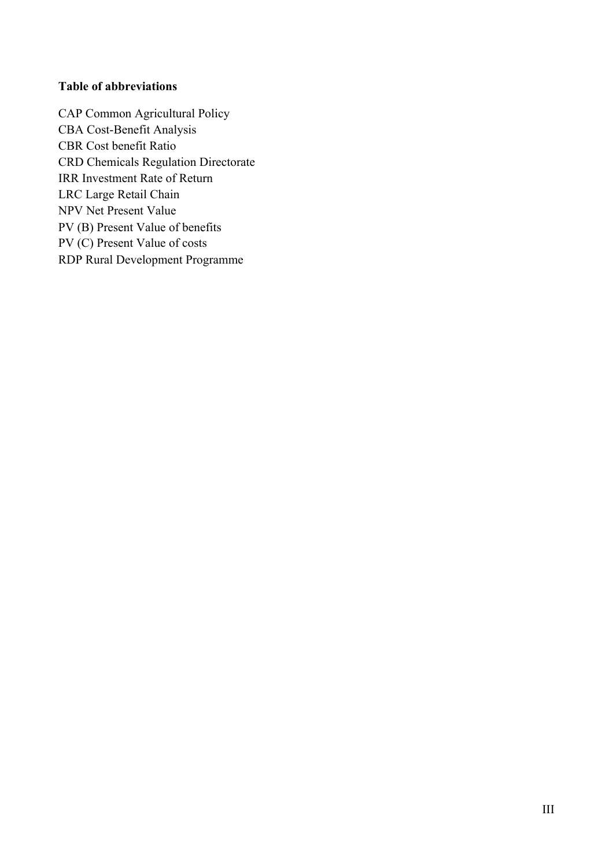### **Table of abbreviations**

CAP Common Agricultural Policy CBA Cost-Benefit Analysis CBR Cost benefit Ratio CRD Chemicals Regulation Directorate IRR Investment Rate of Return LRC Large Retail Chain NPV Net Present Value PV (B) Present Value of benefits PV (C) Present Value of costs RDP Rural Development Programme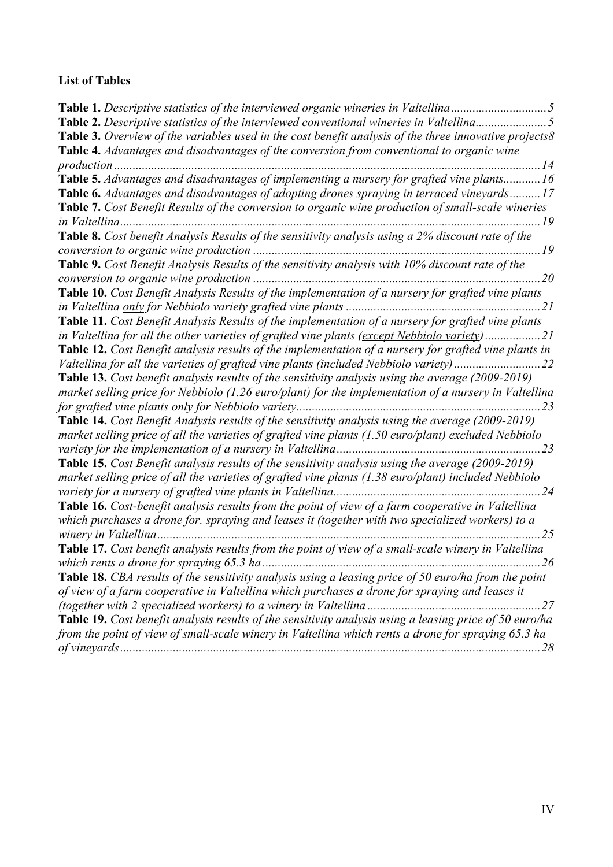# **List of Tables**

| Table 2. Descriptive statistics of the interviewed conventional wineries in Valtellina5                  |
|----------------------------------------------------------------------------------------------------------|
| Table 3. Overview of the variables used in the cost benefit analysis of the three innovative projects8   |
| Table 4. Advantages and disadvantages of the conversion from conventional to organic wine                |
| 14                                                                                                       |
| Table 5. Advantages and disadvantages of implementing a nursery for grafted vine plants 16               |
| <b>Table 6.</b> Advantages and disadvantages of adopting drones spraying in terraced vineyards17         |
| Table 7. Cost Benefit Results of the conversion to organic wine production of small-scale wineries       |
| in Valtellina<br>19                                                                                      |
| Table 8. Cost benefit Analysis Results of the sensitivity analysis using a 2% discount rate of the       |
|                                                                                                          |
| Table 9. Cost Benefit Analysis Results of the sensitivity analysis with 10% discount rate of the         |
| $\dots$ 20                                                                                               |
| Table 10. Cost Benefit Analysis Results of the implementation of a nursery for grafted vine plants       |
| $\ldots$ 21                                                                                              |
| Table 11. Cost Benefit Analysis Results of the implementation of a nursery for grafted vine plants       |
| in Valtellina for all the other varieties of grafted vine plants (except Nebbiolo variety)21             |
| Table 12. Cost Benefit analysis results of the implementation of a nursery for grafted vine plants in    |
| Valtellina for all the varieties of grafted vine plants (included Nebbiolo variety)                      |
| <b>Table 13.</b> Cost benefit analysis results of the sensitivity analysis using the average (2009-2019) |
| market selling price for Nebbiolo (1.26 euro/plant) for the implementation of a nursery in Valtellina    |
| 23                                                                                                       |
| <b>Table 14.</b> Cost Benefit Analysis results of the sensitivity analysis using the average (2009-2019) |
| market selling price of all the varieties of grafted vine plants (1.50 euro/plant) excluded Nebbiolo     |
| 23                                                                                                       |
| <b>Table 15.</b> Cost Benefit analysis results of the sensitivity analysis using the average (2009-2019) |
| market selling price of all the varieties of grafted vine plants (1.38 euro/plant) included Nebbiolo     |
| 24                                                                                                       |
| Table 16. Cost-benefit analysis results from the point of view of a farm cooperative in Valtellina       |
| which purchases a drone for. spraying and leases it (together with two specialized workers) to a         |
| 25<br>winery in Valtellina                                                                               |
| Table 17. Cost benefit analysis results from the point of view of a small-scale winery in Valtellina     |
| .26                                                                                                      |
| Table 18. CBA results of the sensitivity analysis using a leasing price of 50 euro/ha from the point     |
| of view of a farm cooperative in Valtellina which purchases a drone for spraying and leases it           |
|                                                                                                          |
| Table 19. Cost benefit analysis results of the sensitivity analysis using a leasing price of 50 euro/ha  |
| from the point of view of small-scale winery in Valtellina which rents a drone for spraying 65.3 ha      |
|                                                                                                          |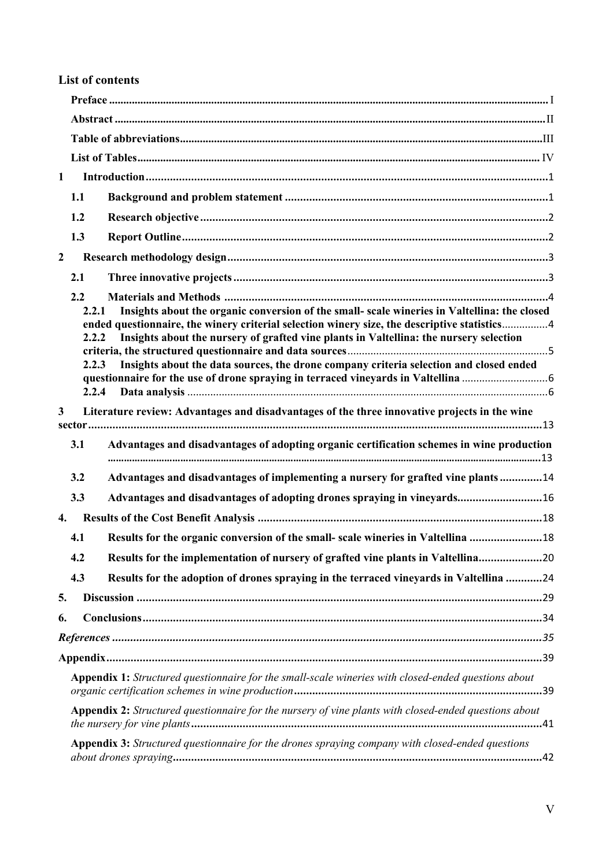# **List of contents**

| $\mathbf{1}$   |                                |                                                                                                                                                                                                                                                                                                                                                                                  |
|----------------|--------------------------------|----------------------------------------------------------------------------------------------------------------------------------------------------------------------------------------------------------------------------------------------------------------------------------------------------------------------------------------------------------------------------------|
|                | 1.1                            |                                                                                                                                                                                                                                                                                                                                                                                  |
|                | 1.2                            |                                                                                                                                                                                                                                                                                                                                                                                  |
|                | 1.3                            |                                                                                                                                                                                                                                                                                                                                                                                  |
| $\overline{2}$ |                                |                                                                                                                                                                                                                                                                                                                                                                                  |
|                | 2.1                            |                                                                                                                                                                                                                                                                                                                                                                                  |
|                | 2.2<br>2.2.1<br>2.2.2<br>2.2.3 | Insights about the organic conversion of the small- scale wineries in Valtellina: the closed<br>ended questionnaire, the winery criterial selection winery size, the descriptive statistics4<br>Insights about the nursery of grafted vine plants in Valtellina: the nursery selection<br>Insights about the data sources, the drone company criteria selection and closed ended |
|                | 2.2.4                          |                                                                                                                                                                                                                                                                                                                                                                                  |
| $\mathbf{3}$   |                                | Literature review: Advantages and disadvantages of the three innovative projects in the wine                                                                                                                                                                                                                                                                                     |
|                | 3.1                            | Advantages and disadvantages of adopting organic certification schemes in wine production                                                                                                                                                                                                                                                                                        |
|                | 3.2                            | Advantages and disadvantages of implementing a nursery for grafted vine plants14                                                                                                                                                                                                                                                                                                 |
|                | 3.3                            | Advantages and disadvantages of adopting drones spraying in vineyards16                                                                                                                                                                                                                                                                                                          |
| 4.             |                                |                                                                                                                                                                                                                                                                                                                                                                                  |
|                | 4.1                            | Results for the organic conversion of the small- scale wineries in Valtellina 18                                                                                                                                                                                                                                                                                                 |
|                | 4.2                            | Results for the implementation of nursery of grafted vine plants in Valtellina20                                                                                                                                                                                                                                                                                                 |
|                | 4.3                            | Results for the adoption of drones spraying in the terraced vineyards in Valtellina 24                                                                                                                                                                                                                                                                                           |
| 5.             |                                |                                                                                                                                                                                                                                                                                                                                                                                  |
| 6.             |                                |                                                                                                                                                                                                                                                                                                                                                                                  |
|                |                                |                                                                                                                                                                                                                                                                                                                                                                                  |
|                |                                |                                                                                                                                                                                                                                                                                                                                                                                  |
|                |                                | Appendix 1: Structured questionnaire for the small-scale wineries with closed-ended questions about                                                                                                                                                                                                                                                                              |
|                |                                | Appendix 2: Structured questionnaire for the nursery of vine plants with closed-ended questions about                                                                                                                                                                                                                                                                            |
|                |                                | Appendix 3: Structured questionnaire for the drones spraying company with closed-ended questions                                                                                                                                                                                                                                                                                 |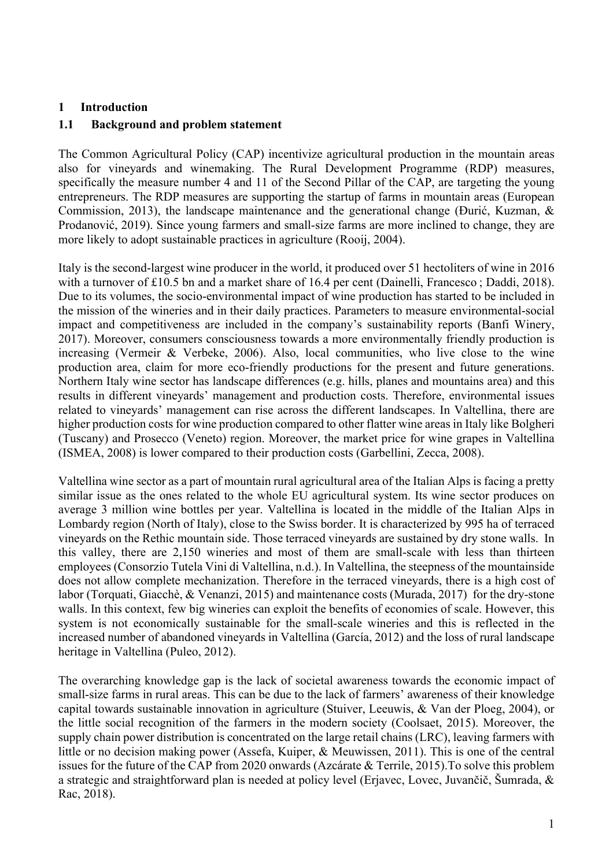#### **1 Introduction**

#### **1.1 Background and problem statement**

The Common Agricultural Policy (CAP) incentivize agricultural production in the mountain areas also for vineyards and winemaking. The Rural Development Programme (RDP) measures, specifically the measure number 4 and 11 of the Second Pillar of the CAP, are targeting the young entrepreneurs. The RDP measures are supporting the startup of farms in mountain areas (European Commission, 2013), the landscape maintenance and the generational change (Đurić, Kuzman, & Prodanović, 2019). Since young farmers and small-size farms are more inclined to change, they are more likely to adopt sustainable practices in agriculture (Rooij, 2004).

Italy is the second-largest wine producer in the world, it produced over 51 hectoliters of wine in 2016 with a turnover of £10.5 bn and a market share of 16.4 per cent (Dainelli, Francesco; Daddi, 2018). Due to its volumes, the socio-environmental impact of wine production has started to be included in the mission of the wineries and in their daily practices. Parameters to measure environmental-social impact and competitiveness are included in the company's sustainability reports (Banfi Winery, 2017). Moreover, consumers consciousness towards a more environmentally friendly production is increasing (Vermeir & Verbeke, 2006). Also, local communities, who live close to the wine production area, claim for more eco-friendly productions for the present and future generations. Northern Italy wine sector has landscape differences (e.g. hills, planes and mountains area) and this results in different vineyards' management and production costs. Therefore, environmental issues related to vineyards' management can rise across the different landscapes. In Valtellina, there are higher production costs for wine production compared to other flatter wine areas in Italy like Bolgheri (Tuscany) and Prosecco (Veneto) region. Moreover, the market price for wine grapes in Valtellina (ISMEA, 2008) is lower compared to their production costs (Garbellini, Zecca, 2008).

Valtellina wine sector as a part of mountain rural agricultural area of the Italian Alps is facing a pretty similar issue as the ones related to the whole EU agricultural system. Its wine sector produces on average 3 million wine bottles per year. Valtellina is located in the middle of the Italian Alps in Lombardy region (North of Italy), close to the Swiss border. It is characterized by 995 ha of terraced vineyards on the Rethic mountain side. Those terraced vineyards are sustained by dry stone walls. In this valley, there are 2,150 wineries and most of them are small-scale with less than thirteen employees (Consorzio Tutela Vini di Valtellina, n.d.). In Valtellina, the steepness of the mountainside does not allow complete mechanization. Therefore in the terraced vineyards, there is a high cost of labor (Torquati, Giacchè, & Venanzi, 2015) and maintenance costs (Murada, 2017) for the dry-stone walls. In this context, few big wineries can exploit the benefits of economies of scale. However, this system is not economically sustainable for the small-scale wineries and this is reflected in the increased number of abandoned vineyards in Valtellina (García, 2012) and the loss of rural landscape heritage in Valtellina (Puleo, 2012).

The overarching knowledge gap is the lack of societal awareness towards the economic impact of small-size farms in rural areas. This can be due to the lack of farmers' awareness of their knowledge capital towards sustainable innovation in agriculture (Stuiver, Leeuwis, & Van der Ploeg, 2004), or the little social recognition of the farmers in the modern society (Coolsaet, 2015). Moreover, the supply chain power distribution is concentrated on the large retail chains (LRC), leaving farmers with little or no decision making power (Assefa, Kuiper, & Meuwissen, 2011). This is one of the central issues for the future of the CAP from 2020 onwards (Azcárate & Terrile, 2015).To solve this problem a strategic and straightforward plan is needed at policy level (Erjavec, Lovec, Juvančič, Šumrada, & Rac, 2018).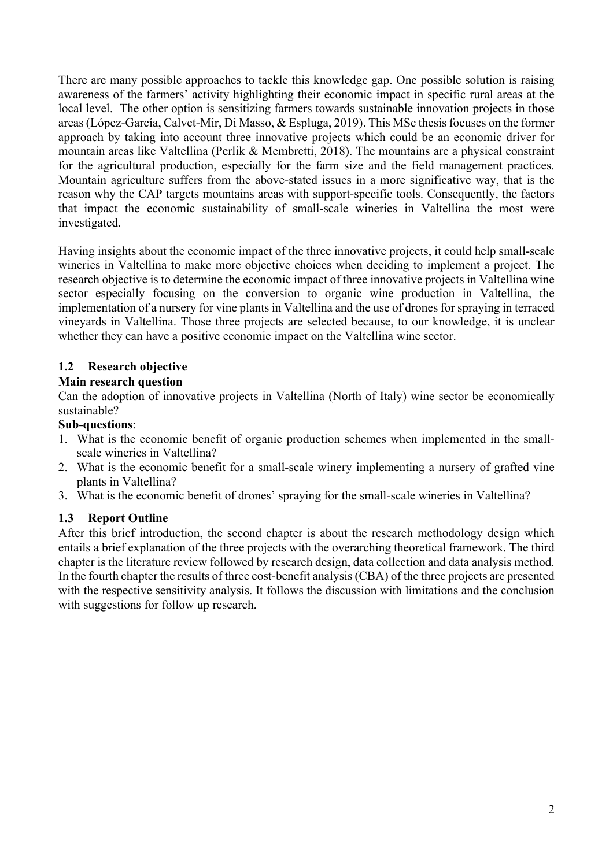There are many possible approaches to tackle this knowledge gap. One possible solution is raising awareness of the farmers' activity highlighting their economic impact in specific rural areas at the local level. The other option is sensitizing farmers towards sustainable innovation projects in those areas (López-García, Calvet-Mir, Di Masso, & Espluga, 2019). This MSc thesis focuses on the former approach by taking into account three innovative projects which could be an economic driver for mountain areas like Valtellina (Perlik & Membretti, 2018). The mountains are a physical constraint for the agricultural production, especially for the farm size and the field management practices. Mountain agriculture suffers from the above-stated issues in a more significative way, that is the reason why the CAP targets mountains areas with support-specific tools. Consequently, the factors that impact the economic sustainability of small-scale wineries in Valtellina the most were investigated.

Having insights about the economic impact of the three innovative projects, it could help small-scale wineries in Valtellina to make more objective choices when deciding to implement a project. The research objective is to determine the economic impact of three innovative projects in Valtellina wine sector especially focusing on the conversion to organic wine production in Valtellina, the implementation of a nursery for vine plants in Valtellina and the use of drones for spraying in terraced vineyards in Valtellina. Those three projects are selected because, to our knowledge, it is unclear whether they can have a positive economic impact on the Valtellina wine sector.

### **1.2 Research objective**

### **Main research question**

Can the adoption of innovative projects in Valtellina (North of Italy) wine sector be economically sustainable?

### **Sub-questions**:

- 1. What is the economic benefit of organic production schemes when implemented in the smallscale wineries in Valtellina?
- 2. What is the economic benefit for a small-scale winery implementing a nursery of grafted vine plants in Valtellina?
- 3. What is the economic benefit of drones' spraying for the small-scale wineries in Valtellina?

# **1.3 Report Outline**

After this brief introduction, the second chapter is about the research methodology design which entails a brief explanation of the three projects with the overarching theoretical framework. The third chapter is the literature review followed by research design, data collection and data analysis method. In the fourth chapter the results of three cost-benefit analysis (CBA) of the three projects are presented with the respective sensitivity analysis. It follows the discussion with limitations and the conclusion with suggestions for follow up research.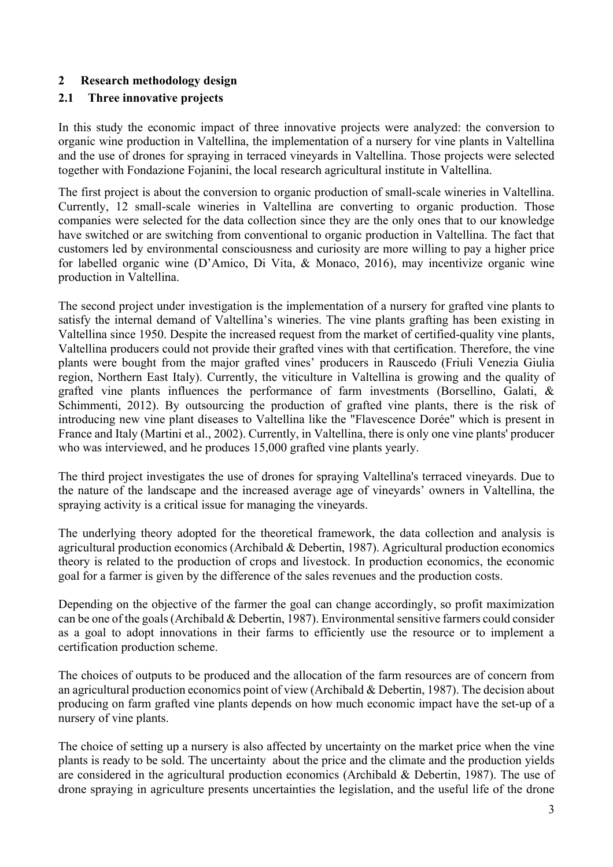## **2 Research methodology design**

## **2.1 Three innovative projects**

In this study the economic impact of three innovative projects were analyzed: the conversion to organic wine production in Valtellina, the implementation of a nursery for vine plants in Valtellina and the use of drones for spraying in terraced vineyards in Valtellina. Those projects were selected together with Fondazione Fojanini, the local research agricultural institute in Valtellina.

The first project is about the conversion to organic production of small-scale wineries in Valtellina. Currently, 12 small-scale wineries in Valtellina are converting to organic production. Those companies were selected for the data collection since they are the only ones that to our knowledge have switched or are switching from conventional to organic production in Valtellina. The fact that customers led by environmental consciousness and curiosity are more willing to pay a higher price for labelled organic wine (D'Amico, Di Vita, & Monaco, 2016), may incentivize organic wine production in Valtellina.

The second project under investigation is the implementation of a nursery for grafted vine plants to satisfy the internal demand of Valtellina's wineries. The vine plants grafting has been existing in Valtellina since 1950. Despite the increased request from the market of certified-quality vine plants, Valtellina producers could not provide their grafted vines with that certification. Therefore, the vine plants were bought from the major grafted vines' producers in Rauscedo (Friuli Venezia Giulia region, Northern East Italy). Currently, the viticulture in Valtellina is growing and the quality of grafted vine plants influences the performance of farm investments (Borsellino, Galati, & Schimmenti, 2012). By outsourcing the production of grafted vine plants, there is the risk of introducing new vine plant diseases to Valtellina like the "Flavescence Dorée" which is present in France and Italy (Martini et al., 2002). Currently, in Valtellina, there is only one vine plants' producer who was interviewed, and he produces 15,000 grafted vine plants yearly.

The third project investigates the use of drones for spraying Valtellina's terraced vineyards. Due to the nature of the landscape and the increased average age of vineyards' owners in Valtellina, the spraying activity is a critical issue for managing the vineyards.

The underlying theory adopted for the theoretical framework, the data collection and analysis is agricultural production economics (Archibald & Debertin, 1987). Agricultural production economics theory is related to the production of crops and livestock. In production economics, the economic goal for a farmer is given by the difference of the sales revenues and the production costs.

Depending on the objective of the farmer the goal can change accordingly, so profit maximization can be one of the goals (Archibald & Debertin, 1987). Environmental sensitive farmers could consider as a goal to adopt innovations in their farms to efficiently use the resource or to implement a certification production scheme.

The choices of outputs to be produced and the allocation of the farm resources are of concern from an agricultural production economics point of view (Archibald & Debertin, 1987). The decision about producing on farm grafted vine plants depends on how much economic impact have the set-up of a nursery of vine plants.

The choice of setting up a nursery is also affected by uncertainty on the market price when the vine plants is ready to be sold. The uncertainty about the price and the climate and the production yields are considered in the agricultural production economics (Archibald & Debertin, 1987). The use of drone spraying in agriculture presents uncertainties the legislation, and the useful life of the drone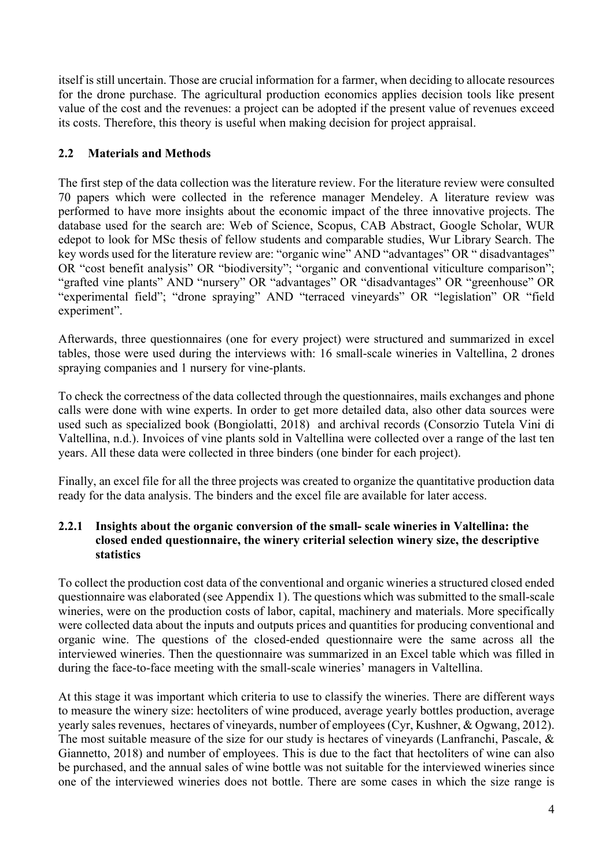itself is still uncertain. Those are crucial information for a farmer, when deciding to allocate resources for the drone purchase. The agricultural production economics applies decision tools like present value of the cost and the revenues: a project can be adopted if the present value of revenues exceed its costs. Therefore, this theory is useful when making decision for project appraisal.

## **2.2 Materials and Methods**

The first step of the data collection was the literature review. For the literature review were consulted 70 papers which were collected in the reference manager Mendeley. A literature review was performed to have more insights about the economic impact of the three innovative projects. The database used for the search are: Web of Science, Scopus, CAB Abstract, Google Scholar, WUR edepot to look for MSc thesis of fellow students and comparable studies, Wur Library Search. The key words used for the literature review are: "organic wine" AND "advantages" OR " disadvantages" OR "cost benefit analysis" OR "biodiversity"; "organic and conventional viticulture comparison"; "grafted vine plants" AND "nursery" OR "advantages" OR "disadvantages" OR "greenhouse" OR "experimental field"; "drone spraying" AND "terraced vineyards" OR "legislation" OR "field experiment".

Afterwards, three questionnaires (one for every project) were structured and summarized in excel tables, those were used during the interviews with: 16 small-scale wineries in Valtellina, 2 drones spraying companies and 1 nursery for vine-plants.

To check the correctness of the data collected through the questionnaires, mails exchanges and phone calls were done with wine experts. In order to get more detailed data, also other data sources were used such as specialized book (Bongiolatti, 2018) and archival records (Consorzio Tutela Vini di Valtellina, n.d.). Invoices of vine plants sold in Valtellina were collected over a range of the last ten years. All these data were collected in three binders (one binder for each project).

Finally, an excel file for all the three projects was created to organize the quantitative production data ready for the data analysis. The binders and the excel file are available for later access.

### **2.2.1 Insights about the organic conversion of the small- scale wineries in Valtellina: the closed ended questionnaire, the winery criterial selection winery size, the descriptive statistics**

To collect the production cost data of the conventional and organic wineries a structured closed ended questionnaire was elaborated (see Appendix 1). The questions which was submitted to the small-scale wineries, were on the production costs of labor, capital, machinery and materials. More specifically were collected data about the inputs and outputs prices and quantities for producing conventional and organic wine. The questions of the closed-ended questionnaire were the same across all the interviewed wineries. Then the questionnaire was summarized in an Excel table which was filled in during the face-to-face meeting with the small-scale wineries' managers in Valtellina.

At this stage it was important which criteria to use to classify the wineries. There are different ways to measure the winery size: hectoliters of wine produced, average yearly bottles production, average yearly sales revenues, hectares of vineyards, number of employees (Cyr, Kushner, & Ogwang, 2012). The most suitable measure of the size for our study is hectares of vineyards (Lanfranchi, Pascale, & Giannetto, 2018) and number of employees. This is due to the fact that hectoliters of wine can also be purchased, and the annual sales of wine bottle was not suitable for the interviewed wineries since one of the interviewed wineries does not bottle. There are some cases in which the size range is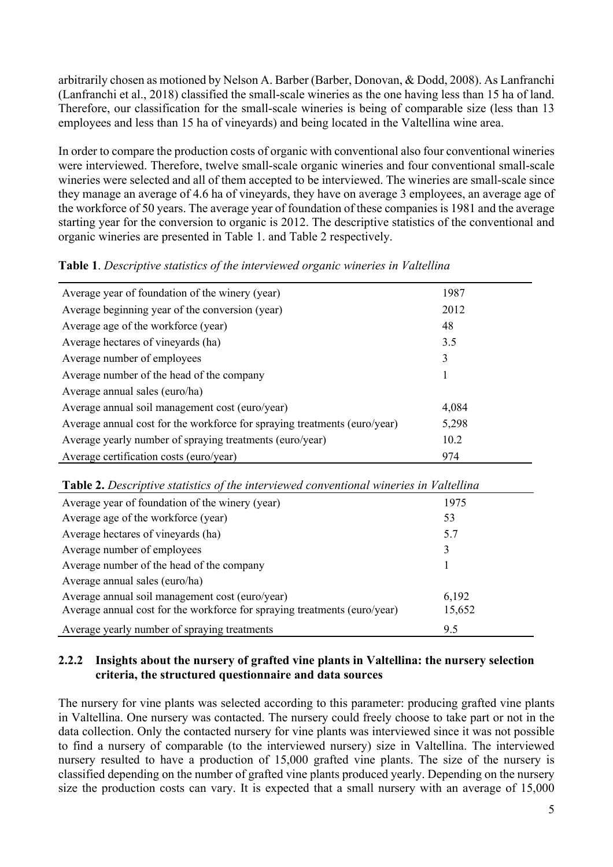arbitrarily chosen as motioned by Nelson A. Barber (Barber, Donovan, & Dodd, 2008). As Lanfranchi (Lanfranchi et al., 2018) classified the small-scale wineries as the one having less than 15 ha of land. Therefore, our classification for the small-scale wineries is being of comparable size (less than 13 employees and less than 15 ha of vineyards) and being located in the Valtellina wine area.

In order to compare the production costs of organic with conventional also four conventional wineries were interviewed. Therefore, twelve small-scale organic wineries and four conventional small-scale wineries were selected and all of them accepted to be interviewed. The wineries are small-scale since they manage an average of 4.6 ha of vineyards, they have on average 3 employees, an average age of the workforce of 50 years. The average year of foundation of these companies is 1981 and the average starting year for the conversion to organic is 2012. The descriptive statistics of the conventional and organic wineries are presented in Table 1. and Table 2 respectively.

| Average year of foundation of the winery (year)                           | 1987  |
|---------------------------------------------------------------------------|-------|
| Average beginning year of the conversion (year)                           | 2012  |
| Average age of the workforce (year)                                       | 48    |
| Average hectares of vineyards (ha)                                        | 3.5   |
| Average number of employees                                               | 3     |
| Average number of the head of the company                                 |       |
| Average annual sales (euro/ha)                                            |       |
| Average annual soil management cost (euro/year)                           | 4,084 |
| Average annual cost for the workforce for spraying treatments (euro/year) | 5,298 |
| Average yearly number of spraying treatments (euro/year)                  | 10.2  |
| Average certification costs (euro/year)                                   | 974   |

### **Table 1**. *Descriptive statistics of the interviewed organic wineries in Valtellina*

| Table 2. Descriptive statistics of the interviewed conventional wineries in Valtellina |        |  |
|----------------------------------------------------------------------------------------|--------|--|
| Average year of foundation of the winery (year)                                        | 1975   |  |
| Average age of the workforce (year)                                                    | 53     |  |
| Average hectares of vineyards (ha)                                                     | 5.7    |  |
| Average number of employees                                                            | 3      |  |
| Average number of the head of the company                                              |        |  |
| Average annual sales (euro/ha)                                                         |        |  |
| Average annual soil management cost (euro/year)                                        | 6,192  |  |
| Average annual cost for the workforce for spraying treatments (euro/year)              | 15,652 |  |
| Average yearly number of spraying treatments                                           | 9.5    |  |

### **2.2.2 Insights about the nursery of grafted vine plants in Valtellina: the nursery selection criteria, the structured questionnaire and data sources**

The nursery for vine plants was selected according to this parameter: producing grafted vine plants in Valtellina. One nursery was contacted. The nursery could freely choose to take part or not in the data collection. Only the contacted nursery for vine plants was interviewed since it was not possible to find a nursery of comparable (to the interviewed nursery) size in Valtellina. The interviewed nursery resulted to have a production of 15,000 grafted vine plants. The size of the nursery is classified depending on the number of grafted vine plants produced yearly. Depending on the nursery size the production costs can vary. It is expected that a small nursery with an average of 15,000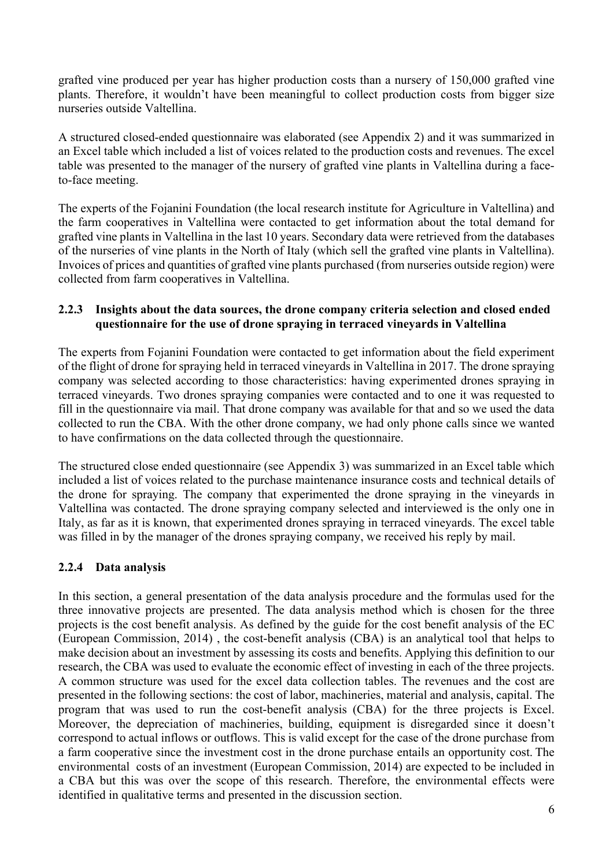grafted vine produced per year has higher production costs than a nursery of 150,000 grafted vine plants. Therefore, it wouldn't have been meaningful to collect production costs from bigger size nurseries outside Valtellina.

A structured closed-ended questionnaire was elaborated (see Appendix 2) and it was summarized in an Excel table which included a list of voices related to the production costs and revenues. The excel table was presented to the manager of the nursery of grafted vine plants in Valtellina during a faceto-face meeting.

The experts of the Fojanini Foundation (the local research institute for Agriculture in Valtellina) and the farm cooperatives in Valtellina were contacted to get information about the total demand for grafted vine plants in Valtellina in the last 10 years. Secondary data were retrieved from the databases of the nurseries of vine plants in the North of Italy (which sell the grafted vine plants in Valtellina). Invoices of prices and quantities of grafted vine plants purchased (from nurseries outside region) were collected from farm cooperatives in Valtellina.

### **2.2.3 Insights about the data sources, the drone company criteria selection and closed ended questionnaire for the use of drone spraying in terraced vineyards in Valtellina**

The experts from Fojanini Foundation were contacted to get information about the field experiment of the flight of drone for spraying held in terraced vineyards in Valtellina in 2017. The drone spraying company was selected according to those characteristics: having experimented drones spraying in terraced vineyards. Two drones spraying companies were contacted and to one it was requested to fill in the questionnaire via mail. That drone company was available for that and so we used the data collected to run the CBA. With the other drone company, we had only phone calls since we wanted to have confirmations on the data collected through the questionnaire.

The structured close ended questionnaire (see Appendix 3) was summarized in an Excel table which included a list of voices related to the purchase maintenance insurance costs and technical details of the drone for spraying. The company that experimented the drone spraying in the vineyards in Valtellina was contacted. The drone spraying company selected and interviewed is the only one in Italy, as far as it is known, that experimented drones spraying in terraced vineyards. The excel table was filled in by the manager of the drones spraying company, we received his reply by mail.

# **2.2.4 Data analysis**

In this section, a general presentation of the data analysis procedure and the formulas used for the three innovative projects are presented. The data analysis method which is chosen for the three projects is the cost benefit analysis. As defined by the guide for the cost benefit analysis of the EC (European Commission, 2014) , the cost-benefit analysis (CBA) is an analytical tool that helps to make decision about an investment by assessing its costs and benefits. Applying this definition to our research, the CBA was used to evaluate the economic effect of investing in each of the three projects. A common structure was used for the excel data collection tables. The revenues and the cost are presented in the following sections: the cost of labor, machineries, material and analysis, capital. The program that was used to run the cost-benefit analysis (CBA) for the three projects is Excel. Moreover, the depreciation of machineries, building, equipment is disregarded since it doesn't correspond to actual inflows or outflows. This is valid except for the case of the drone purchase from a farm cooperative since the investment cost in the drone purchase entails an opportunity cost. The environmental costs of an investment (European Commission, 2014) are expected to be included in a CBA but this was over the scope of this research. Therefore, the environmental effects were identified in qualitative terms and presented in the discussion section.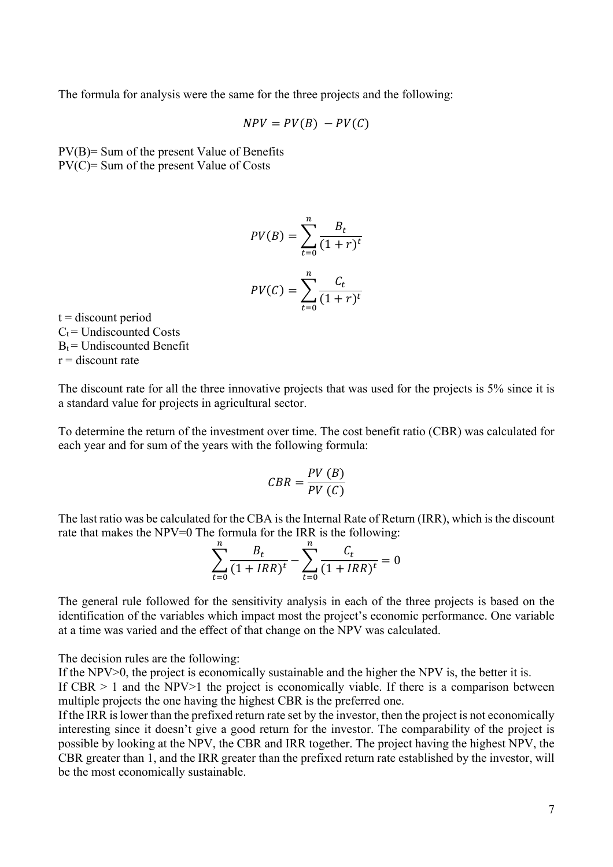The formula for analysis were the same for the three projects and the following:

$$
NPV = PV(B) - PV(C)
$$

PV(B)= Sum of the present Value of Benefits PV(C)= Sum of the present Value of Costs

$$
PV(B) = \sum_{t=0}^{n} \frac{B_t}{(1+r)^t}
$$

$$
PV(C) = \sum_{t=0}^{n} \frac{C_t}{(1+r)^t}
$$

 $t =$  discount period  $C_t$  = Undiscounted Costs  $B_t$  = Undiscounted Benefit  $r =$  discount rate

The discount rate for all the three innovative projects that was used for the projects is 5% since it is a standard value for projects in agricultural sector.

To determine the return of the investment over time. The cost benefit ratio (CBR) was calculated for each year and for sum of the years with the following formula:

$$
CBR = \frac{PV(B)}{PV(C)}
$$

The last ratio was be calculated for the CBA is the Internal Rate of Return (IRR), which is the discount rate that makes the NPV=0 The formula for the IRR is the following:

$$
\sum_{t=0}^{n} \frac{B_t}{(1 + IRR)^t} - \sum_{t=0}^{n} \frac{C_t}{(1 + IRR)^t} = 0
$$

The general rule followed for the sensitivity analysis in each of the three projects is based on the identification of the variables which impact most the project's economic performance. One variable at a time was varied and the effect of that change on the NPV was calculated.

The decision rules are the following:

If the NPV $>0$ , the project is economically sustainable and the higher the NPV is, the better it is.

If CBR  $> 1$  and the NPV $> 1$  the project is economically viable. If there is a comparison between multiple projects the one having the highest CBR is the preferred one.

If the IRR is lower than the prefixed return rate set by the investor, then the project is not economically interesting since it doesn't give a good return for the investor. The comparability of the project is possible by looking at the NPV, the CBR and IRR together. The project having the highest NPV, the CBR greater than 1, and the IRR greater than the prefixed return rate established by the investor, will be the most economically sustainable.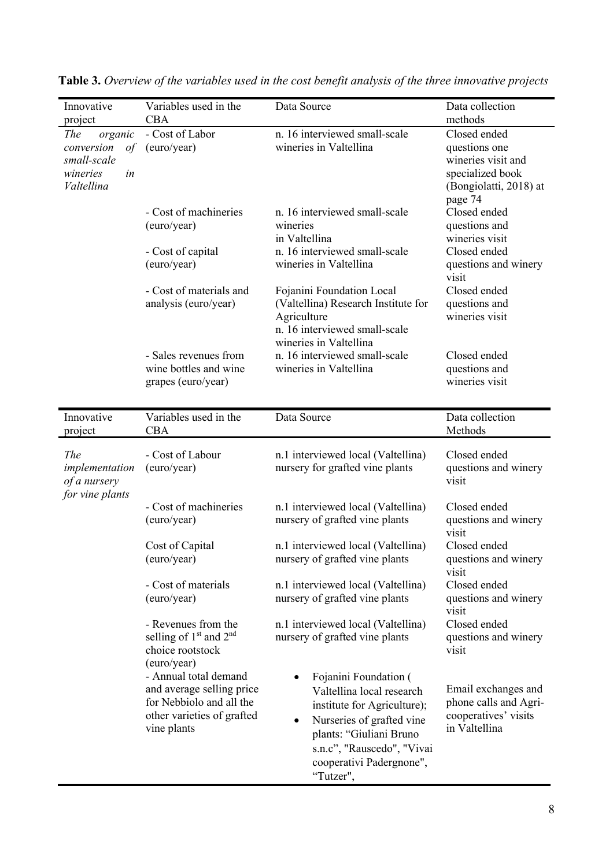| Innovative<br>project                                                                            | Variables used in the<br><b>CBA</b>                                                                                         | Data Source                                                                                                                                                                                                           | Data collection<br>methods                                                                                   |
|--------------------------------------------------------------------------------------------------|-----------------------------------------------------------------------------------------------------------------------------|-----------------------------------------------------------------------------------------------------------------------------------------------------------------------------------------------------------------------|--------------------------------------------------------------------------------------------------------------|
| <i>The</i><br>organic<br>conversion<br>$\sigma f$<br>small-scale<br>wineries<br>in<br>Valtellina | - Cost of Labor<br>(euro/year)                                                                                              | n. 16 interviewed small-scale<br>wineries in Valtellina                                                                                                                                                               | Closed ended<br>questions one<br>wineries visit and<br>specialized book<br>(Bongiolatti, 2018) at<br>page 74 |
|                                                                                                  | - Cost of machineries<br>(euro/year)                                                                                        | n. 16 interviewed small-scale<br>wineries<br>in Valtellina                                                                                                                                                            | Closed ended<br>questions and<br>wineries visit                                                              |
|                                                                                                  | - Cost of capital<br>(euro/year)                                                                                            | n. 16 interviewed small-scale<br>wineries in Valtellina                                                                                                                                                               | Closed ended<br>questions and winery<br>visit                                                                |
|                                                                                                  | - Cost of materials and<br>analysis (euro/year)                                                                             | Fojanini Foundation Local<br>(Valtellina) Research Institute for<br>Agriculture<br>n. 16 interviewed small-scale<br>wineries in Valtellina                                                                            | Closed ended<br>questions and<br>wineries visit                                                              |
|                                                                                                  | - Sales revenues from<br>wine bottles and wine<br>grapes (euro/year)                                                        | n. 16 interviewed small-scale<br>wineries in Valtellina                                                                                                                                                               | Closed ended<br>questions and<br>wineries visit                                                              |
| Innovative<br>project                                                                            | Variables used in the<br>CBA                                                                                                | Data Source                                                                                                                                                                                                           | Data collection<br>Methods                                                                                   |
| <i>The</i><br>implementation<br>of a nursery<br>for vine plants                                  | - Cost of Labour<br>(euro/year)                                                                                             | n.1 interviewed local (Valtellina)<br>nursery for grafted vine plants                                                                                                                                                 | Closed ended<br>questions and winery<br>visit                                                                |
|                                                                                                  | - Cost of machineries<br>(euro/year)                                                                                        | n.1 interviewed local (Valtellina)<br>nursery of grafted vine plants                                                                                                                                                  | Closed ended<br>questions and winery<br>visit                                                                |
|                                                                                                  | Cost of Capital<br>(euro/year)                                                                                              | n.1 interviewed local (Valtellina)<br>nursery of grafted vine plants                                                                                                                                                  | Closed ended<br>questions and winery<br>visit                                                                |
|                                                                                                  | - Cost of materials<br>(euro/year)                                                                                          | n.1 interviewed local (Valtellina)<br>nursery of grafted vine plants                                                                                                                                                  | Closed ended<br>questions and winery<br>visit                                                                |
|                                                                                                  | - Revenues from the<br>selling of $1st$ and $2nd$<br>choice rootstock<br>(euro/year)                                        | n.1 interviewed local (Valtellina)<br>nursery of grafted vine plants                                                                                                                                                  | Closed ended<br>questions and winery<br>visit                                                                |
|                                                                                                  | - Annual total demand<br>and average selling price<br>for Nebbiolo and all the<br>other varieties of grafted<br>vine plants | Fojanini Foundation (<br>Valtellina local research<br>institute for Agriculture);<br>Nurseries of grafted vine<br>٠<br>plants: "Giuliani Bruno<br>s.n.c", "Rauscedo", "Vivai<br>cooperativi Padergnone",<br>"Tutzer", | Email exchanges and<br>phone calls and Agri-<br>cooperatives' visits<br>in Valtellina                        |

| Table 3. Overview of the variables used in the cost benefit analysis of the three innovative projects |  |  |
|-------------------------------------------------------------------------------------------------------|--|--|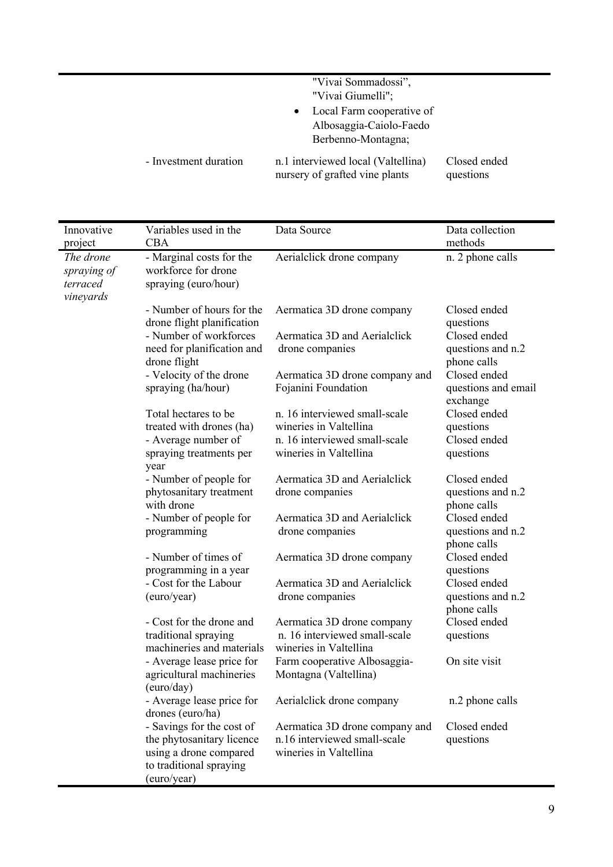|                       | "Vivai Sommadossi",<br>"Vivai Giumelli";                                                |                           |
|-----------------------|-----------------------------------------------------------------------------------------|---------------------------|
|                       | Local Farm cooperative of<br>$\bullet$<br>Albosaggia-Caiolo-Faedo<br>Berbenno-Montagna; |                           |
| - Investment duration | n.1 interviewed local (Valtellina)<br>nursery of grafted vine plants                    | Closed ended<br>questions |

| Innovative<br>project                             | Variables used in the<br>CBA                                                                                               | Data Source                                                                              | Data collection<br>methods                       |
|---------------------------------------------------|----------------------------------------------------------------------------------------------------------------------------|------------------------------------------------------------------------------------------|--------------------------------------------------|
| The drone<br>spraying of<br>terraced<br>vineyards | - Marginal costs for the<br>workforce for drone<br>spraying (euro/hour)                                                    | Aerialclick drone company                                                                | n. 2 phone calls                                 |
|                                                   | - Number of hours for the<br>drone flight planification                                                                    | Aermatica 3D drone company                                                               | Closed ended<br>questions                        |
|                                                   | - Number of workforces<br>need for planification and<br>drone flight                                                       | Aermatica 3D and Aerialclick<br>drone companies                                          | Closed ended<br>questions and n.2<br>phone calls |
|                                                   | - Velocity of the drone<br>spraying (ha/hour)                                                                              | Aermatica 3D drone company and<br>Fojanini Foundation                                    | Closed ended<br>questions and email<br>exchange  |
|                                                   | Total hectares to be<br>treated with drones (ha)                                                                           | n. 16 interviewed small-scale<br>wineries in Valtellina                                  | Closed ended<br>questions                        |
|                                                   | - Average number of<br>spraying treatments per<br>year                                                                     | n. 16 interviewed small-scale<br>wineries in Valtellina                                  | Closed ended<br>questions                        |
|                                                   | - Number of people for<br>phytosanitary treatment<br>with drone                                                            | Aermatica 3D and Aerialclick<br>drone companies                                          | Closed ended<br>questions and n.2<br>phone calls |
|                                                   | - Number of people for<br>programming                                                                                      | Aermatica 3D and Aerialclick<br>drone companies                                          | Closed ended<br>questions and n.2<br>phone calls |
|                                                   | - Number of times of<br>programming in a year                                                                              | Aermatica 3D drone company                                                               | Closed ended<br>questions                        |
|                                                   | - Cost for the Labour<br>(euro/year)                                                                                       | Aermatica 3D and Aerialclick<br>drone companies                                          | Closed ended<br>questions and n.2<br>phone calls |
|                                                   | - Cost for the drone and<br>traditional spraying<br>machineries and materials                                              | Aermatica 3D drone company<br>n. 16 interviewed small-scale<br>wineries in Valtellina    | Closed ended<br>questions                        |
|                                                   | - Average lease price for<br>agricultural machineries<br>(euro/day)                                                        | Farm cooperative Albosaggia-<br>Montagna (Valtellina)                                    | On site visit                                    |
|                                                   | - Average lease price for<br>drones (euro/ha)                                                                              | Aerialclick drone company                                                                | n.2 phone calls                                  |
|                                                   | - Savings for the cost of<br>the phytosanitary licence<br>using a drone compared<br>to traditional spraying<br>(euro/year) | Aermatica 3D drone company and<br>n.16 interviewed small-scale<br>wineries in Valtellina | Closed ended<br>questions                        |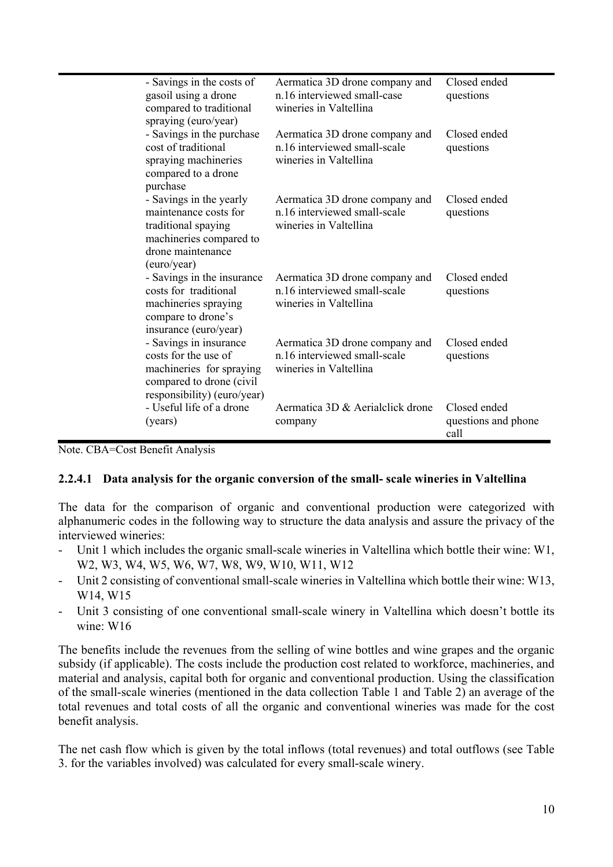| - Savings in the costs of<br>gasoil using a drone<br>compared to traditional<br>spraying (euro/year)                                   | Aermatica 3D drone company and<br>n.16 interviewed small-case<br>wineries in Valtellina  | Closed ended<br>questions                   |
|----------------------------------------------------------------------------------------------------------------------------------------|------------------------------------------------------------------------------------------|---------------------------------------------|
| - Savings in the purchase<br>cost of traditional<br>spraying machineries<br>compared to a drone<br>purchase                            | Aermatica 3D drone company and<br>n.16 interviewed small-scale<br>wineries in Valtellina | Closed ended<br>questions                   |
| - Savings in the yearly<br>maintenance costs for<br>traditional spaying<br>machineries compared to<br>drone maintenance<br>(euro/year) | Aermatica 3D drone company and<br>n.16 interviewed small-scale<br>wineries in Valtellina | Closed ended<br>questions                   |
| - Savings in the insurance<br>costs for traditional<br>machineries spraying<br>compare to drone's<br>insurance (euro/year)             | Aermatica 3D drone company and<br>n.16 interviewed small-scale<br>wineries in Valtellina | Closed ended<br>questions                   |
| - Savings in insurance<br>costs for the use of<br>machineries for spraying<br>compared to drone (civil<br>responsibility) (euro/year)  | Aermatica 3D drone company and<br>n.16 interviewed small-scale<br>wineries in Valtellina | Closed ended<br>questions                   |
| - Useful life of a drone<br>(years)                                                                                                    | Aermatica 3D & Aerialclick drone<br>company                                              | Closed ended<br>questions and phone<br>call |

Note. CBA=Cost Benefit Analysis

### **2.2.4.1 Data analysis for the organic conversion of the small- scale wineries in Valtellina**

The data for the comparison of organic and conventional production were categorized with alphanumeric codes in the following way to structure the data analysis and assure the privacy of the interviewed wineries:

- Unit 1 which includes the organic small-scale wineries in Valtellina which bottle their wine: W1, W2, W3, W4, W5, W6, W7, W8, W9, W10, W11, W12
- Unit 2 consisting of conventional small-scale wineries in Valtellina which bottle their wine: W13, W14, W15
- Unit 3 consisting of one conventional small-scale winery in Valtellina which doesn't bottle its wine: W16

The benefits include the revenues from the selling of wine bottles and wine grapes and the organic subsidy (if applicable). The costs include the production cost related to workforce, machineries, and material and analysis, capital both for organic and conventional production. Using the classification of the small-scale wineries (mentioned in the data collection Table 1 and Table 2) an average of the total revenues and total costs of all the organic and conventional wineries was made for the cost benefit analysis.

The net cash flow which is given by the total inflows (total revenues) and total outflows (see Table 3. for the variables involved) was calculated for every small-scale winery.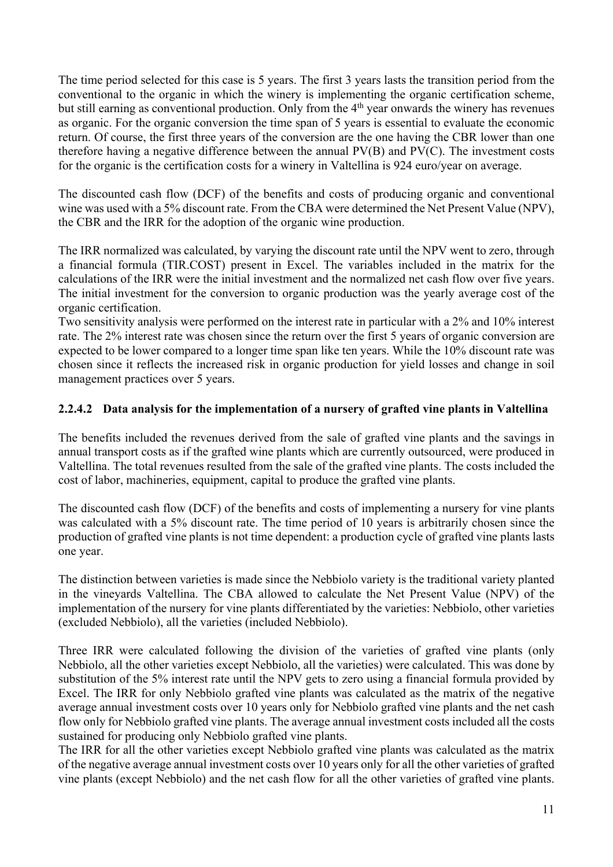The time period selected for this case is 5 years. The first 3 years lasts the transition period from the conventional to the organic in which the winery is implementing the organic certification scheme, but still earning as conventional production. Only from the 4<sup>th</sup> year onwards the winery has revenues as organic. For the organic conversion the time span of 5 years is essential to evaluate the economic return. Of course, the first three years of the conversion are the one having the CBR lower than one therefore having a negative difference between the annual PV(B) and PV(C). The investment costs for the organic is the certification costs for a winery in Valtellina is 924 euro/year on average.

The discounted cash flow (DCF) of the benefits and costs of producing organic and conventional wine was used with a 5% discount rate. From the CBA were determined the Net Present Value (NPV), the CBR and the IRR for the adoption of the organic wine production.

The IRR normalized was calculated, by varying the discount rate until the NPV went to zero, through a financial formula (TIR.COST) present in Excel. The variables included in the matrix for the calculations of the IRR were the initial investment and the normalized net cash flow over five years. The initial investment for the conversion to organic production was the yearly average cost of the organic certification.

Two sensitivity analysis were performed on the interest rate in particular with a 2% and 10% interest rate. The 2% interest rate was chosen since the return over the first 5 years of organic conversion are expected to be lower compared to a longer time span like ten years. While the 10% discount rate was chosen since it reflects the increased risk in organic production for yield losses and change in soil management practices over 5 years.

# **2.2.4.2 Data analysis for the implementation of a nursery of grafted vine plants in Valtellina**

The benefits included the revenues derived from the sale of grafted vine plants and the savings in annual transport costs as if the grafted wine plants which are currently outsourced, were produced in Valtellina. The total revenues resulted from the sale of the grafted vine plants. The costs included the cost of labor, machineries, equipment, capital to produce the grafted vine plants.

The discounted cash flow (DCF) of the benefits and costs of implementing a nursery for vine plants was calculated with a 5% discount rate. The time period of 10 years is arbitrarily chosen since the production of grafted vine plants is not time dependent: a production cycle of grafted vine plants lasts one year.

The distinction between varieties is made since the Nebbiolo variety is the traditional variety planted in the vineyards Valtellina. The CBA allowed to calculate the Net Present Value (NPV) of the implementation of the nursery for vine plants differentiated by the varieties: Nebbiolo, other varieties (excluded Nebbiolo), all the varieties (included Nebbiolo).

Three IRR were calculated following the division of the varieties of grafted vine plants (only Nebbiolo, all the other varieties except Nebbiolo, all the varieties) were calculated. This was done by substitution of the 5% interest rate until the NPV gets to zero using a financial formula provided by Excel. The IRR for only Nebbiolo grafted vine plants was calculated as the matrix of the negative average annual investment costs over 10 years only for Nebbiolo grafted vine plants and the net cash flow only for Nebbiolo grafted vine plants. The average annual investment costs included all the costs sustained for producing only Nebbiolo grafted vine plants.

The IRR for all the other varieties except Nebbiolo grafted vine plants was calculated as the matrix of the negative average annual investment costs over 10 years only for all the other varieties of grafted vine plants (except Nebbiolo) and the net cash flow for all the other varieties of grafted vine plants.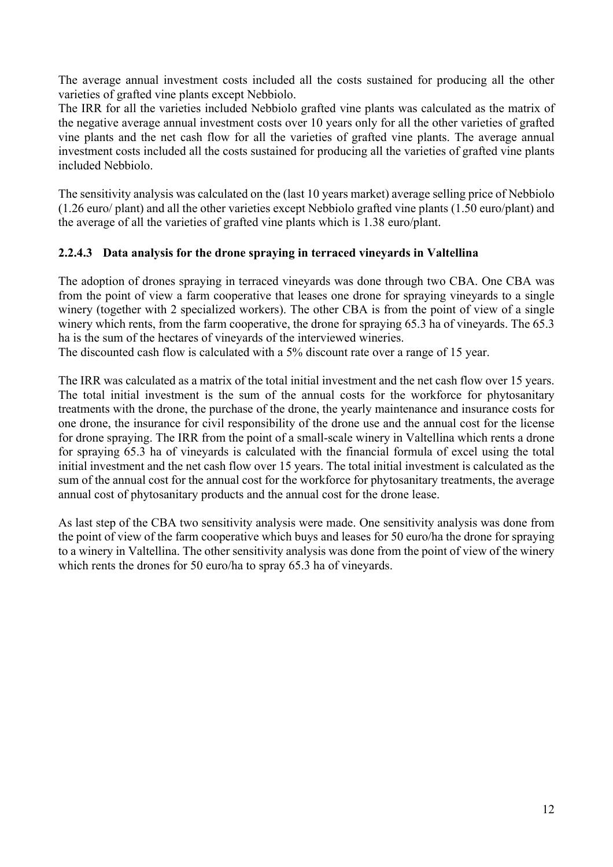The average annual investment costs included all the costs sustained for producing all the other varieties of grafted vine plants except Nebbiolo.

The IRR for all the varieties included Nebbiolo grafted vine plants was calculated as the matrix of the negative average annual investment costs over 10 years only for all the other varieties of grafted vine plants and the net cash flow for all the varieties of grafted vine plants. The average annual investment costs included all the costs sustained for producing all the varieties of grafted vine plants included Nebbiolo.

The sensitivity analysis was calculated on the (last 10 years market) average selling price of Nebbiolo (1.26 euro/ plant) and all the other varieties except Nebbiolo grafted vine plants (1.50 euro/plant) and the average of all the varieties of grafted vine plants which is 1.38 euro/plant.

# **2.2.4.3 Data analysis for the drone spraying in terraced vineyards in Valtellina**

The adoption of drones spraying in terraced vineyards was done through two CBA. One CBA was from the point of view a farm cooperative that leases one drone for spraying vineyards to a single winery (together with 2 specialized workers). The other CBA is from the point of view of a single winery which rents, from the farm cooperative, the drone for spraying 65.3 ha of vineyards. The 65.3 ha is the sum of the hectares of vineyards of the interviewed wineries.

The discounted cash flow is calculated with a 5% discount rate over a range of 15 year.

The IRR was calculated as a matrix of the total initial investment and the net cash flow over 15 years. The total initial investment is the sum of the annual costs for the workforce for phytosanitary treatments with the drone, the purchase of the drone, the yearly maintenance and insurance costs for one drone, the insurance for civil responsibility of the drone use and the annual cost for the license for drone spraying. The IRR from the point of a small-scale winery in Valtellina which rents a drone for spraying 65.3 ha of vineyards is calculated with the financial formula of excel using the total initial investment and the net cash flow over 15 years. The total initial investment is calculated as the sum of the annual cost for the annual cost for the workforce for phytosanitary treatments, the average annual cost of phytosanitary products and the annual cost for the drone lease.

As last step of the CBA two sensitivity analysis were made. One sensitivity analysis was done from the point of view of the farm cooperative which buys and leases for 50 euro/ha the drone for spraying to a winery in Valtellina. The other sensitivity analysis was done from the point of view of the winery which rents the drones for 50 euro/ha to spray 65.3 ha of vineyards.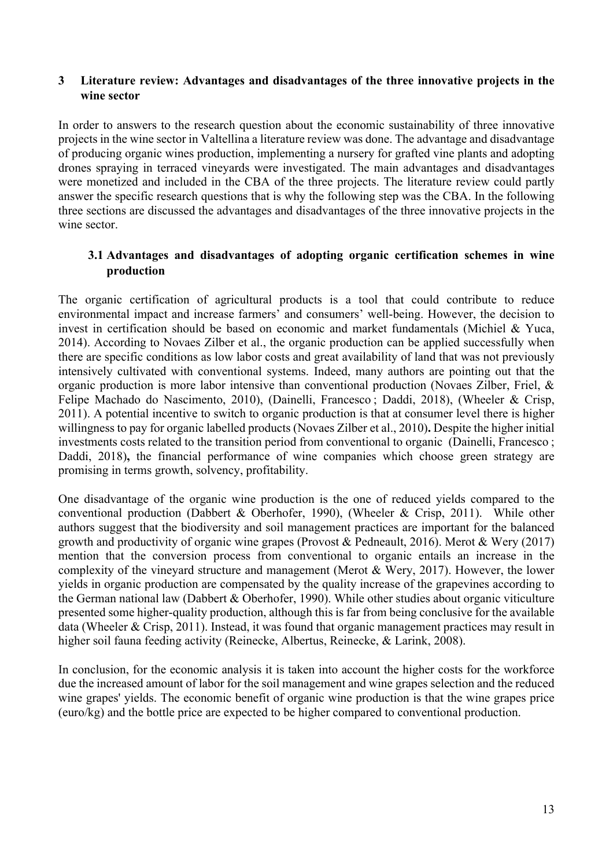### **3 Literature review: Advantages and disadvantages of the three innovative projects in the wine sector**

In order to answers to the research question about the economic sustainability of three innovative projects in the wine sector in Valtellina a literature review was done. The advantage and disadvantage of producing organic wines production, implementing a nursery for grafted vine plants and adopting drones spraying in terraced vineyards were investigated. The main advantages and disadvantages were monetized and included in the CBA of the three projects. The literature review could partly answer the specific research questions that is why the following step was the CBA. In the following three sections are discussed the advantages and disadvantages of the three innovative projects in the wine sector.

### **3.1 Advantages and disadvantages of adopting organic certification schemes in wine production**

The organic certification of agricultural products is a tool that could contribute to reduce environmental impact and increase farmers' and consumers' well-being. However, the decision to invest in certification should be based on economic and market fundamentals (Michiel & Yuca, 2014). According to Novaes Zilber et al., the organic production can be applied successfully when there are specific conditions as low labor costs and great availability of land that was not previously intensively cultivated with conventional systems. Indeed, many authors are pointing out that the organic production is more labor intensive than conventional production (Novaes Zilber, Friel, & Felipe Machado do Nascimento, 2010), (Dainelli, Francesco ; Daddi, 2018), (Wheeler & Crisp, 2011). A potential incentive to switch to organic production is that at consumer level there is higher willingness to pay for organic labelled products (Novaes Zilber et al., 2010)**.** Despite the higher initial investments costs related to the transition period from conventional to organic (Dainelli, Francesco ; Daddi, 2018), the financial performance of wine companies which choose green strategy are promising in terms growth, solvency, profitability.

One disadvantage of the organic wine production is the one of reduced yields compared to the conventional production (Dabbert & Oberhofer, 1990), (Wheeler & Crisp, 2011). While other authors suggest that the biodiversity and soil management practices are important for the balanced growth and productivity of organic wine grapes (Provost & Pedneault, 2016). Merot & Wery (2017) mention that the conversion process from conventional to organic entails an increase in the complexity of the vineyard structure and management (Merot & Wery, 2017). However, the lower yields in organic production are compensated by the quality increase of the grapevines according to the German national law (Dabbert & Oberhofer, 1990). While other studies about organic viticulture presented some higher-quality production, although this is far from being conclusive for the available data (Wheeler & Crisp, 2011). Instead, it was found that organic management practices may result in higher soil fauna feeding activity (Reinecke, Albertus, Reinecke, & Larink, 2008).

In conclusion, for the economic analysis it is taken into account the higher costs for the workforce due the increased amount of labor for the soil management and wine grapes selection and the reduced wine grapes' yields. The economic benefit of organic wine production is that the wine grapes price (euro/kg) and the bottle price are expected to be higher compared to conventional production.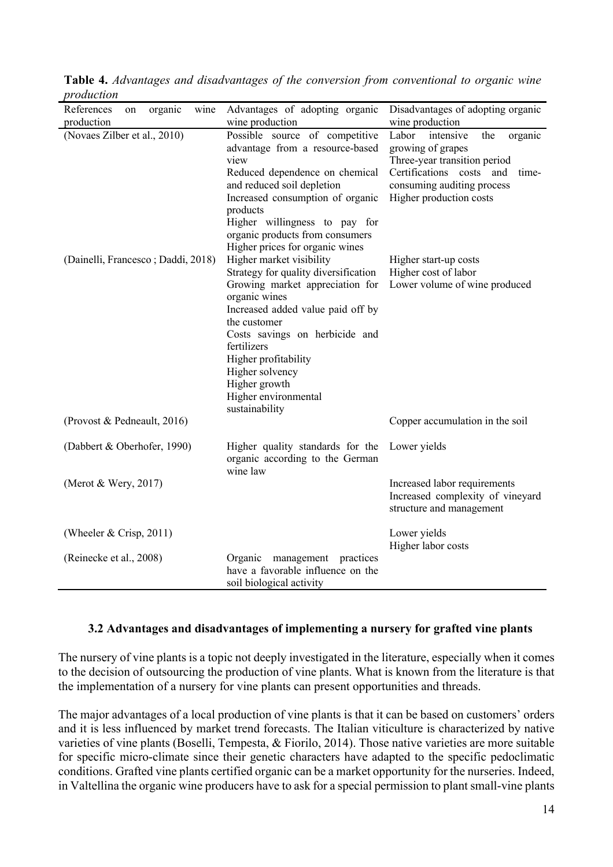| nouucuon                            |                                                                                                                                                                                                                                                                                                                                                                     |                                                                                                                                                                                         |
|-------------------------------------|---------------------------------------------------------------------------------------------------------------------------------------------------------------------------------------------------------------------------------------------------------------------------------------------------------------------------------------------------------------------|-----------------------------------------------------------------------------------------------------------------------------------------------------------------------------------------|
| wine<br>References<br>organic<br>on | Advantages of adopting organic                                                                                                                                                                                                                                                                                                                                      | Disadvantages of adopting organic                                                                                                                                                       |
| production                          | wine production                                                                                                                                                                                                                                                                                                                                                     | wine production                                                                                                                                                                         |
| (Novaes Zilber et al., 2010)        | Possible source of competitive<br>advantage from a resource-based<br>view<br>Reduced dependence on chemical<br>and reduced soil depletion<br>Increased consumption of organic<br>products<br>Higher willingness to pay for<br>organic products from consumers                                                                                                       | Labor<br>intensive<br>organic<br>the<br>growing of grapes<br>Three-year transition period<br>Certifications costs and<br>time-<br>consuming auditing process<br>Higher production costs |
| (Dainelli, Francesco; Daddi, 2018)  | Higher prices for organic wines<br>Higher market visibility<br>Strategy for quality diversification<br>Growing market appreciation for<br>organic wines<br>Increased added value paid off by<br>the customer<br>Costs savings on herbicide and<br>fertilizers<br>Higher profitability<br>Higher solvency<br>Higher growth<br>Higher environmental<br>sustainability | Higher start-up costs<br>Higher cost of labor<br>Lower volume of wine produced                                                                                                          |
| (Provost & Pedneault, 2016)         |                                                                                                                                                                                                                                                                                                                                                                     | Copper accumulation in the soil                                                                                                                                                         |
| (Dabbert & Oberhofer, 1990)         | Higher quality standards for the<br>organic according to the German<br>wine law                                                                                                                                                                                                                                                                                     | Lower yields                                                                                                                                                                            |
| (Merot & Wery, 2017)                |                                                                                                                                                                                                                                                                                                                                                                     | Increased labor requirements<br>Increased complexity of vineyard<br>structure and management                                                                                            |
| (Wheeler $& Crisp, 2011$ )          |                                                                                                                                                                                                                                                                                                                                                                     | Lower yields<br>Higher labor costs                                                                                                                                                      |
| (Reinecke et al., 2008)             | Organic<br>management practices<br>have a favorable influence on the<br>soil biological activity                                                                                                                                                                                                                                                                    |                                                                                                                                                                                         |

**Table 4.** *Advantages and disadvantages of the conversion from conventional to organic wine production*

# **3.2 Advantages and disadvantages of implementing a nursery for grafted vine plants**

The nursery of vine plants is a topic not deeply investigated in the literature, especially when it comes to the decision of outsourcing the production of vine plants. What is known from the literature is that the implementation of a nursery for vine plants can present opportunities and threads.

The major advantages of a local production of vine plants is that it can be based on customers' orders and it is less influenced by market trend forecasts. The Italian viticulture is characterized by native varieties of vine plants (Boselli, Tempesta, & Fiorilo, 2014). Those native varieties are more suitable for specific micro-climate since their genetic characters have adapted to the specific pedoclimatic conditions. Grafted vine plants certified organic can be a market opportunity for the nurseries. Indeed, in Valtellina the organic wine producers have to ask for a special permission to plant small-vine plants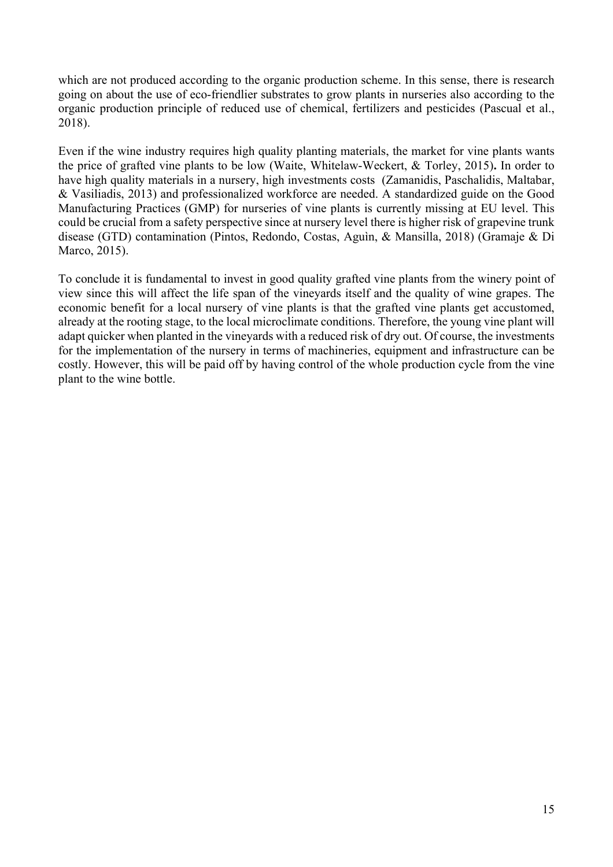which are not produced according to the organic production scheme. In this sense, there is research going on about the use of eco-friendlier substrates to grow plants in nurseries also according to the organic production principle of reduced use of chemical, fertilizers and pesticides (Pascual et al., 2018).

Even if the wine industry requires high quality planting materials, the market for vine plants wants the price of grafted vine plants to be low (Waite, Whitelaw-Weckert, & Torley, 2015)**.** In order to have high quality materials in a nursery, high investments costs (Zamanidis, Paschalidis, Maltabar, & Vasiliadis, 2013) and professionalized workforce are needed. A standardized guide on the Good Manufacturing Practices (GMP) for nurseries of vine plants is currently missing at EU level. This could be crucial from a safety perspective since at nursery level there is higher risk of grapevine trunk disease (GTD) contamination (Pintos, Redondo, Costas, Aguìn, & Mansilla, 2018) (Gramaje & Di Marco, 2015).

To conclude it is fundamental to invest in good quality grafted vine plants from the winery point of view since this will affect the life span of the vineyards itself and the quality of wine grapes. The economic benefit for a local nursery of vine plants is that the grafted vine plants get accustomed, already at the rooting stage, to the local microclimate conditions. Therefore, the young vine plant will adapt quicker when planted in the vineyards with a reduced risk of dry out. Of course, the investments for the implementation of the nursery in terms of machineries, equipment and infrastructure can be costly. However, this will be paid off by having control of the whole production cycle from the vine plant to the wine bottle.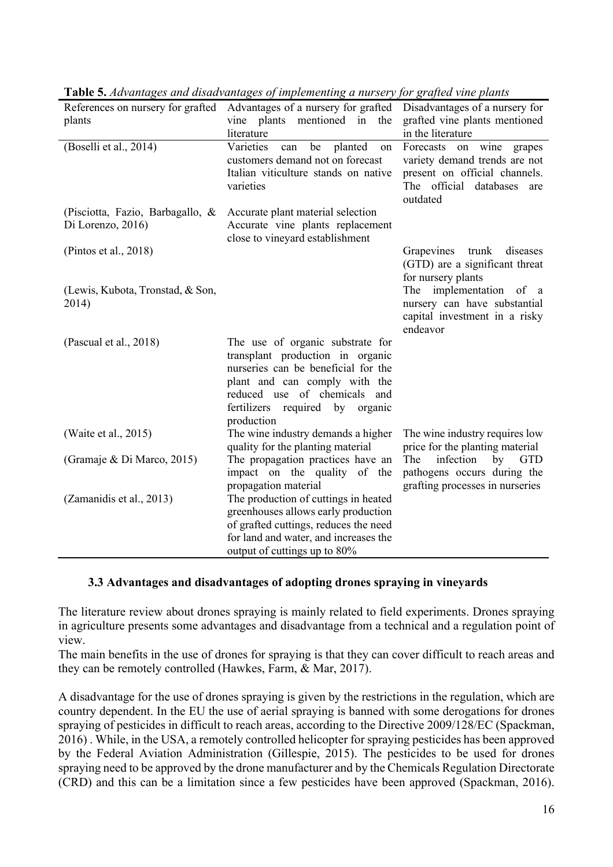|                                  | <u>2010 overwellings of and alone allings of imprementing a naroei from Section entrepression</u><br>References on nursery for grafted Advantages of a nursery for grafted Disadvantages of a nursery for |                                                                   |
|----------------------------------|-----------------------------------------------------------------------------------------------------------------------------------------------------------------------------------------------------------|-------------------------------------------------------------------|
| plants                           | vine plants mentioned in the                                                                                                                                                                              | grafted vine plants mentioned                                     |
|                                  | literature                                                                                                                                                                                                | in the literature                                                 |
| (Boselli et al., 2014)           | Varieties<br>planted<br>be<br>can<br>on                                                                                                                                                                   | on wine grapes<br>Forecasts                                       |
|                                  | customers demand not on forecast                                                                                                                                                                          | variety demand trends are not                                     |
|                                  | Italian viticulture stands on native                                                                                                                                                                      | present on official channels.                                     |
|                                  | varieties                                                                                                                                                                                                 | The official databases<br>are                                     |
|                                  |                                                                                                                                                                                                           | outdated                                                          |
| (Pisciotta, Fazio, Barbagallo, & | Accurate plant material selection                                                                                                                                                                         |                                                                   |
| Di Lorenzo, 2016)                | Accurate vine plants replacement                                                                                                                                                                          |                                                                   |
|                                  | close to vineyard establishment                                                                                                                                                                           |                                                                   |
| (Pintos et al., $2018$ )         |                                                                                                                                                                                                           | Grapevines trunk diseases                                         |
|                                  |                                                                                                                                                                                                           | (GTD) are a significant threat                                    |
|                                  |                                                                                                                                                                                                           | for nursery plants                                                |
| (Lewis, Kubota, Tronstad, & Son, |                                                                                                                                                                                                           | The implementation of a                                           |
| 2014)                            |                                                                                                                                                                                                           | nursery can have substantial                                      |
|                                  |                                                                                                                                                                                                           | capital investment in a risky                                     |
|                                  |                                                                                                                                                                                                           | endeavor                                                          |
| (Pascual et al., 2018)           | The use of organic substrate for                                                                                                                                                                          |                                                                   |
|                                  | transplant production in organic                                                                                                                                                                          |                                                                   |
|                                  | nurseries can be beneficial for the                                                                                                                                                                       |                                                                   |
|                                  | plant and can comply with the                                                                                                                                                                             |                                                                   |
|                                  | reduced use of chemicals and                                                                                                                                                                              |                                                                   |
|                                  | fertilizers required by organic                                                                                                                                                                           |                                                                   |
|                                  | production                                                                                                                                                                                                |                                                                   |
| (Waite et al., 2015)             | The wine industry demands a higher<br>quality for the planting material                                                                                                                                   | The wine industry requires low<br>price for the planting material |
| (Gramaje & Di Marco, 2015)       | The propagation practices have an                                                                                                                                                                         | infection by GTD<br>The                                           |
|                                  | impact on the quality of the                                                                                                                                                                              | pathogens occurs during the                                       |
|                                  | propagation material                                                                                                                                                                                      | grafting processes in nurseries                                   |
| (Zamanidis et al., 2013)         | The production of cuttings in heated                                                                                                                                                                      |                                                                   |
|                                  | greenhouses allows early production                                                                                                                                                                       |                                                                   |
|                                  | of grafted cuttings, reduces the need                                                                                                                                                                     |                                                                   |
|                                  | for land and water, and increases the                                                                                                                                                                     |                                                                   |
|                                  | output of cuttings up to 80%                                                                                                                                                                              |                                                                   |
|                                  |                                                                                                                                                                                                           |                                                                   |

**Table 5.** *Advantages and disadvantages of implementing a nursery for grafted vine plants*

### **3.3 Advantages and disadvantages of adopting drones spraying in vineyards**

The literature review about drones spraying is mainly related to field experiments. Drones spraying in agriculture presents some advantages and disadvantage from a technical and a regulation point of view.

The main benefits in the use of drones for spraying is that they can cover difficult to reach areas and they can be remotely controlled (Hawkes, Farm, & Mar, 2017).

A disadvantage for the use of drones spraying is given by the restrictions in the regulation, which are country dependent. In the EU the use of aerial spraying is banned with some derogations for drones spraying of pesticides in difficult to reach areas, according to the Directive 2009/128/EC (Spackman, 2016) . While, in the USA, a remotely controlled helicopter for spraying pesticides has been approved by the Federal Aviation Administration (Gillespie, 2015). The pesticides to be used for drones spraying need to be approved by the drone manufacturer and by the Chemicals Regulation Directorate (CRD) and this can be a limitation since a few pesticides have been approved (Spackman, 2016).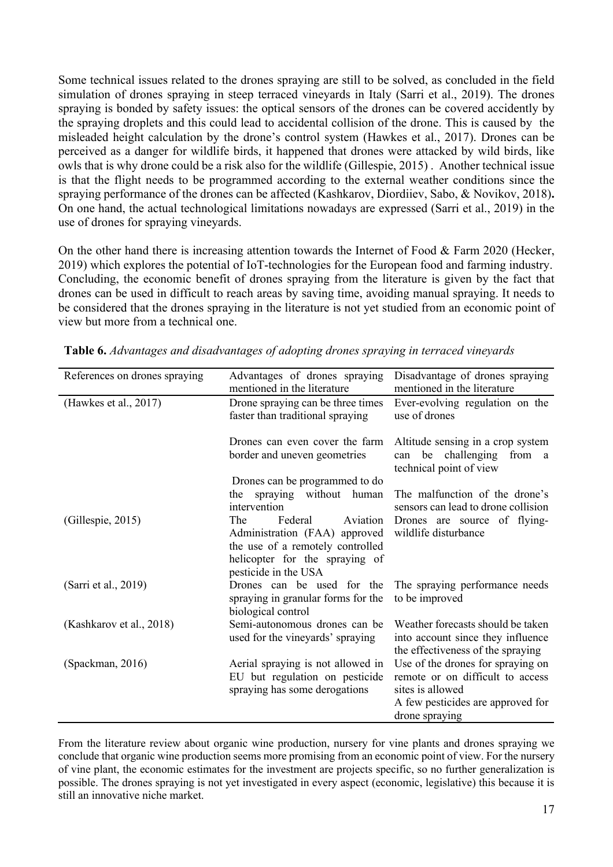Some technical issues related to the drones spraying are still to be solved, as concluded in the field simulation of drones spraying in steep terraced vineyards in Italy (Sarri et al., 2019). The drones spraying is bonded by safety issues: the optical sensors of the drones can be covered accidently by the spraying droplets and this could lead to accidental collision of the drone. This is caused by the misleaded height calculation by the drone's control system (Hawkes et al., 2017). Drones can be perceived as a danger for wildlife birds, it happened that drones were attacked by wild birds, like owls that is why drone could be a risk also for the wildlife (Gillespie, 2015) . Another technical issue is that the flight needs to be programmed according to the external weather conditions since the spraying performance of the drones can be affected (Kashkarov, Diordiiev, Sabo, & Novikov, 2018)**.**  On one hand, the actual technological limitations nowadays are expressed (Sarri et al., 2019) in the use of drones for spraying vineyards.

On the other hand there is increasing attention towards the Internet of Food & Farm 2020 (Hecker, 2019) which explores the potential of IoT-technologies for the European food and farming industry. Concluding, the economic benefit of drones spraying from the literature is given by the fact that drones can be used in difficult to reach areas by saving time, avoiding manual spraying. It needs to be considered that the drones spraying in the literature is not yet studied from an economic point of view but more from a technical one.

| References on drones spraying | Advantages of drones spraying<br>mentioned in the literature                                                                                              | Disadvantage of drones spraying<br>mentioned in the literature                                                                                   |
|-------------------------------|-----------------------------------------------------------------------------------------------------------------------------------------------------------|--------------------------------------------------------------------------------------------------------------------------------------------------|
| (Hawkes et al., 2017)         | Drone spraying can be three times<br>faster than traditional spraying                                                                                     | Ever-evolving regulation on the<br>use of drones                                                                                                 |
|                               | Drones can even cover the farm<br>border and uneven geometries                                                                                            | Altitude sensing in a crop system<br>be challenging<br>from a<br>can<br>technical point of view                                                  |
|                               | Drones can be programmed to do<br>the spraying without human<br>intervention                                                                              | The malfunction of the drone's<br>sensors can lead to drone collision                                                                            |
| (Gillespie, 2015)             | Aviation<br>The<br>Federal<br>Administration (FAA) approved<br>the use of a remotely controlled<br>helicopter for the spraying of<br>pesticide in the USA | Drones are source of flying-<br>wildlife disturbance                                                                                             |
| (Sarri et al., 2019)          | Drones can be used for the<br>spraying in granular forms for the<br>biological control                                                                    | The spraying performance needs<br>to be improved                                                                                                 |
| (Kashkarov et al., 2018)      | Semi-autonomous drones can be<br>used for the vineyards' spraying                                                                                         | Weather forecasts should be taken<br>into account since they influence<br>the effectiveness of the spraying                                      |
| (Spackman, 2016)              | Aerial spraying is not allowed in<br>EU but regulation on pesticide<br>spraying has some derogations                                                      | Use of the drones for spraying on<br>remote or on difficult to access<br>sites is allowed<br>A few pesticides are approved for<br>drone spraying |

**Table 6.** *Advantages and disadvantages of adopting drones spraying in terraced vineyards*

From the literature review about organic wine production, nursery for vine plants and drones spraying we conclude that organic wine production seems more promising from an economic point of view. For the nursery of vine plant, the economic estimates for the investment are projects specific, so no further generalization is possible. The drones spraying is not yet investigated in every aspect (economic, legislative) this because it is still an innovative niche market.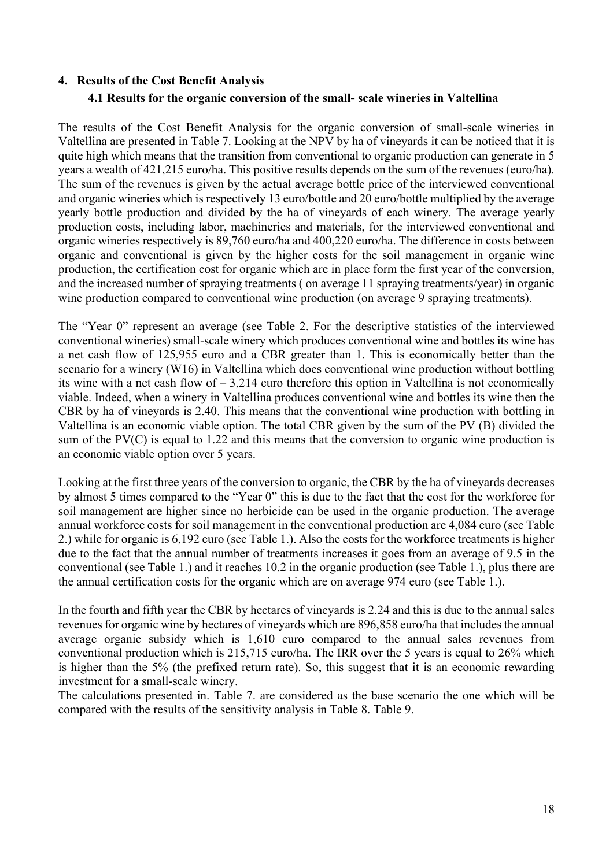#### **4. Results of the Cost Benefit Analysis**

### **4.1 Results for the organic conversion of the small- scale wineries in Valtellina**

The results of the Cost Benefit Analysis for the organic conversion of small-scale wineries in Valtellina are presented in Table 7. Looking at the NPV by ha of vineyards it can be noticed that it is quite high which means that the transition from conventional to organic production can generate in 5 years a wealth of 421,215 euro/ha. This positive results depends on the sum of the revenues (euro/ha). The sum of the revenues is given by the actual average bottle price of the interviewed conventional and organic wineries which is respectively 13 euro/bottle and 20 euro/bottle multiplied by the average yearly bottle production and divided by the ha of vineyards of each winery. The average yearly production costs, including labor, machineries and materials, for the interviewed conventional and organic wineries respectively is 89,760 euro/ha and 400,220 euro/ha. The difference in costs between organic and conventional is given by the higher costs for the soil management in organic wine production, the certification cost for organic which are in place form the first year of the conversion, and the increased number of spraying treatments ( on average 11 spraying treatments/year) in organic wine production compared to conventional wine production (on average 9 spraying treatments).

The "Year 0" represent an average (see Table 2. For the descriptive statistics of the interviewed conventional wineries) small-scale winery which produces conventional wine and bottles its wine has a net cash flow of 125,955 euro and a CBR greater than 1. This is economically better than the scenario for a winery (W16) in Valtellina which does conventional wine production without bottling its wine with a net cash flow of – 3,214 euro therefore this option in Valtellina is not economically viable. Indeed, when a winery in Valtellina produces conventional wine and bottles its wine then the CBR by ha of vineyards is 2.40. This means that the conventional wine production with bottling in Valtellina is an economic viable option. The total CBR given by the sum of the PV (B) divided the sum of the PV(C) is equal to 1.22 and this means that the conversion to organic wine production is an economic viable option over 5 years.

Looking at the first three years of the conversion to organic, the CBR by the ha of vineyards decreases by almost 5 times compared to the "Year 0" this is due to the fact that the cost for the workforce for soil management are higher since no herbicide can be used in the organic production. The average annual workforce costs for soil management in the conventional production are 4,084 euro (see Table 2.) while for organic is 6,192 euro (see Table 1.). Also the costs for the workforce treatments is higher due to the fact that the annual number of treatments increases it goes from an average of 9.5 in the conventional (see Table 1.) and it reaches 10.2 in the organic production (see Table 1.), plus there are the annual certification costs for the organic which are on average 974 euro (see Table 1.).

In the fourth and fifth year the CBR by hectares of vineyards is 2.24 and this is due to the annual sales revenues for organic wine by hectares of vineyards which are 896,858 euro/ha that includes the annual average organic subsidy which is 1,610 euro compared to the annual sales revenues from conventional production which is 215,715 euro/ha. The IRR over the 5 years is equal to 26% which is higher than the 5% (the prefixed return rate). So, this suggest that it is an economic rewarding investment for a small-scale winery.

The calculations presented in. Table 7. are considered as the base scenario the one which will be compared with the results of the sensitivity analysis in Table 8. Table 9.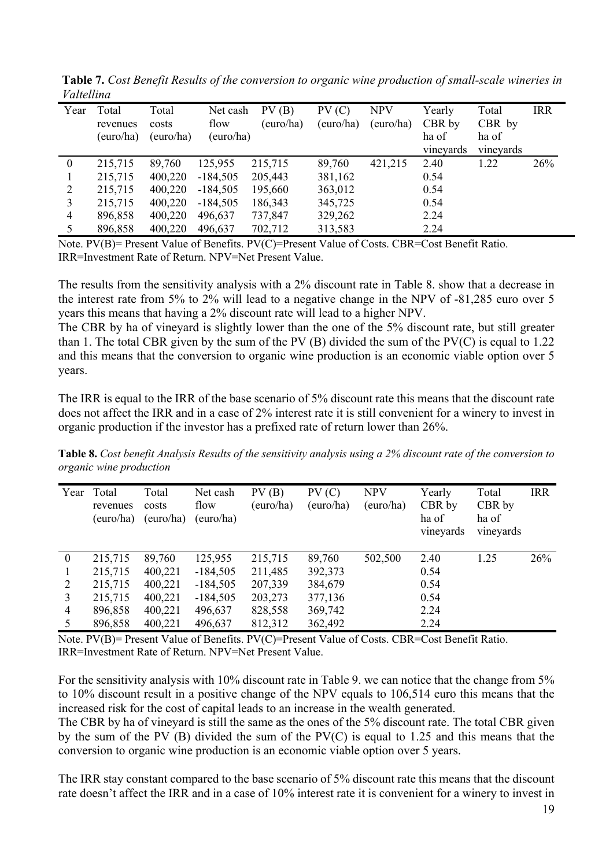| r uttettiin  |                   |                |                  |                    |                    |                         |                  |                 |            |
|--------------|-------------------|----------------|------------------|--------------------|--------------------|-------------------------|------------------|-----------------|------------|
| Year         | Total<br>revenues | Total<br>costs | Net cash<br>flow | PV(B)<br>(euro/ha) | PV(C)<br>(euro/ha) | <b>NPV</b><br>(euro/ha) | Yearly<br>CBR by | Total<br>CBR by | <b>IRR</b> |
|              | (euro/ha)         | (euro/ha)      | (euro/ha)        |                    |                    |                         | ha of            | ha of           |            |
|              |                   |                |                  |                    |                    |                         | vineyards        | vineyards       |            |
| $\mathbf{0}$ | 215,715           | 89,760         | 125,955          | 215,715            | 89,760             | 421,215                 | 2.40             | 1.22            | 26%        |
|              | 215,715           | 400,220        | $-184,505$       | 205,443            | 381,162            |                         | 0.54             |                 |            |
| 2            | 215,715           | 400,220        | $-184,505$       | 195,660            | 363,012            |                         | 0.54             |                 |            |
| 3            | 215,715           | 400,220        | $-184,505$       | 186,343            | 345,725            |                         | 0.54             |                 |            |
| 4            | 896,858           | 400,220        | 496,637          | 737,847            | 329,262            |                         | 2.24             |                 |            |
|              | 896,858           | 400,220        | 496,637          | 702,712            | 313,583            |                         | 2.24             |                 |            |

**Table 7.** *Cost Benefit Results of the conversion to organic wine production of small-scale wineries in Valtellina*

The results from the sensitivity analysis with a 2% discount rate in Table 8. show that a decrease in the interest rate from 5% to 2% will lead to a negative change in the NPV of -81,285 euro over 5 years this means that having a 2% discount rate will lead to a higher NPV.

The CBR by ha of vineyard is slightly lower than the one of the 5% discount rate, but still greater than 1. The total CBR given by the sum of the PV (B) divided the sum of the PV(C) is equal to 1.22 and this means that the conversion to organic wine production is an economic viable option over 5 years.

The IRR is equal to the IRR of the base scenario of 5% discount rate this means that the discount rate does not affect the IRR and in a case of 2% interest rate it is still convenient for a winery to invest in organic production if the investor has a prefixed rate of return lower than 26%.

**Table 8.** *Cost benefit Analysis Results of the sensitivity analysis using a 2% discount rate of the conversion to organic wine production*

| Year             | Total<br>revenues<br>(euro/ha) | Total<br>costs<br>(euro/ha) | Net cash<br>flow<br>(euro/ha) | PV(B)<br>(euro/ha) | PV(C)<br>(euro/ha) | <b>NPV</b><br>(euro/ha) | Yearly<br>CBR by<br>ha of<br>vineyards | Total<br>CBR by<br>ha of<br>vineyards | <b>IRR</b> |
|------------------|--------------------------------|-----------------------------|-------------------------------|--------------------|--------------------|-------------------------|----------------------------------------|---------------------------------------|------------|
| $\boldsymbol{0}$ | 215,715                        | 89,760                      | 125,955                       | 215,715            | 89,760             | 502,500                 | 2.40                                   | 1.25                                  | 26%        |
|                  | 215,715                        | 400,221                     | $-184,505$                    | 211,485            | 392,373            |                         | 0.54                                   |                                       |            |
| 2                | 215,715                        | 400,221                     | $-184,505$                    | 207,339            | 384,679            |                         | 0.54                                   |                                       |            |
| 3                | 215,715                        | 400,221                     | $-184,505$                    | 203,273            | 377,136            |                         | 0.54                                   |                                       |            |
| 4                | 896,858                        | 400,221                     | 496,637                       | 828,558            | 369,742            |                         | 2.24                                   |                                       |            |
| 5                | 896,858                        | 400,221                     | 496,637                       | 812,312            | 362,492            |                         | 2.24                                   |                                       |            |

Note. PV(B)= Present Value of Benefits. PV(C)=Present Value of Costs. CBR=Cost Benefit Ratio. IRR=Investment Rate of Return. NPV=Net Present Value.

For the sensitivity analysis with 10% discount rate in Table 9. we can notice that the change from 5% to 10% discount result in a positive change of the NPV equals to 106,514 euro this means that the increased risk for the cost of capital leads to an increase in the wealth generated.

The CBR by ha of vineyard is still the same as the ones of the 5% discount rate. The total CBR given by the sum of the PV (B) divided the sum of the PV(C) is equal to 1.25 and this means that the conversion to organic wine production is an economic viable option over 5 years.

The IRR stay constant compared to the base scenario of 5% discount rate this means that the discount rate doesn't affect the IRR and in a case of 10% interest rate it is convenient for a winery to invest in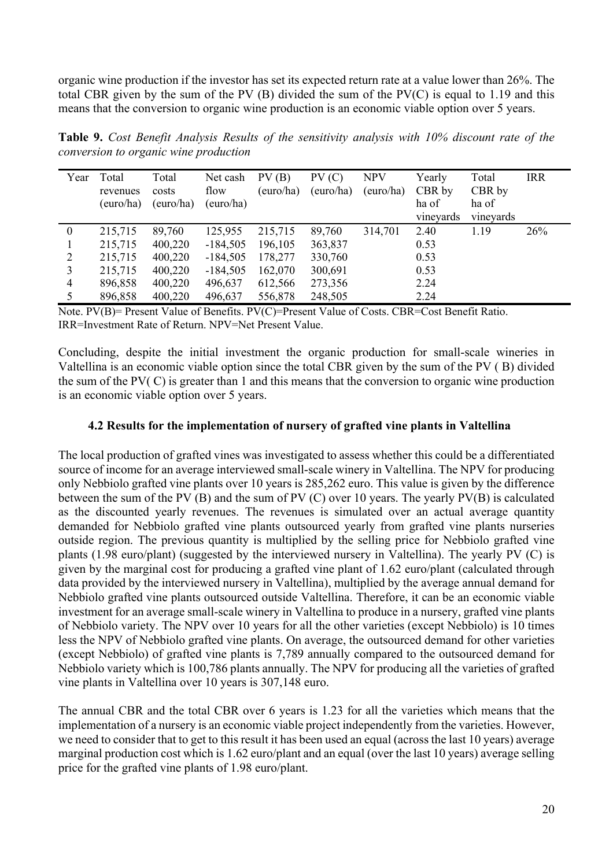organic wine production if the investor has set its expected return rate at a value lower than 26%. The total CBR given by the sum of the PV (B) divided the sum of the PV(C) is equal to 1.19 and this means that the conversion to organic wine production is an economic viable option over 5 years.

**Table 9.** *Cost Benefit Analysis Results of the sensitivity analysis with 10% discount rate of the conversion to organic wine production*

| Year           | Total<br>revenues<br>(euro/ha) | Total<br>costs<br>(euro/ha) | Net cash<br>flow<br>(euro/ha) | PV(B)<br>(euro/ha) | PV(C)<br>(euro/ha) | <b>NPV</b><br>(euro/ha) | Yearly<br>CBR by<br>ha of<br>vineyards | Total<br>CBR by<br>ha of<br>vineyards | <b>IRR</b> |
|----------------|--------------------------------|-----------------------------|-------------------------------|--------------------|--------------------|-------------------------|----------------------------------------|---------------------------------------|------------|
| $\theta$       | 215,715                        | 89,760                      | 125,955                       | 215,715            | 89,760             | 314,701                 | 2.40                                   | 1.19                                  | 26%        |
|                | 215,715                        | 400,220                     | $-184,505$                    | 196,105            | 363,837            |                         | 0.53                                   |                                       |            |
| 2              | 215,715                        | 400,220                     | $-184,505$                    | 178,277            | 330,760            |                         | 0.53                                   |                                       |            |
| 3              | 215,715                        | 400,220                     | $-184,505$                    | 162,070            | 300,691            |                         | 0.53                                   |                                       |            |
| $\overline{4}$ | 896,858                        | 400,220                     | 496,637                       | 612,566            | 273,356            |                         | 2.24                                   |                                       |            |
|                | 896,858                        | 400,220                     | 496,637                       | 556,878            | 248,505            |                         | 2.24                                   |                                       |            |

Note. PV(B)= Present Value of Benefits. PV(C)=Present Value of Costs. CBR=Cost Benefit Ratio. IRR=Investment Rate of Return. NPV=Net Present Value.

Concluding, despite the initial investment the organic production for small-scale wineries in Valtellina is an economic viable option since the total CBR given by the sum of the PV ( B) divided the sum of the PV( C) is greater than 1 and this means that the conversion to organic wine production is an economic viable option over 5 years.

#### **4.2 Results for the implementation of nursery of grafted vine plants in Valtellina**

The local production of grafted vines was investigated to assess whether this could be a differentiated source of income for an average interviewed small-scale winery in Valtellina. The NPV for producing only Nebbiolo grafted vine plants over 10 years is 285,262 euro. This value is given by the difference between the sum of the PV (B) and the sum of PV (C) over 10 years. The yearly PV(B) is calculated as the discounted yearly revenues. The revenues is simulated over an actual average quantity demanded for Nebbiolo grafted vine plants outsourced yearly from grafted vine plants nurseries outside region. The previous quantity is multiplied by the selling price for Nebbiolo grafted vine plants (1.98 euro/plant) (suggested by the interviewed nursery in Valtellina). The yearly PV (C) is given by the marginal cost for producing a grafted vine plant of 1.62 euro/plant (calculated through data provided by the interviewed nursery in Valtellina), multiplied by the average annual demand for Nebbiolo grafted vine plants outsourced outside Valtellina. Therefore, it can be an economic viable investment for an average small-scale winery in Valtellina to produce in a nursery, grafted vine plants of Nebbiolo variety. The NPV over 10 years for all the other varieties (except Nebbiolo) is 10 times less the NPV of Nebbiolo grafted vine plants. On average, the outsourced demand for other varieties (except Nebbiolo) of grafted vine plants is 7,789 annually compared to the outsourced demand for Nebbiolo variety which is 100,786 plants annually. The NPV for producing all the varieties of grafted vine plants in Valtellina over 10 years is 307,148 euro.

The annual CBR and the total CBR over 6 years is 1.23 for all the varieties which means that the implementation of a nursery is an economic viable project independently from the varieties. However, we need to consider that to get to this result it has been used an equal (across the last 10 years) average marginal production cost which is 1.62 euro/plant and an equal (over the last 10 years) average selling price for the grafted vine plants of 1.98 euro/plant.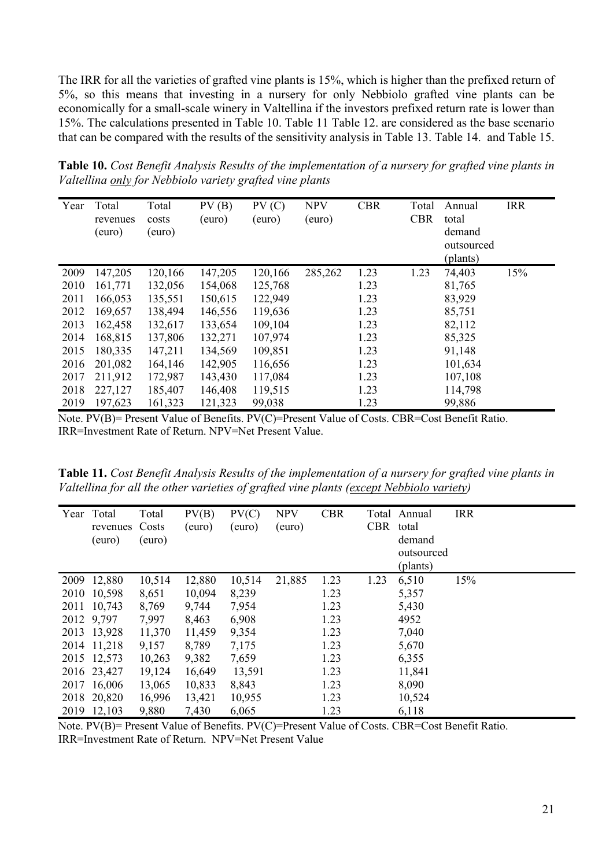The IRR for all the varieties of grafted vine plants is 15%, which is higher than the prefixed return of 5%, so this means that investing in a nursery for only Nebbiolo grafted vine plants can be economically for a small-scale winery in Valtellina if the investors prefixed return rate is lower than 15%. The calculations presented in Table 10. Table 11 Table 12. are considered as the base scenario that can be compared with the results of the sensitivity analysis in Table 13. Table 14. and Table 15.

| Year | Total<br>revenues<br>(euro) | Total<br>costs<br>(euro) | PV(B)<br>(euro) | PV(C)<br>(euro) | <b>NPV</b><br>(euro) | <b>CBR</b> | Total<br><b>CBR</b> | Annual<br>total<br>demand<br>outsourced<br>(plants) | <b>IRR</b> |
|------|-----------------------------|--------------------------|-----------------|-----------------|----------------------|------------|---------------------|-----------------------------------------------------|------------|
| 2009 | 147,205                     | 120,166                  | 147,205         | 120,166         | 285,262              | 1.23       | 1.23                | 74,403                                              | 15%        |
| 2010 | 161,771                     | 132,056                  | 154,068         | 125,768         |                      | 1.23       |                     | 81,765                                              |            |
| 2011 | 166,053                     | 135,551                  | 150,615         | 122,949         |                      | 1.23       |                     | 83,929                                              |            |
| 2012 | 169,657                     | 138,494                  | 146,556         | 119,636         |                      | 1.23       |                     | 85,751                                              |            |
| 2013 | 162,458                     | 132,617                  | 133,654         | 109,104         |                      | 1.23       |                     | 82,112                                              |            |
| 2014 | 168,815                     | 137,806                  | 132,271         | 107,974         |                      | 1.23       |                     | 85,325                                              |            |
| 2015 | 180,335                     | 147,211                  | 134,569         | 109,851         |                      | 1.23       |                     | 91,148                                              |            |
| 2016 | 201,082                     | 164,146                  | 142,905         | 116,656         |                      | 1.23       |                     | 101,634                                             |            |
| 2017 | 211,912                     | 172,987                  | 143,430         | 117,084         |                      | 1.23       |                     | 107,108                                             |            |
| 2018 | 227,127                     | 185,407                  | 146,408         | 119,515         |                      | 1.23       |                     | 114,798                                             |            |
| 2019 | 197,623                     | 161,323                  | 121,323         | 99,038          |                      | 1.23       |                     | 99,886                                              |            |

**Table 10.** *Cost Benefit Analysis Results of the implementation of a nursery for grafted vine plants in Valtellina only for Nebbiolo variety grafted vine plants*

Note. PV(B)= Present Value of Benefits. PV(C)=Present Value of Costs. CBR=Cost Benefit Ratio. IRR=Investment Rate of Return. NPV=Net Present Value.

**Table 11.** *Cost Benefit Analysis Results of the implementation of a nursery for grafted vine plants in Valtellina for all the other varieties of grafted vine plants (except Nebbiolo variety)*

| Year | Total<br>revenues<br>(euro) | Total<br>Costs<br>(euro) | PV(B)<br>(euro) | PV(C)<br>(euro) | <b>NPV</b><br>(euro) | <b>CBR</b> | <b>CBR</b> | Total Annual<br>total<br>demand<br>outsourced<br>(plants) | <b>IRR</b> |
|------|-----------------------------|--------------------------|-----------------|-----------------|----------------------|------------|------------|-----------------------------------------------------------|------------|
| 2009 | 12,880                      | 10,514                   | 12,880          | 10,514          | 21,885               | 1.23       | 1.23       | 6,510                                                     | 15%        |
| 2010 | 10,598                      | 8,651                    | 10,094          | 8,239           |                      | 1.23       |            | 5,357                                                     |            |
| 2011 | 10,743                      | 8,769                    | 9,744           | 7,954           |                      | 1.23       |            | 5,430                                                     |            |
|      | 2012 9,797                  | 7,997                    | 8,463           | 6,908           |                      | 1.23       |            | 4952                                                      |            |
|      | 2013 13,928                 | 11,370                   | 11,459          | 9,354           |                      | 1.23       |            | 7,040                                                     |            |
|      | 2014 11,218                 | 9,157                    | 8,789           | 7,175           |                      | 1.23       |            | 5,670                                                     |            |
|      | 2015 12,573                 | 10,263                   | 9,382           | 7,659           |                      | 1.23       |            | 6,355                                                     |            |
|      | 2016 23,427                 | 19,124                   | 16,649          | 13,591          |                      | 1.23       |            | 11,841                                                    |            |
|      | 2017 16,006                 | 13,065                   | 10,833          | 8,843           |                      | 1.23       |            | 8,090                                                     |            |
| 2018 | 20,820                      | 16,996                   | 13,421          | 10,955          |                      | 1.23       |            | 10,524                                                    |            |
|      | 2019 12,103                 | 9,880                    | 7,430           | 6,065           |                      | 1.23       |            | 6,118                                                     |            |

Note. PV(B)= Present Value of Benefits. PV(C)=Present Value of Costs. CBR=Cost Benefit Ratio. IRR=Investment Rate of Return. NPV=Net Present Value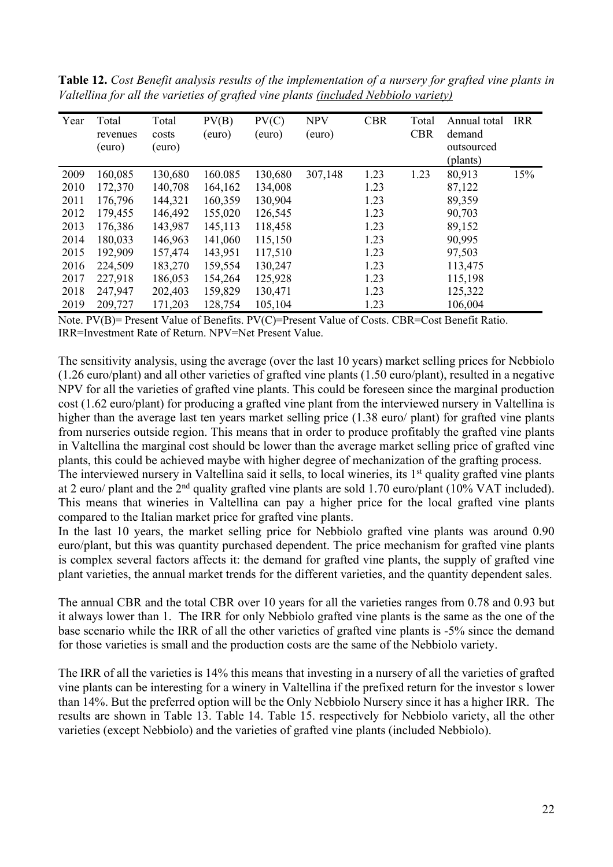| Year | Total<br>revenues<br>(euro) | Total<br>costs<br>(euro) | PV(B)<br>(euro) | PV(C)<br>(euro) | <b>NPV</b><br>(euro) | <b>CBR</b> | Total<br><b>CBR</b> | Annual total<br>demand<br>outsourced<br>(plants) | <b>IRR</b> |
|------|-----------------------------|--------------------------|-----------------|-----------------|----------------------|------------|---------------------|--------------------------------------------------|------------|
| 2009 | 160,085                     | 130,680                  | 160.085         | 130,680         | 307,148              | 1.23       | 1.23                | 80,913                                           | 15%        |
| 2010 | 172,370                     | 140,708                  | 164,162         | 134,008         |                      | 1.23       |                     | 87,122                                           |            |
| 2011 | 176,796                     | 144,321                  | 160,359         | 130,904         |                      | 1.23       |                     | 89,359                                           |            |
| 2012 | 179,455                     | 146,492                  | 155,020         | 126,545         |                      | 1.23       |                     | 90,703                                           |            |
| 2013 | 176,386                     | 143,987                  | 145,113         | 118,458         |                      | 1.23       |                     | 89,152                                           |            |
| 2014 | 180,033                     | 146,963                  | 141,060         | 115,150         |                      | 1.23       |                     | 90,995                                           |            |
| 2015 | 192,909                     | 157,474                  | 143,951         | 117,510         |                      | 1.23       |                     | 97,503                                           |            |
| 2016 | 224,509                     | 183,270                  | 159,554         | 130,247         |                      | 1.23       |                     | 113,475                                          |            |
| 2017 | 227,918                     | 186,053                  | 154,264         | 125,928         |                      | 1.23       |                     | 115,198                                          |            |
| 2018 | 247,947                     | 202,403                  | 159,829         | 130,471         |                      | 1.23       |                     | 125,322                                          |            |
| 2019 | 209,727                     | 171,203                  | 128,754         | 105,104         |                      | 1.23       |                     | 106,004                                          |            |

**Table 12.** *Cost Benefit analysis results of the implementation of a nursery for grafted vine plants in Valtellina for all the varieties of grafted vine plants (included Nebbiolo variety)*

The sensitivity analysis, using the average (over the last 10 years) market selling prices for Nebbiolo (1.26 euro/plant) and all other varieties of grafted vine plants (1.50 euro/plant), resulted in a negative NPV for all the varieties of grafted vine plants. This could be foreseen since the marginal production cost (1.62 euro/plant) for producing a grafted vine plant from the interviewed nursery in Valtellina is higher than the average last ten years market selling price (1.38 euro/ plant) for grafted vine plants from nurseries outside region. This means that in order to produce profitably the grafted vine plants in Valtellina the marginal cost should be lower than the average market selling price of grafted vine plants, this could be achieved maybe with higher degree of mechanization of the grafting process.

The interviewed nursery in Valtellina said it sells, to local wineries, its 1<sup>st</sup> quality grafted vine plants at 2 euro/ plant and the 2nd quality grafted vine plants are sold 1.70 euro/plant (10% VAT included). This means that wineries in Valtellina can pay a higher price for the local grafted vine plants compared to the Italian market price for grafted vine plants.

In the last 10 years, the market selling price for Nebbiolo grafted vine plants was around 0.90 euro/plant, but this was quantity purchased dependent. The price mechanism for grafted vine plants is complex several factors affects it: the demand for grafted vine plants, the supply of grafted vine plant varieties, the annual market trends for the different varieties, and the quantity dependent sales.

The annual CBR and the total CBR over 10 years for all the varieties ranges from 0.78 and 0.93 but it always lower than 1. The IRR for only Nebbiolo grafted vine plants is the same as the one of the base scenario while the IRR of all the other varieties of grafted vine plants is -5% since the demand for those varieties is small and the production costs are the same of the Nebbiolo variety.

The IRR of all the varieties is 14% this means that investing in a nursery of all the varieties of grafted vine plants can be interesting for a winery in Valtellina if the prefixed return for the investor s lower than 14%. But the preferred option will be the Only Nebbiolo Nursery since it has a higher IRR. The results are shown in Table 13. Table 14. Table 15. respectively for Nebbiolo variety, all the other varieties (except Nebbiolo) and the varieties of grafted vine plants (included Nebbiolo).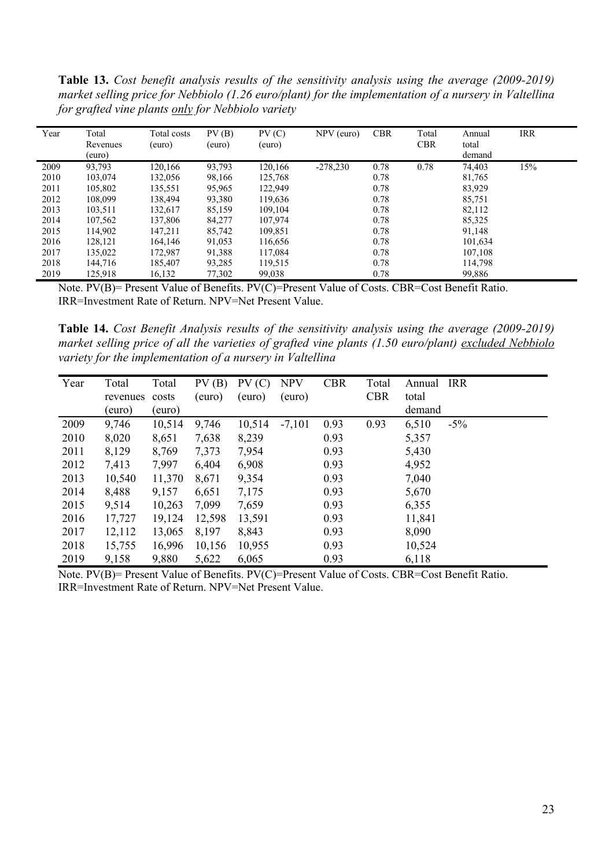**Table 13.** *Cost benefit analysis results of the sensitivity analysis using the average (2009-2019) market selling price for Nebbiolo (1.26 euro/plant) for the implementation of a nursery in Valtellina for grafted vine plants only for Nebbiolo variety*

| Year | Total<br>Revenues<br>(euro) | Total costs<br>(euro) | PV(B)<br>(euro) | PV(C)<br>(euro) | $NPV$ (euro) | <b>CBR</b> | Total<br><b>CBR</b> | Annual<br>total<br>demand | <b>IRR</b> |
|------|-----------------------------|-----------------------|-----------------|-----------------|--------------|------------|---------------------|---------------------------|------------|
| 2009 | 93,793                      | 120,166               | 93,793          | 120,166         | $-278,230$   | 0.78       | 0.78                | 74,403                    | 15%        |
| 2010 | 103,074                     | 132,056               | 98,166          | 125,768         |              | 0.78       |                     | 81,765                    |            |
| 2011 | 105.802                     | 135,551               | 95,965          | 122,949         |              | 0.78       |                     | 83,929                    |            |
| 2012 | 108,099                     | 138,494               | 93,380          | 119,636         |              | 0.78       |                     | 85,751                    |            |
| 2013 | 103,511                     | 132,617               | 85,159          | 109,104         |              | 0.78       |                     | 82,112                    |            |
| 2014 | 107,562                     | 137,806               | 84,277          | 107,974         |              | 0.78       |                     | 85,325                    |            |
| 2015 | 114,902                     | 147,211               | 85,742          | 109,851         |              | 0.78       |                     | 91,148                    |            |
| 2016 | 128,121                     | 164,146               | 91,053          | 116,656         |              | 0.78       |                     | 101.634                   |            |
| 2017 | 135,022                     | 172,987               | 91,388          | 117,084         |              | 0.78       |                     | 107.108                   |            |
| 2018 | 144.716                     | 185,407               | 93,285          | 119,515         |              | 0.78       |                     | 114,798                   |            |
| 2019 | 125.918                     | 16.132                | 77,302          | 99,038          |              | 0.78       |                     | 99,886                    |            |

**Table 14.** *Cost Benefit Analysis results of the sensitivity analysis using the average (2009-2019) market selling price of all the varieties of grafted vine plants (1.50 euro/plant) excluded Nebbiolo variety for the implementation of a nursery in Valtellina*

| Year | Total<br>revenues<br>(euro) | Total<br>costs<br>(euro) | PV(B)<br>(euro) | PV(C)<br>(euro) | <b>NPV</b><br>(euro) | <b>CBR</b> | Total<br><b>CBR</b> | Annual<br>total<br>demand | IRR    |
|------|-----------------------------|--------------------------|-----------------|-----------------|----------------------|------------|---------------------|---------------------------|--------|
| 2009 | 9,746                       | 10,514                   | 9,746           | 10,514          | $-7,101$             | 0.93       | 0.93                | 6,510                     | $-5\%$ |
|      |                             |                          |                 |                 |                      |            |                     |                           |        |
| 2010 | 8,020                       | 8,651                    | 7,638           | 8,239           |                      | 0.93       |                     | 5,357                     |        |
| 2011 | 8,129                       | 8,769                    | 7,373           | 7,954           |                      | 0.93       |                     | 5,430                     |        |
| 2012 | 7,413                       | 7,997                    | 6,404           | 6,908           |                      | 0.93       |                     | 4,952                     |        |
| 2013 | 10,540                      | 11,370                   | 8,671           | 9,354           |                      | 0.93       |                     | 7,040                     |        |
| 2014 | 8,488                       | 9,157                    | 6,651           | 7,175           |                      | 0.93       |                     | 5,670                     |        |
| 2015 | 9,514                       | 10,263                   | 7,099           | 7,659           |                      | 0.93       |                     | 6,355                     |        |
| 2016 | 17,727                      | 19,124                   | 12,598          | 13,591          |                      | 0.93       |                     | 11,841                    |        |
| 2017 | 12,112                      | 13,065                   | 8,197           | 8,843           |                      | 0.93       |                     | 8,090                     |        |
| 2018 | 15,755                      | 16,996                   | 10,156          | 10,955          |                      | 0.93       |                     | 10,524                    |        |
| 2019 | 9,158                       | 9,880                    | 5,622           | 6,065           |                      | 0.93       |                     | 6,118                     |        |

Note. PV(B)= Present Value of Benefits. PV(C)=Present Value of Costs. CBR=Cost Benefit Ratio. IRR=Investment Rate of Return. NPV=Net Present Value.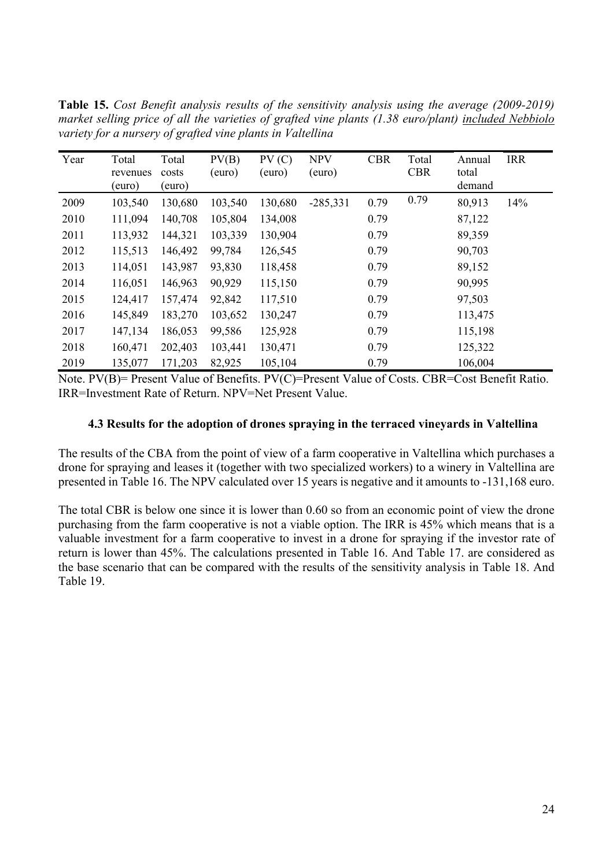|      | variety for a nursery of grafted vine plants in Valtellina |                          |                 |                 |                      |            |                     |                           |            |  |  |  |  |
|------|------------------------------------------------------------|--------------------------|-----------------|-----------------|----------------------|------------|---------------------|---------------------------|------------|--|--|--|--|
| Year | Total<br>revenues<br>(euro)                                | Total<br>costs<br>(euro) | PV(B)<br>(euro) | PV(C)<br>(euro) | <b>NPV</b><br>(euro) | <b>CBR</b> | Total<br><b>CBR</b> | Annual<br>total<br>demand | <b>IRR</b> |  |  |  |  |
| 2009 | 103,540                                                    | 130,680                  | 103,540         | 130,680         | $-285,331$           | 0.79       | 0.79                | 80,913                    | 14%        |  |  |  |  |
| 2010 | 111,094                                                    | 140,708                  | 105,804         | 134,008         |                      | 0.79       |                     | 87,122                    |            |  |  |  |  |
| 2011 | 113,932                                                    | 144,321                  | 103,339         | 130,904         |                      | 0.79       |                     | 89,359                    |            |  |  |  |  |
| 2012 | 115,513                                                    | 146,492                  | 99,784          | 126,545         |                      | 0.79       |                     | 90,703                    |            |  |  |  |  |
| 2013 | 114,051                                                    | 143,987                  | 93,830          | 118,458         |                      | 0.79       |                     | 89,152                    |            |  |  |  |  |
| 2014 | 116,051                                                    | 146,963                  | 90,929          | 115,150         |                      | 0.79       |                     | 90,995                    |            |  |  |  |  |
| 2015 | 124,417                                                    | 157,474                  | 92,842          | 117,510         |                      | 0.79       |                     | 97,503                    |            |  |  |  |  |
| 2016 | 145,849                                                    | 183,270                  | 103,652         | 130,247         |                      | 0.79       |                     | 113,475                   |            |  |  |  |  |
| 2017 | 147,134                                                    | 186,053                  | 99,586          | 125,928         |                      | 0.79       |                     | 115,198                   |            |  |  |  |  |

**Table 15.** *Cost Benefit analysis results of the sensitivity analysis using the average (2009-2019) market selling price of all the varieties of grafted vine plants (1.38 euro/plant) included Nebbiolo*

2018 160,471 202,403 103,441 130,471 0.79 125,322 2019 135,077 171,203 82,925 105,104 0.79 106,004

#### **4.3 Results for the adoption of drones spraying in the terraced vineyards in Valtellina**

The results of the CBA from the point of view of a farm cooperative in Valtellina which purchases a drone for spraying and leases it (together with two specialized workers) to a winery in Valtellina are presented in Table 16. The NPV calculated over 15 years is negative and it amounts to -131,168 euro.

The total CBR is below one since it is lower than 0.60 so from an economic point of view the drone purchasing from the farm cooperative is not a viable option. The IRR is 45% which means that is a valuable investment for a farm cooperative to invest in a drone for spraying if the investor rate of return is lower than 45%. The calculations presented in Table 16. And Table 17. are considered as the base scenario that can be compared with the results of the sensitivity analysis in Table 18. And Table 19.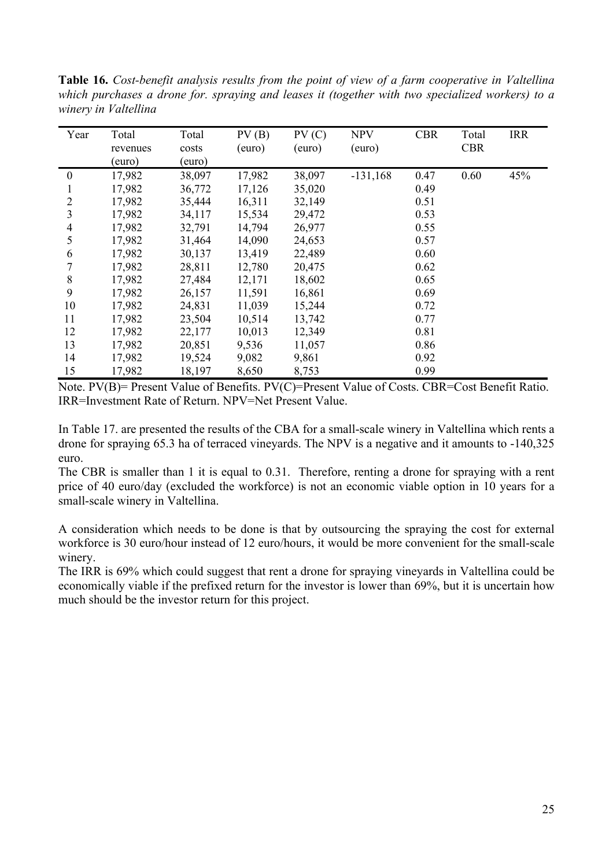**Table 16.** *Cost-benefit analysis results from the point of view of a farm cooperative in Valtellina which purchases a drone for. spraying and leases it (together with two specialized workers) to a winery in Valtellina*

| Year           | Total    | Total  | PV(B)  | PV(C)  | <b>NPV</b> | <b>CBR</b> | Total      | <b>IRR</b> |
|----------------|----------|--------|--------|--------|------------|------------|------------|------------|
|                | revenues | costs  | (euro) | (euro) | (euro)     |            | <b>CBR</b> |            |
|                | (euro)   | (euro) |        |        |            |            |            |            |
| $\theta$       | 17,982   | 38,097 | 17,982 | 38,097 | $-131,168$ | 0.47       | 0.60       | 45%        |
|                | 17,982   | 36,772 | 17,126 | 35,020 |            | 0.49       |            |            |
| $\overline{2}$ | 17,982   | 35,444 | 16,311 | 32,149 |            | 0.51       |            |            |
| 3              | 17,982   | 34,117 | 15,534 | 29,472 |            | 0.53       |            |            |
| 4              | 17,982   | 32,791 | 14,794 | 26,977 |            | 0.55       |            |            |
| 5              | 17,982   | 31,464 | 14,090 | 24,653 |            | 0.57       |            |            |
| 6              | 17,982   | 30,137 | 13,419 | 22,489 |            | 0.60       |            |            |
|                | 17,982   | 28,811 | 12,780 | 20,475 |            | 0.62       |            |            |
| 8              | 17,982   | 27,484 | 12,171 | 18,602 |            | 0.65       |            |            |
| 9              | 17,982   | 26,157 | 11,591 | 16,861 |            | 0.69       |            |            |
| 10             | 17,982   | 24,831 | 11,039 | 15,244 |            | 0.72       |            |            |
| 11             | 17,982   | 23,504 | 10,514 | 13,742 |            | 0.77       |            |            |
| 12             | 17,982   | 22,177 | 10,013 | 12,349 |            | 0.81       |            |            |
| 13             | 17,982   | 20,851 | 9,536  | 11,057 |            | 0.86       |            |            |
| 14             | 17,982   | 19,524 | 9,082  | 9,861  |            | 0.92       |            |            |
| 15             | 17,982   | 18,197 | 8,650  | 8,753  |            | 0.99       |            |            |

In Table 17. are presented the results of the CBA for a small-scale winery in Valtellina which rents a drone for spraying 65.3 ha of terraced vineyards. The NPV is a negative and it amounts to -140,325 euro.

The CBR is smaller than 1 it is equal to 0.31. Therefore, renting a drone for spraying with a rent price of 40 euro/day (excluded the workforce) is not an economic viable option in 10 years for a small-scale winery in Valtellina.

A consideration which needs to be done is that by outsourcing the spraying the cost for external workforce is 30 euro/hour instead of 12 euro/hours, it would be more convenient for the small-scale winery.

The IRR is 69% which could suggest that rent a drone for spraying vineyards in Valtellina could be economically viable if the prefixed return for the investor is lower than 69%, but it is uncertain how much should be the investor return for this project.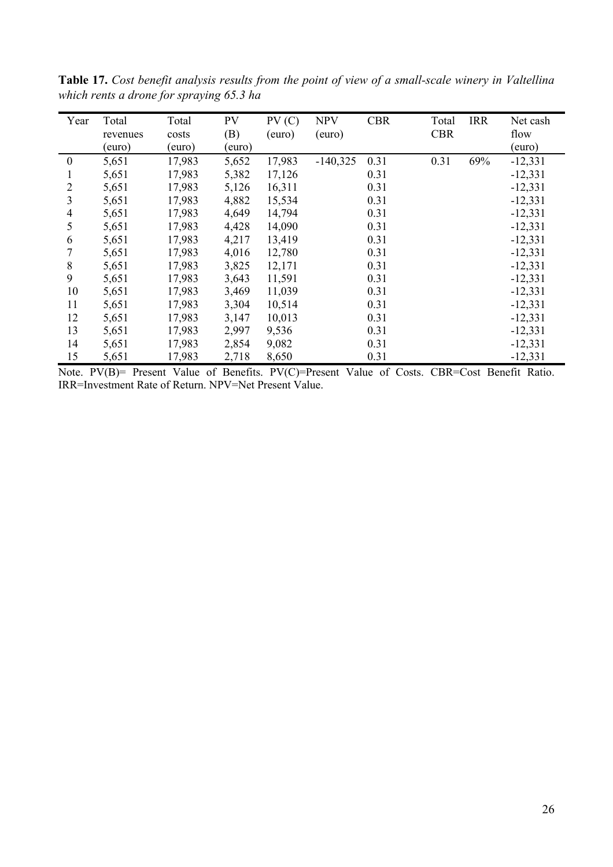| Year     | Total<br>revenues<br>(euro) | Total<br>costs<br>(euro) | PV<br>(B)<br>(euro) | PV(C)<br>(euro) | <b>NPV</b><br>(euro) | <b>CBR</b> | Total<br><b>CBR</b> | <b>IRR</b> | Net cash<br>flow<br>(euro) |
|----------|-----------------------------|--------------------------|---------------------|-----------------|----------------------|------------|---------------------|------------|----------------------------|
| $\theta$ | 5,651                       | 17,983                   | 5,652               | 17,983          | $-140,325$           | 0.31       | 0.31                | 69%        | $-12,331$                  |
|          | 5,651                       | 17,983                   | 5,382               | 17,126          |                      | 0.31       |                     |            | $-12,331$                  |
| 2        | 5,651                       | 17,983                   | 5,126               | 16,311          |                      | 0.31       |                     |            | $-12,331$                  |
| 3        | 5,651                       | 17,983                   | 4,882               | 15,534          |                      | 0.31       |                     |            | $-12,331$                  |
| 4        | 5,651                       | 17,983                   | 4,649               | 14,794          |                      | 0.31       |                     |            | $-12,331$                  |
| 5        | 5,651                       | 17,983                   | 4,428               | 14,090          |                      | 0.31       |                     |            | $-12,331$                  |
| 6        | 5,651                       | 17,983                   | 4,217               | 13,419          |                      | 0.31       |                     |            | $-12,331$                  |
| 7        | 5,651                       | 17,983                   | 4,016               | 12,780          |                      | 0.31       |                     |            | $-12,331$                  |
| 8        | 5,651                       | 17,983                   | 3,825               | 12,171          |                      | 0.31       |                     |            | $-12,331$                  |
| 9        | 5,651                       | 17,983                   | 3,643               | 11,591          |                      | 0.31       |                     |            | $-12,331$                  |
| 10       | 5,651                       | 17,983                   | 3,469               | 11,039          |                      | 0.31       |                     |            | $-12,331$                  |
| 11       | 5,651                       | 17,983                   | 3,304               | 10,514          |                      | 0.31       |                     |            | $-12,331$                  |
| 12       | 5,651                       | 17,983                   | 3,147               | 10,013          |                      | 0.31       |                     |            | $-12,331$                  |
| 13       | 5,651                       | 17,983                   | 2,997               | 9,536           |                      | 0.31       |                     |            | $-12,331$                  |
| 14       | 5,651                       | 17,983                   | 2,854               | 9,082           |                      | 0.31       |                     |            | $-12,331$                  |
| 15       | 5,651                       | 17,983                   | 2,718               | 8,650           |                      | 0.31       |                     |            | $-12,331$                  |

**Table 17.** *Cost benefit analysis results from the point of view of a small-scale winery in Valtellina which rents a drone for spraying 65.3 ha*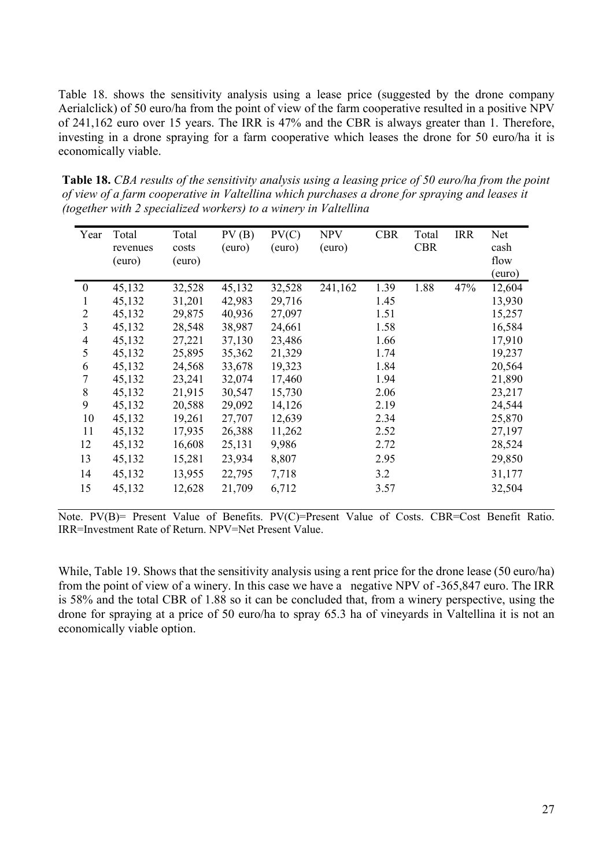Table 18. shows the sensitivity analysis using a lease price (suggested by the drone company Aerialclick) of 50 euro/ha from the point of view of the farm cooperative resulted in a positive NPV of 241,162 euro over 15 years. The IRR is 47% and the CBR is always greater than 1. Therefore, investing in a drone spraying for a farm cooperative which leases the drone for 50 euro/ha it is economically viable.

**Table 18.** *CBA results of the sensitivity analysis using a leasing price of 50 euro/ha from the point of view of a farm cooperative in Valtellina which purchases a drone for spraying and leases it (together with 2 specialized workers) to a winery in Valtellina*

| Year             | Total<br>revenues<br>(euro) | Total<br>costs<br>(euro) | PV(B)<br>(euro) | PV(C)<br>(euro) | <b>NPV</b><br>(euro) | <b>CBR</b> | Total<br><b>CBR</b> | <b>IRR</b> | Net<br>cash<br>flow |
|------------------|-----------------------------|--------------------------|-----------------|-----------------|----------------------|------------|---------------------|------------|---------------------|
|                  |                             |                          |                 |                 |                      |            |                     |            | (euro)              |
| $\boldsymbol{0}$ | 45,132                      | 32,528                   | 45,132          | 32,528          | 241,162              | 1.39       | 1.88                | 47%        | 12,604              |
|                  | 45,132                      | 31,201                   | 42,983          | 29,716          |                      | 1.45       |                     |            | 13,930              |
| 2                | 45,132                      | 29,875                   | 40,936          | 27,097          |                      | 1.51       |                     |            | 15,257              |
| 3                | 45,132                      | 28,548                   | 38,987          | 24,661          |                      | 1.58       |                     |            | 16,584              |
| $\overline{4}$   | 45,132                      | 27,221                   | 37,130          | 23,486          |                      | 1.66       |                     |            | 17,910              |
| 5                | 45,132                      | 25,895                   | 35,362          | 21,329          |                      | 1.74       |                     |            | 19,237              |
| 6                | 45,132                      | 24,568                   | 33,678          | 19,323          |                      | 1.84       |                     |            | 20,564              |
| 7                | 45,132                      | 23,241                   | 32,074          | 17,460          |                      | 1.94       |                     |            | 21,890              |
| 8                | 45,132                      | 21,915                   | 30,547          | 15,730          |                      | 2.06       |                     |            | 23,217              |
| 9                | 45,132                      | 20,588                   | 29,092          | 14,126          |                      | 2.19       |                     |            | 24,544              |
| 10               | 45,132                      | 19,261                   | 27,707          | 12,639          |                      | 2.34       |                     |            | 25,870              |
| 11               | 45,132                      | 17,935                   | 26,388          | 11,262          |                      | 2.52       |                     |            | 27,197              |
| 12               | 45,132                      | 16,608                   | 25,131          | 9,986           |                      | 2.72       |                     |            | 28,524              |
| 13               | 45,132                      | 15,281                   | 23,934          | 8,807           |                      | 2.95       |                     |            | 29,850              |
| 14               | 45,132                      | 13,955                   | 22,795          | 7,718           |                      | 3.2        |                     |            | 31,177              |
| 15               | 45,132                      | 12,628                   | 21,709          | 6,712           |                      | 3.57       |                     |            | 32,504              |

Note. PV(B)= Present Value of Benefits. PV(C)=Present Value of Costs. CBR=Cost Benefit Ratio. IRR=Investment Rate of Return. NPV=Net Present Value.

While, Table 19. Shows that the sensitivity analysis using a rent price for the drone lease (50 euro/ha) from the point of view of a winery. In this case we have a negative NPV of -365,847 euro. The IRR is 58% and the total CBR of 1.88 so it can be concluded that, from a winery perspective, using the drone for spraying at a price of 50 euro/ha to spray 65.3 ha of vineyards in Valtellina it is not an economically viable option.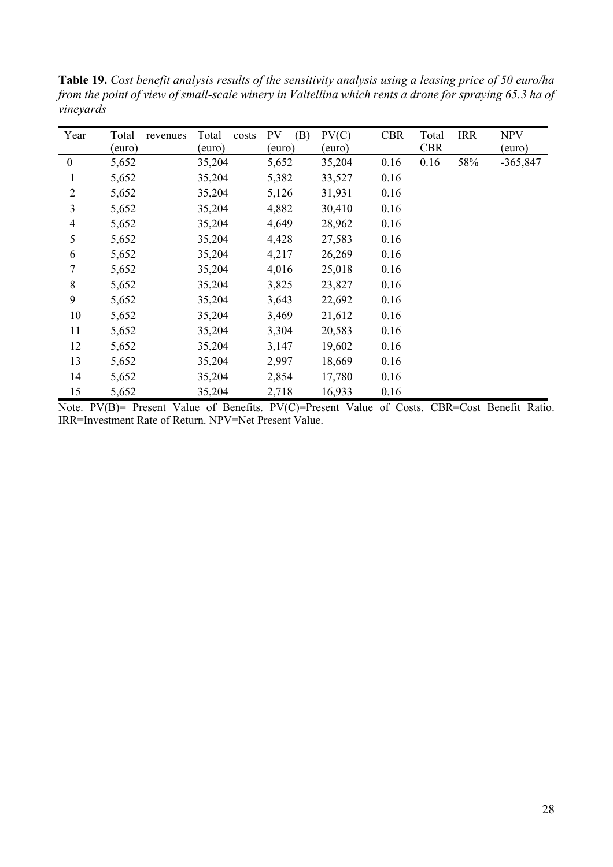**Table 19.** *Cost benefit analysis results of the sensitivity analysis using a leasing price of 50 euro/ha from the point of view of small-scale winery in Valtellina which rents a drone for spraying 65.3 ha of vineyards*

| Year             | Total<br>revenues | Total<br>costs | PV<br>(B) | PV(C)  | <b>CBR</b> | Total      | <b>IRR</b> | <b>NPV</b> |
|------------------|-------------------|----------------|-----------|--------|------------|------------|------------|------------|
|                  | (euro)            | (euro)         | (euro)    | (euro) |            | <b>CBR</b> |            | (euro)     |
| $\boldsymbol{0}$ | 5,652             | 35,204         | 5,652     | 35,204 | 0.16       | 0.16       | 58%        | $-365,847$ |
| $\mathbf{1}$     | 5,652             | 35,204         | 5,382     | 33,527 | 0.16       |            |            |            |
| $\overline{2}$   | 5,652             | 35,204         | 5,126     | 31,931 | 0.16       |            |            |            |
| 3                | 5,652             | 35,204         | 4,882     | 30,410 | 0.16       |            |            |            |
| $\overline{4}$   | 5,652             | 35,204         | 4,649     | 28,962 | 0.16       |            |            |            |
| 5                | 5,652             | 35,204         | 4,428     | 27,583 | 0.16       |            |            |            |
| 6                | 5,652             | 35,204         | 4,217     | 26,269 | 0.16       |            |            |            |
| 7                | 5,652             | 35,204         | 4,016     | 25,018 | 0.16       |            |            |            |
| $\,8\,$          | 5,652             | 35,204         | 3,825     | 23,827 | 0.16       |            |            |            |
| 9                | 5,652             | 35,204         | 3,643     | 22,692 | 0.16       |            |            |            |
| 10               | 5,652             | 35,204         | 3,469     | 21,612 | 0.16       |            |            |            |
| 11               | 5,652             | 35,204         | 3,304     | 20,583 | 0.16       |            |            |            |
| 12               | 5,652             | 35,204         | 3,147     | 19,602 | 0.16       |            |            |            |
| 13               | 5,652             | 35,204         | 2,997     | 18,669 | 0.16       |            |            |            |
| 14               | 5,652             | 35,204         | 2,854     | 17,780 | 0.16       |            |            |            |
| 15               | 5,652             | 35,204         | 2,718     | 16,933 | 0.16       |            |            |            |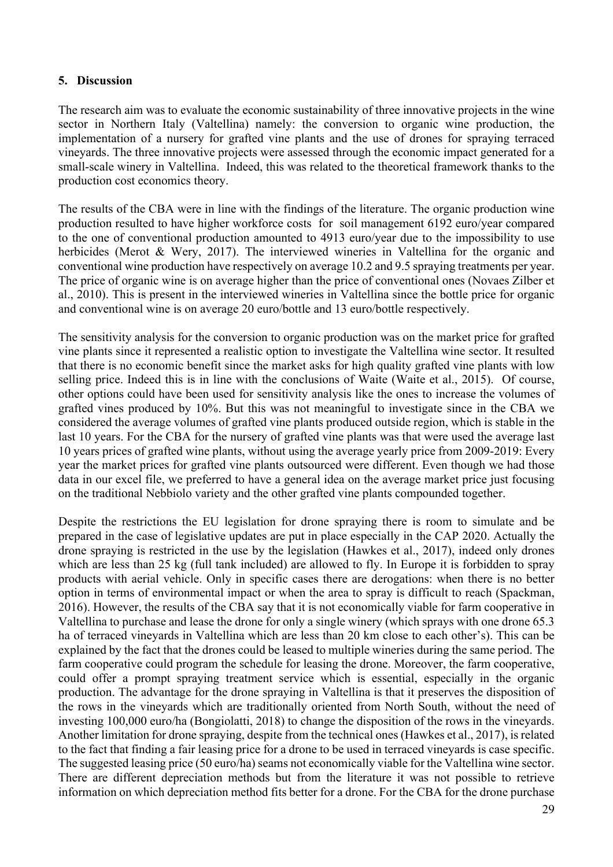#### **5. Discussion**

The research aim was to evaluate the economic sustainability of three innovative projects in the wine sector in Northern Italy (Valtellina) namely: the conversion to organic wine production, the implementation of a nursery for grafted vine plants and the use of drones for spraying terraced vineyards. The three innovative projects were assessed through the economic impact generated for a small-scale winery in Valtellina. Indeed, this was related to the theoretical framework thanks to the production cost economics theory.

The results of the CBA were in line with the findings of the literature. The organic production wine production resulted to have higher workforce costs for soil management 6192 euro/year compared to the one of conventional production amounted to 4913 euro/year due to the impossibility to use herbicides (Merot & Wery, 2017). The interviewed wineries in Valtellina for the organic and conventional wine production have respectively on average 10.2 and 9.5 spraying treatments per year. The price of organic wine is on average higher than the price of conventional ones (Novaes Zilber et al., 2010). This is present in the interviewed wineries in Valtellina since the bottle price for organic and conventional wine is on average 20 euro/bottle and 13 euro/bottle respectively.

The sensitivity analysis for the conversion to organic production was on the market price for grafted vine plants since it represented a realistic option to investigate the Valtellina wine sector. It resulted that there is no economic benefit since the market asks for high quality grafted vine plants with low selling price. Indeed this is in line with the conclusions of Waite (Waite et al., 2015). Of course, other options could have been used for sensitivity analysis like the ones to increase the volumes of grafted vines produced by 10%. But this was not meaningful to investigate since in the CBA we considered the average volumes of grafted vine plants produced outside region, which is stable in the last 10 years. For the CBA for the nursery of grafted vine plants was that were used the average last 10 years prices of grafted wine plants, without using the average yearly price from 2009-2019: Every year the market prices for grafted vine plants outsourced were different. Even though we had those data in our excel file, we preferred to have a general idea on the average market price just focusing on the traditional Nebbiolo variety and the other grafted vine plants compounded together.

Despite the restrictions the EU legislation for drone spraying there is room to simulate and be prepared in the case of legislative updates are put in place especially in the CAP 2020. Actually the drone spraying is restricted in the use by the legislation (Hawkes et al., 2017), indeed only drones which are less than 25 kg (full tank included) are allowed to fly. In Europe it is forbidden to spray products with aerial vehicle. Only in specific cases there are derogations: when there is no better option in terms of environmental impact or when the area to spray is difficult to reach (Spackman, 2016). However, the results of the CBA say that it is not economically viable for farm cooperative in Valtellina to purchase and lease the drone for only a single winery (which sprays with one drone 65.3 ha of terraced vineyards in Valtellina which are less than 20 km close to each other's). This can be explained by the fact that the drones could be leased to multiple wineries during the same period. The farm cooperative could program the schedule for leasing the drone. Moreover, the farm cooperative, could offer a prompt spraying treatment service which is essential, especially in the organic production. The advantage for the drone spraying in Valtellina is that it preserves the disposition of the rows in the vineyards which are traditionally oriented from North South, without the need of investing 100,000 euro/ha (Bongiolatti, 2018) to change the disposition of the rows in the vineyards. Another limitation for drone spraying, despite from the technical ones (Hawkes et al., 2017), is related to the fact that finding a fair leasing price for a drone to be used in terraced vineyards is case specific. The suggested leasing price (50 euro/ha) seams not economically viable for the Valtellina wine sector. There are different depreciation methods but from the literature it was not possible to retrieve information on which depreciation method fits better for a drone. For the CBA for the drone purchase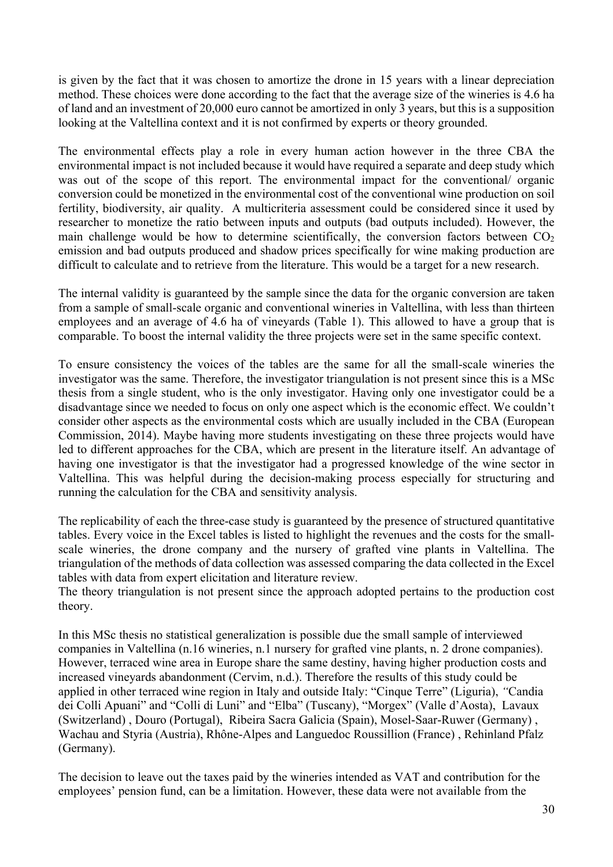is given by the fact that it was chosen to amortize the drone in 15 years with a linear depreciation method. These choices were done according to the fact that the average size of the wineries is 4.6 ha of land and an investment of 20,000 euro cannot be amortized in only 3 years, but this is a supposition looking at the Valtellina context and it is not confirmed by experts or theory grounded.

The environmental effects play a role in every human action however in the three CBA the environmental impact is not included because it would have required a separate and deep study which was out of the scope of this report. The environmental impact for the conventional/ organic conversion could be monetized in the environmental cost of the conventional wine production on soil fertility, biodiversity, air quality. A multicriteria assessment could be considered since it used by researcher to monetize the ratio between inputs and outputs (bad outputs included). However, the main challenge would be how to determine scientifically, the conversion factors between  $CO<sub>2</sub>$ emission and bad outputs produced and shadow prices specifically for wine making production are difficult to calculate and to retrieve from the literature. This would be a target for a new research.

The internal validity is guaranteed by the sample since the data for the organic conversion are taken from a sample of small-scale organic and conventional wineries in Valtellina, with less than thirteen employees and an average of 4.6 ha of vineyards (Table 1). This allowed to have a group that is comparable. To boost the internal validity the three projects were set in the same specific context.

To ensure consistency the voices of the tables are the same for all the small-scale wineries the investigator was the same. Therefore, the investigator triangulation is not present since this is a MSc thesis from a single student, who is the only investigator. Having only one investigator could be a disadvantage since we needed to focus on only one aspect which is the economic effect. We couldn't consider other aspects as the environmental costs which are usually included in the CBA (European Commission, 2014). Maybe having more students investigating on these three projects would have led to different approaches for the CBA, which are present in the literature itself. An advantage of having one investigator is that the investigator had a progressed knowledge of the wine sector in Valtellina. This was helpful during the decision-making process especially for structuring and running the calculation for the CBA and sensitivity analysis.

The replicability of each the three-case study is guaranteed by the presence of structured quantitative tables. Every voice in the Excel tables is listed to highlight the revenues and the costs for the smallscale wineries, the drone company and the nursery of grafted vine plants in Valtellina. The triangulation of the methods of data collection was assessed comparing the data collected in the Excel tables with data from expert elicitation and literature review.

The theory triangulation is not present since the approach adopted pertains to the production cost theory.

In this MSc thesis no statistical generalization is possible due the small sample of interviewed companies in Valtellina (n.16 wineries, n.1 nursery for grafted vine plants, n. 2 drone companies). However, terraced wine area in Europe share the same destiny, having higher production costs and increased vineyards abandonment (Cervim, n.d.). Therefore the results of this study could be applied in other terraced wine region in Italy and outside Italy: "Cinque Terre" (Liguria), *"*Candia dei Colli Apuani" and "Colli di Luni" and "Elba" (Tuscany), "Morgex" (Valle d'Aosta),Lavaux (Switzerland) , Douro (Portugal), Ribeira Sacra Galicia (Spain), Mosel-Saar-Ruwer (Germany) , Wachau and Styria (Austria), Rhône-Alpes and Languedoc Roussillion (France) , Rehinland Pfalz (Germany).

The decision to leave out the taxes paid by the wineries intended as VAT and contribution for the employees' pension fund, can be a limitation. However, these data were not available from the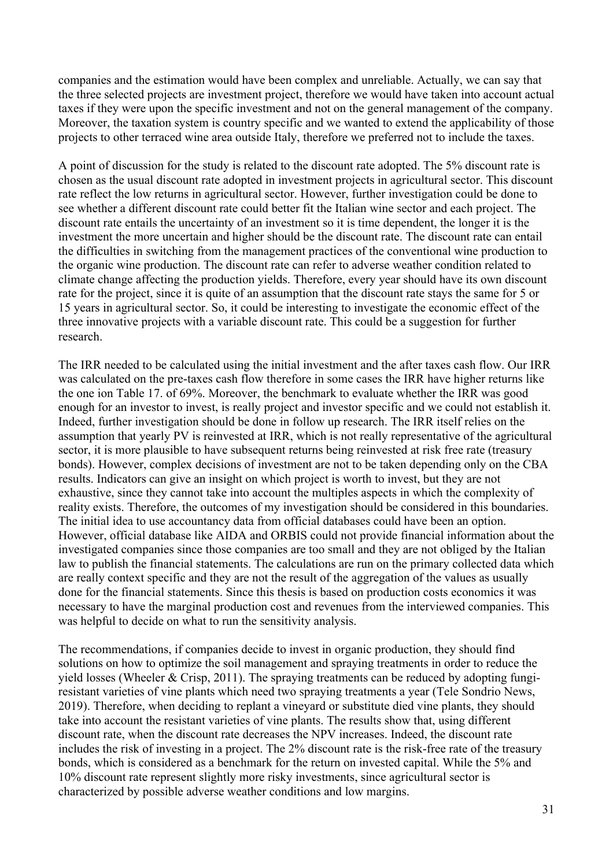companies and the estimation would have been complex and unreliable. Actually, we can say that the three selected projects are investment project, therefore we would have taken into account actual taxes if they were upon the specific investment and not on the general management of the company. Moreover, the taxation system is country specific and we wanted to extend the applicability of those projects to other terraced wine area outside Italy, therefore we preferred not to include the taxes.

A point of discussion for the study is related to the discount rate adopted. The 5% discount rate is chosen as the usual discount rate adopted in investment projects in agricultural sector. This discount rate reflect the low returns in agricultural sector. However, further investigation could be done to see whether a different discount rate could better fit the Italian wine sector and each project. The discount rate entails the uncertainty of an investment so it is time dependent, the longer it is the investment the more uncertain and higher should be the discount rate. The discount rate can entail the difficulties in switching from the management practices of the conventional wine production to the organic wine production. The discount rate can refer to adverse weather condition related to climate change affecting the production yields. Therefore, every year should have its own discount rate for the project, since it is quite of an assumption that the discount rate stays the same for 5 or 15 years in agricultural sector. So, it could be interesting to investigate the economic effect of the three innovative projects with a variable discount rate. This could be a suggestion for further research.

The IRR needed to be calculated using the initial investment and the after taxes cash flow. Our IRR was calculated on the pre-taxes cash flow therefore in some cases the IRR have higher returns like the one ion Table 17. of 69%. Moreover, the benchmark to evaluate whether the IRR was good enough for an investor to invest, is really project and investor specific and we could not establish it. Indeed, further investigation should be done in follow up research. The IRR itself relies on the assumption that yearly PV is reinvested at IRR, which is not really representative of the agricultural sector, it is more plausible to have subsequent returns being reinvested at risk free rate (treasury bonds). However, complex decisions of investment are not to be taken depending only on the CBA results. Indicators can give an insight on which project is worth to invest, but they are not exhaustive, since they cannot take into account the multiples aspects in which the complexity of reality exists. Therefore, the outcomes of my investigation should be considered in this boundaries. The initial idea to use accountancy data from official databases could have been an option. However, official database like AIDA and ORBIS could not provide financial information about the investigated companies since those companies are too small and they are not obliged by the Italian law to publish the financial statements. The calculations are run on the primary collected data which are really context specific and they are not the result of the aggregation of the values as usually done for the financial statements. Since this thesis is based on production costs economics it was necessary to have the marginal production cost and revenues from the interviewed companies. This was helpful to decide on what to run the sensitivity analysis.

The recommendations, if companies decide to invest in organic production, they should find solutions on how to optimize the soil management and spraying treatments in order to reduce the yield losses (Wheeler & Crisp, 2011). The spraying treatments can be reduced by adopting fungiresistant varieties of vine plants which need two spraying treatments a year (Tele Sondrio News, 2019). Therefore, when deciding to replant a vineyard or substitute died vine plants, they should take into account the resistant varieties of vine plants. The results show that, using different discount rate, when the discount rate decreases the NPV increases. Indeed, the discount rate includes the risk of investing in a project. The 2% discount rate is the risk-free rate of the treasury bonds, which is considered as a benchmark for the return on invested capital. While the 5% and 10% discount rate represent slightly more risky investments, since agricultural sector is characterized by possible adverse weather conditions and low margins.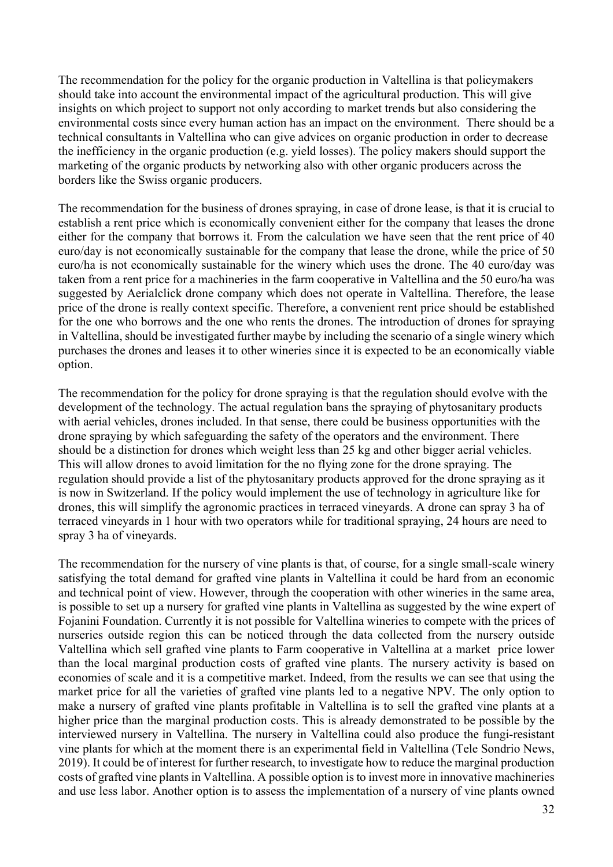The recommendation for the policy for the organic production in Valtellina is that policymakers should take into account the environmental impact of the agricultural production. This will give insights on which project to support not only according to market trends but also considering the environmental costs since every human action has an impact on the environment. There should be a technical consultants in Valtellina who can give advices on organic production in order to decrease the inefficiency in the organic production (e.g. yield losses). The policy makers should support the marketing of the organic products by networking also with other organic producers across the borders like the Swiss organic producers.

The recommendation for the business of drones spraying, in case of drone lease, is that it is crucial to establish a rent price which is economically convenient either for the company that leases the drone either for the company that borrows it. From the calculation we have seen that the rent price of 40 euro/day is not economically sustainable for the company that lease the drone, while the price of 50 euro/ha is not economically sustainable for the winery which uses the drone. The 40 euro/day was taken from a rent price for a machineries in the farm cooperative in Valtellina and the 50 euro/ha was suggested by Aerialclick drone company which does not operate in Valtellina. Therefore, the lease price of the drone is really context specific. Therefore, a convenient rent price should be established for the one who borrows and the one who rents the drones. The introduction of drones for spraying in Valtellina, should be investigated further maybe by including the scenario of a single winery which purchases the drones and leases it to other wineries since it is expected to be an economically viable option.

The recommendation for the policy for drone spraying is that the regulation should evolve with the development of the technology. The actual regulation bans the spraying of phytosanitary products with aerial vehicles, drones included. In that sense, there could be business opportunities with the drone spraying by which safeguarding the safety of the operators and the environment. There should be a distinction for drones which weight less than 25 kg and other bigger aerial vehicles. This will allow drones to avoid limitation for the no flying zone for the drone spraying. The regulation should provide a list of the phytosanitary products approved for the drone spraying as it is now in Switzerland. If the policy would implement the use of technology in agriculture like for drones, this will simplify the agronomic practices in terraced vineyards. A drone can spray 3 ha of terraced vineyards in 1 hour with two operators while for traditional spraying, 24 hours are need to spray 3 ha of vineyards.

The recommendation for the nursery of vine plants is that, of course, for a single small-scale winery satisfying the total demand for grafted vine plants in Valtellina it could be hard from an economic and technical point of view. However, through the cooperation with other wineries in the same area, is possible to set up a nursery for grafted vine plants in Valtellina as suggested by the wine expert of Fojanini Foundation. Currently it is not possible for Valtellina wineries to compete with the prices of nurseries outside region this can be noticed through the data collected from the nursery outside Valtellina which sell grafted vine plants to Farm cooperative in Valtellina at a market price lower than the local marginal production costs of grafted vine plants. The nursery activity is based on economies of scale and it is a competitive market. Indeed, from the results we can see that using the market price for all the varieties of grafted vine plants led to a negative NPV. The only option to make a nursery of grafted vine plants profitable in Valtellina is to sell the grafted vine plants at a higher price than the marginal production costs. This is already demonstrated to be possible by the interviewed nursery in Valtellina. The nursery in Valtellina could also produce the fungi-resistant vine plants for which at the moment there is an experimental field in Valtellina (Tele Sondrio News, 2019). It could be of interest for further research, to investigate how to reduce the marginal production costs of grafted vine plants in Valtellina. A possible option is to invest more in innovative machineries and use less labor. Another option is to assess the implementation of a nursery of vine plants owned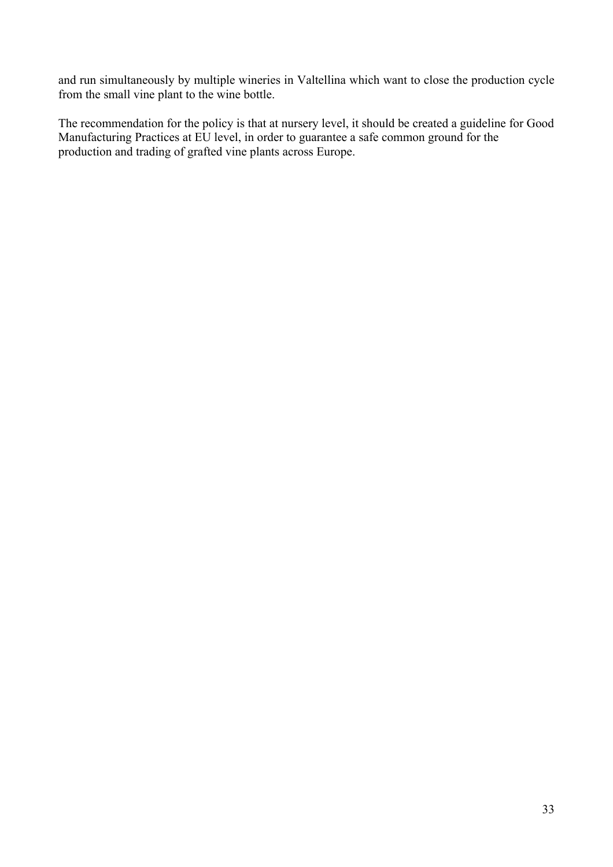and run simultaneously by multiple wineries in Valtellina which want to close the production cycle from the small vine plant to the wine bottle.

The recommendation for the policy is that at nursery level, it should be created a guideline for Good Manufacturing Practices at EU level, in order to guarantee a safe common ground for the production and trading of grafted vine plants across Europe.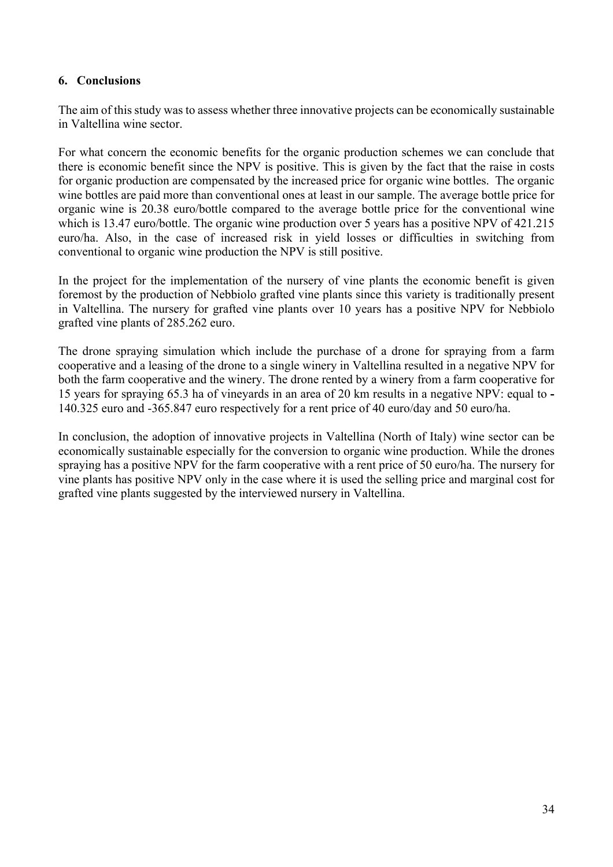### **6. Conclusions**

The aim of this study was to assess whether three innovative projects can be economically sustainable in Valtellina wine sector.

For what concern the economic benefits for the organic production schemes we can conclude that there is economic benefit since the NPV is positive. This is given by the fact that the raise in costs for organic production are compensated by the increased price for organic wine bottles. The organic wine bottles are paid more than conventional ones at least in our sample. The average bottle price for organic wine is 20.38 euro/bottle compared to the average bottle price for the conventional wine which is 13.47 euro/bottle. The organic wine production over 5 years has a positive NPV of 421.215 euro/ha. Also, in the case of increased risk in yield losses or difficulties in switching from conventional to organic wine production the NPV is still positive.

In the project for the implementation of the nursery of vine plants the economic benefit is given foremost by the production of Nebbiolo grafted vine plants since this variety is traditionally present in Valtellina. The nursery for grafted vine plants over 10 years has a positive NPV for Nebbiolo grafted vine plants of 285.262 euro.

The drone spraying simulation which include the purchase of a drone for spraying from a farm cooperative and a leasing of the drone to a single winery in Valtellina resulted in a negative NPV for both the farm cooperative and the winery. The drone rented by a winery from a farm cooperative for 15 years for spraying 65.3 ha of vineyards in an area of 20 km results in a negative NPV: equal to **-** 140.325 euro and -365.847 euro respectively for a rent price of 40 euro/day and 50 euro/ha.

In conclusion, the adoption of innovative projects in Valtellina (North of Italy) wine sector can be economically sustainable especially for the conversion to organic wine production. While the drones spraying has a positive NPV for the farm cooperative with a rent price of 50 euro/ha. The nursery for vine plants has positive NPV only in the case where it is used the selling price and marginal cost for grafted vine plants suggested by the interviewed nursery in Valtellina.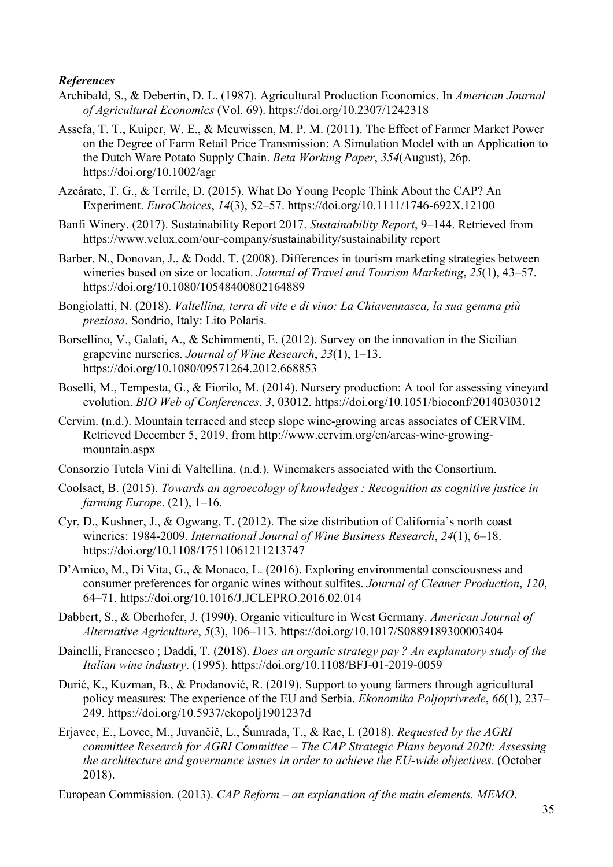#### *References*

- Archibald, S., & Debertin, D. L. (1987). Agricultural Production Economics. In *American Journal of Agricultural Economics* (Vol. 69). https://doi.org/10.2307/1242318
- Assefa, T. T., Kuiper, W. E., & Meuwissen, M. P. M. (2011). The Effect of Farmer Market Power on the Degree of Farm Retail Price Transmission: A Simulation Model with an Application to the Dutch Ware Potato Supply Chain. *Beta Working Paper*, *354*(August), 26p. https://doi.org/10.1002/agr
- Azcárate, T. G., & Terrile, D. (2015). What Do Young People Think About the CAP? An Experiment. *EuroChoices*, *14*(3), 52–57. https://doi.org/10.1111/1746-692X.12100
- Banfi Winery. (2017). Sustainability Report 2017. *Sustainability Report*, 9–144. Retrieved from https://www.velux.com/our-company/sustainability/sustainability report
- Barber, N., Donovan, J., & Dodd, T. (2008). Differences in tourism marketing strategies between wineries based on size or location. *Journal of Travel and Tourism Marketing*, *25*(1), 43–57. https://doi.org/10.1080/10548400802164889
- Bongiolatti, N. (2018). *Valtellina, terra di vite e di vino: La Chiavennasca, la sua gemma più preziosa*. Sondrio, Italy: Lito Polaris.
- Borsellino, V., Galati, A., & Schimmenti, E. (2012). Survey on the innovation in the Sicilian grapevine nurseries. *Journal of Wine Research*, *23*(1), 1–13. https://doi.org/10.1080/09571264.2012.668853
- Boselli, M., Tempesta, G., & Fiorilo, M. (2014). Nursery production: A tool for assessing vineyard evolution. *BIO Web of Conferences*, *3*, 03012. https://doi.org/10.1051/bioconf/20140303012
- Cervim. (n.d.). Mountain terraced and steep slope wine-growing areas associates of CERVIM. Retrieved December 5, 2019, from http://www.cervim.org/en/areas-wine-growingmountain.aspx
- Consorzio Tutela Vini di Valtellina. (n.d.). Winemakers associated with the Consortium.
- Coolsaet, B. (2015). *Towards an agroecology of knowledges : Recognition as cognitive justice in farming Europe*. (21), 1–16.
- Cyr, D., Kushner, J., & Ogwang, T. (2012). The size distribution of California's north coast wineries: 1984-2009. *International Journal of Wine Business Research*, *24*(1), 6–18. https://doi.org/10.1108/17511061211213747
- D'Amico, M., Di Vita, G., & Monaco, L. (2016). Exploring environmental consciousness and consumer preferences for organic wines without sulfites. *Journal of Cleaner Production*, *120*, 64–71. https://doi.org/10.1016/J.JCLEPRO.2016.02.014
- Dabbert, S., & Oberhofer, J. (1990). Organic viticulture in West Germany. *American Journal of Alternative Agriculture*, *5*(3), 106–113. https://doi.org/10.1017/S0889189300003404
- Dainelli, Francesco ; Daddi, T. (2018). *Does an organic strategy pay ? An explanatory study of the Italian wine industry*. (1995). https://doi.org/10.1108/BFJ-01-2019-0059
- Đurić, K., Kuzman, B., & Prodanović, R. (2019). Support to young farmers through agricultural policy measures: The experience of the EU and Serbia. *Ekonomika Poljoprivrede*, *66*(1), 237– 249. https://doi.org/10.5937/ekopolj1901237d
- Erjavec, E., Lovec, M., Juvančič, L., Šumrada, T., & Rac, I. (2018). *Requested by the AGRI committee Research for AGRI Committee – The CAP Strategic Plans beyond 2020: Assessing the architecture and governance issues in order to achieve the EU-wide objectives*. (October 2018).

European Commission. (2013). *CAP Reform – an explanation of the main elements. MEMO*.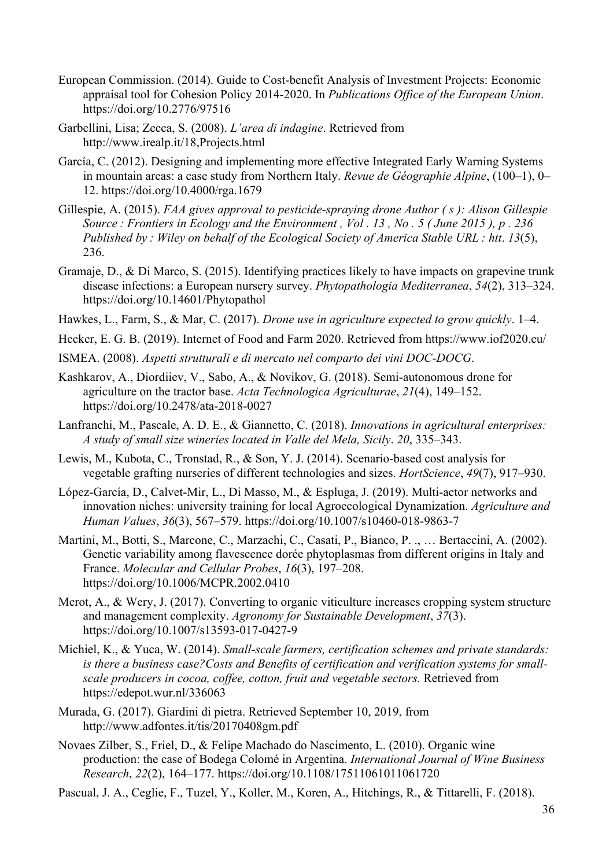- European Commission. (2014). Guide to Cost-benefit Analysis of Investment Projects: Economic appraisal tool for Cohesion Policy 2014-2020. In *Publications Office of the European Union*. https://doi.org/10.2776/97516
- Garbellini, Lisa; Zecca, S. (2008). *L'area di indagine*. Retrieved from http://www.irealp.it/18,Projects.html
- García, C. (2012). Designing and implementing more effective Integrated Early Warning Systems in mountain areas: a case study from Northern Italy. *Revue de Géographie Alpine*, (100–1), 0– 12. https://doi.org/10.4000/rga.1679
- Gillespie, A. (2015). *FAA gives approval to pesticide-spraying drone Author ( s ): Alison Gillespie Source : Frontiers in Ecology and the Environment , Vol . 13 , No . 5 ( June 2015 ), p . 236 Published by : Wiley on behalf of the Ecological Society of America Stable URL : htt*. *13*(5), 236.
- Gramaje, D., & Di Marco, S. (2015). Identifying practices likely to have impacts on grapevine trunk disease infections: a European nursery survey. *Phytopathologia Mediterranea*, *54*(2), 313–324. https://doi.org/10.14601/Phytopathol
- Hawkes, L., Farm, S., & Mar, C. (2017). *Drone use in agriculture expected to grow quickly*. 1–4.
- Hecker, E. G. B. (2019). Internet of Food and Farm 2020. Retrieved from https://www.iof2020.eu/
- ISMEA. (2008). *Aspetti strutturali e di mercato nel comparto dei vini DOC-DOCG*.
- Kashkarov, A., Diordiiev, V., Sabo, A., & Novikov, G. (2018). Semi-autonomous drone for agriculture on the tractor base. *Acta Technologica Agriculturae*, *21*(4), 149–152. https://doi.org/10.2478/ata-2018-0027
- Lanfranchi, M., Pascale, A. D. E., & Giannetto, C. (2018). *Innovations in agricultural enterprises: A study of small size wineries located in Valle del Mela, Sicily*. *20*, 335–343.
- Lewis, M., Kubota, C., Tronstad, R., & Son, Y. J. (2014). Scenario-based cost analysis for vegetable grafting nurseries of different technologies and sizes. *HortScience*, *49*(7), 917–930.
- López-García, D., Calvet-Mir, L., Di Masso, M., & Espluga, J. (2019). Multi-actor networks and innovation niches: university training for local Agroecological Dynamization. *Agriculture and Human Values*, *36*(3), 567–579. https://doi.org/10.1007/s10460-018-9863-7
- Martini, M., Botti, S., Marcone, C., Marzachì, C., Casati, P., Bianco, P. ., ... Bertaccini, A. (2002). Genetic variability among flavescence dorée phytoplasmas from different origins in Italy and France. *Molecular and Cellular Probes*, *16*(3), 197–208. https://doi.org/10.1006/MCPR.2002.0410
- Merot, A., & Wery, J. (2017). Converting to organic viticulture increases cropping system structure and management complexity. *Agronomy for Sustainable Development*, *37*(3). https://doi.org/10.1007/s13593-017-0427-9
- Michiel, K., & Yuca, W. (2014). *Small-scale farmers, certification schemes and private standards: is there a business case?Costs and Benefits of certification and verification systems for smallscale producers in cocoa, coffee, cotton, fruit and vegetable sectors.* Retrieved from https://edepot.wur.nl/336063
- Murada, G. (2017). Giardini di pietra. Retrieved September 10, 2019, from http://www.adfontes.it/tis/20170408gm.pdf
- Novaes Zilber, S., Friel, D., & Felipe Machado do Nascimento, L. (2010). Organic wine production: the case of Bodega Colomé in Argentina. *International Journal of Wine Business Research*, *22*(2), 164–177. https://doi.org/10.1108/17511061011061720
- Pascual, J. A., Ceglie, F., Tuzel, Y., Koller, M., Koren, A., Hitchings, R., & Tittarelli, F. (2018).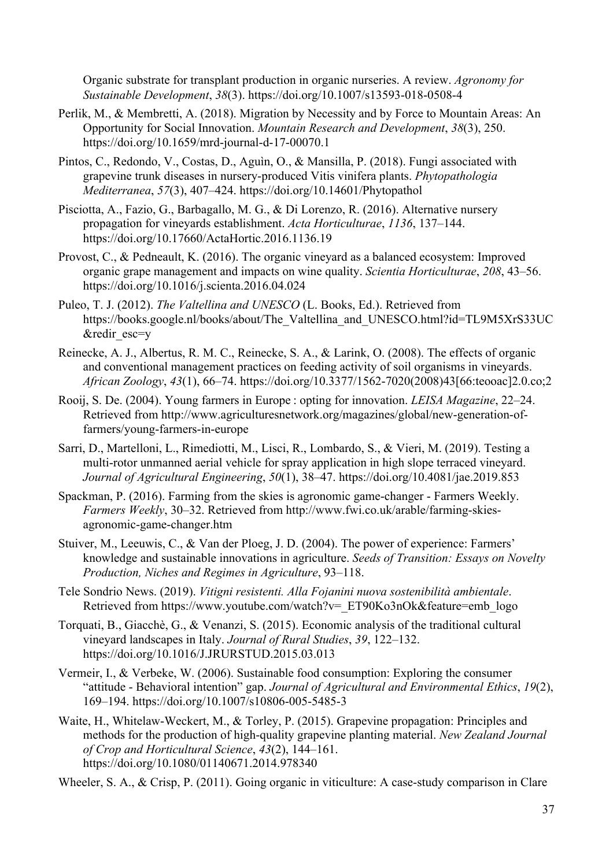Organic substrate for transplant production in organic nurseries. A review. *Agronomy for Sustainable Development*, *38*(3). https://doi.org/10.1007/s13593-018-0508-4

- Perlik, M., & Membretti, A. (2018). Migration by Necessity and by Force to Mountain Areas: An Opportunity for Social Innovation. *Mountain Research and Development*, *38*(3), 250. https://doi.org/10.1659/mrd-journal-d-17-00070.1
- Pintos, C., Redondo, V., Costas, D., Aguìn, O., & Mansilla, P. (2018). Fungi associated with grapevine trunk diseases in nursery-produced Vitis vinifera plants. *Phytopathologia Mediterranea*, *57*(3), 407–424. https://doi.org/10.14601/Phytopathol
- Pisciotta, A., Fazio, G., Barbagallo, M. G., & Di Lorenzo, R. (2016). Alternative nursery propagation for vineyards establishment. *Acta Horticulturae*, *1136*, 137–144. https://doi.org/10.17660/ActaHortic.2016.1136.19
- Provost, C., & Pedneault, K. (2016). The organic vineyard as a balanced ecosystem: Improved organic grape management and impacts on wine quality. *Scientia Horticulturae*, *208*, 43–56. https://doi.org/10.1016/j.scienta.2016.04.024
- Puleo, T. J. (2012). *The Valtellina and UNESCO* (L. Books, Ed.). Retrieved from https://books.google.nl/books/about/The Valtellina and UNESCO.html?id=TL9M5XrS33UC &redir\_esc=y
- Reinecke, A. J., Albertus, R. M. C., Reinecke, S. A., & Larink, O. (2008). The effects of organic and conventional management practices on feeding activity of soil organisms in vineyards. *African Zoology*, *43*(1), 66–74. https://doi.org/10.3377/1562-7020(2008)43[66:teooac]2.0.co;2
- Rooij, S. De. (2004). Young farmers in Europe : opting for innovation. *LEISA Magazine*, 22–24. Retrieved from http://www.agriculturesnetwork.org/magazines/global/new-generation-offarmers/young-farmers-in-europe
- Sarri, D., Martelloni, L., Rimediotti, M., Lisci, R., Lombardo, S., & Vieri, M. (2019). Testing a multi-rotor unmanned aerial vehicle for spray application in high slope terraced vineyard. *Journal of Agricultural Engineering*, *50*(1), 38–47. https://doi.org/10.4081/jae.2019.853
- Spackman, P. (2016). Farming from the skies is agronomic game-changer Farmers Weekly. *Farmers Weekly*, 30–32. Retrieved from http://www.fwi.co.uk/arable/farming-skiesagronomic-game-changer.htm
- Stuiver, M., Leeuwis, C., & Van der Ploeg, J. D. (2004). The power of experience: Farmers' knowledge and sustainable innovations in agriculture. *Seeds of Transition: Essays on Novelty Production, Niches and Regimes in Agriculture*, 93–118.
- Tele Sondrio News. (2019). *Vitigni resistenti. Alla Fojanini nuova sostenibilità ambientale*. Retrieved from https://www.youtube.com/watch?v=\_ET90Ko3nOk&feature=emb\_logo
- Torquati, B., Giacchè, G., & Venanzi, S. (2015). Economic analysis of the traditional cultural vineyard landscapes in Italy. *Journal of Rural Studies*, *39*, 122–132. https://doi.org/10.1016/J.JRURSTUD.2015.03.013
- Vermeir, I., & Verbeke, W. (2006). Sustainable food consumption: Exploring the consumer "attitude - Behavioral intention" gap. *Journal of Agricultural and Environmental Ethics*, *19*(2), 169–194. https://doi.org/10.1007/s10806-005-5485-3
- Waite, H., Whitelaw-Weckert, M., & Torley, P. (2015). Grapevine propagation: Principles and methods for the production of high-quality grapevine planting material. *New Zealand Journal of Crop and Horticultural Science*, *43*(2), 144–161. https://doi.org/10.1080/01140671.2014.978340

Wheeler, S. A., & Crisp, P. (2011). Going organic in viticulture: A case-study comparison in Clare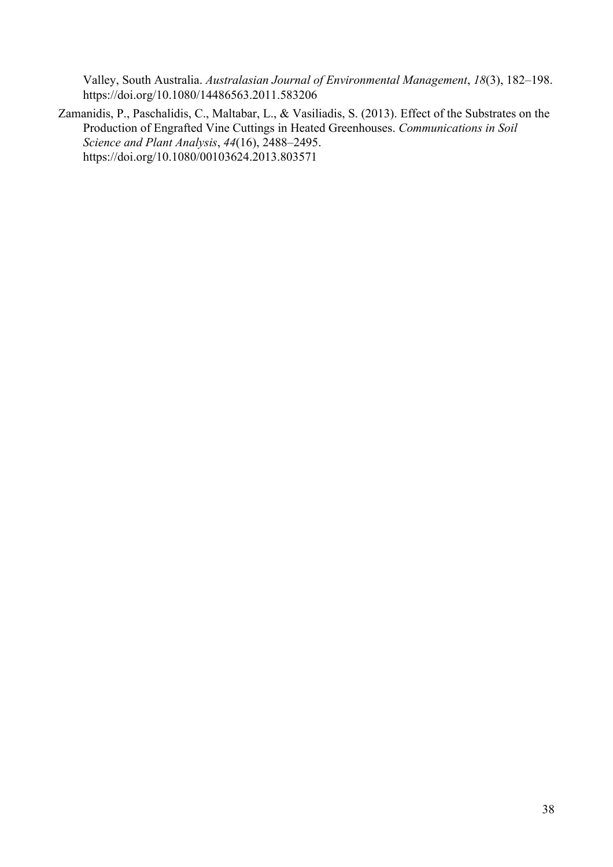Valley, South Australia. *Australasian Journal of Environmental Management*, *18*(3), 182–198. https://doi.org/10.1080/14486563.2011.583206

Zamanidis, P., Paschalidis, C., Maltabar, L., & Vasiliadis, S. (2013). Effect of the Substrates on the Production of Engrafted Vine Cuttings in Heated Greenhouses. *Communications in Soil Science and Plant Analysis*, *44*(16), 2488–2495. https://doi.org/10.1080/00103624.2013.803571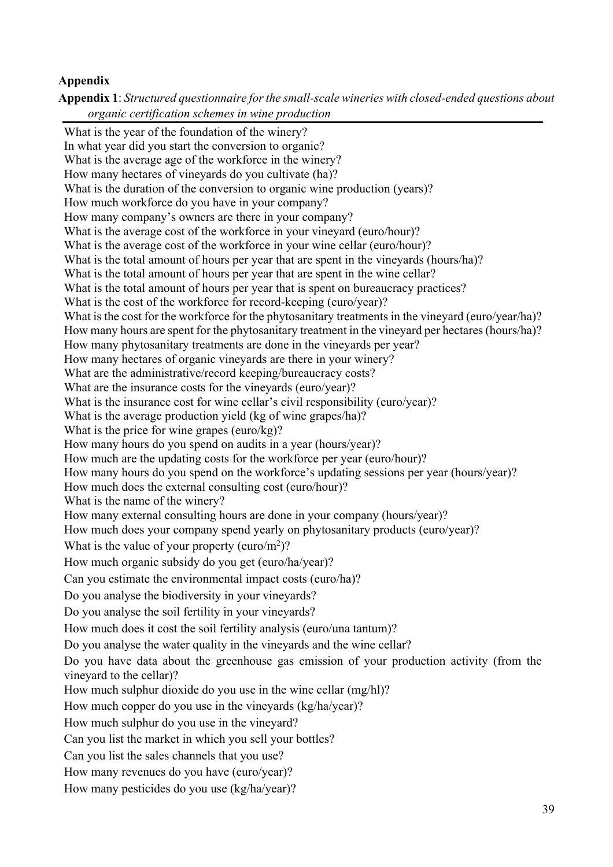## **Appendix**

**Appendix 1**: *Structured questionnaire for the small-scale wineries with closed-ended questions about organic certification schemes in wine production*

What is the year of the foundation of the winery? In what year did you start the conversion to organic? What is the average age of the workforce in the winery? How many hectares of vineyards do you cultivate (ha)? What is the duration of the conversion to organic wine production (years)? How much workforce do you have in your company? How many company's owners are there in your company? What is the average cost of the workforce in your vineyard (euro/hour)? What is the average cost of the workforce in your wine cellar (euro/hour)? What is the total amount of hours per year that are spent in the vineyards (hours/ha)? What is the total amount of hours per year that are spent in the wine cellar? What is the total amount of hours per year that is spent on bureaucracy practices? What is the cost of the workforce for record-keeping (euro/year)? What is the cost for the workforce for the phytosanitary treatments in the vineyard (euro/year/ha)? How many hours are spent for the phytosanitary treatment in the vineyard per hectares (hours/ha)? How many phytosanitary treatments are done in the vineyards per year? How many hectares of organic vineyards are there in your winery? What are the administrative/record keeping/bureaucracy costs? What are the insurance costs for the vineyards (euro/year)? What is the insurance cost for wine cellar's civil responsibility (euro/year)? What is the average production yield (kg of wine grapes/ha)? What is the price for wine grapes (euro/kg)? How many hours do you spend on audits in a year (hours/year)? How much are the updating costs for the workforce per year (euro/hour)? How many hours do you spend on the workforce's updating sessions per year (hours/year)? How much does the external consulting cost (euro/hour)? What is the name of the winery? How many external consulting hours are done in your company (hours/year)? How much does your company spend yearly on phytosanitary products (euro/year)? What is the value of your property (euro/ $m^2$ )? How much organic subsidy do you get (euro/ha/year)? Can you estimate the environmental impact costs (euro/ha)? Do you analyse the biodiversity in your vineyards? Do you analyse the soil fertility in your vineyards? How much does it cost the soil fertility analysis (euro/una tantum)? Do you analyse the water quality in the vineyards and the wine cellar? Do you have data about the greenhouse gas emission of your production activity (from the vineyard to the cellar)? How much sulphur dioxide do you use in the wine cellar (mg/hl)? How much copper do you use in the vineyards (kg/ha/year)? How much sulphur do you use in the vineyard? Can you list the market in which you sell your bottles? Can you list the sales channels that you use? How many revenues do you have (euro/year)? How many pesticides do you use (kg/ha/year)?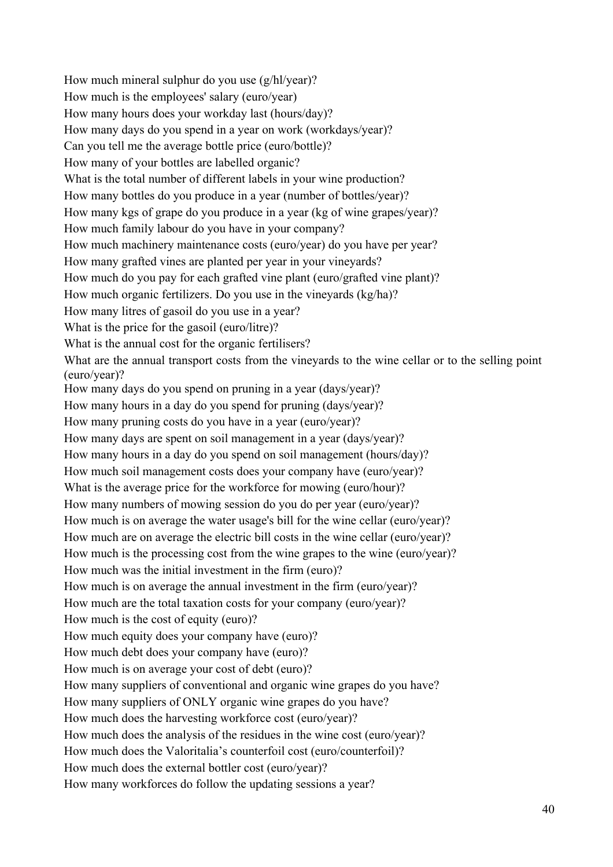How much mineral sulphur do you use (g/hl/year)? How much is the employees' salary (euro/year) How many hours does your workday last (hours/day)? How many days do you spend in a year on work (workdays/year)? Can you tell me the average bottle price (euro/bottle)? How many of your bottles are labelled organic? What is the total number of different labels in your wine production? How many bottles do you produce in a year (number of bottles/year)? How many kgs of grape do you produce in a year (kg of wine grapes/year)? How much family labour do you have in your company? How much machinery maintenance costs (euro/year) do you have per year? How many grafted vines are planted per year in your vineyards? How much do you pay for each grafted vine plant (euro/grafted vine plant)? How much organic fertilizers. Do you use in the vineyards (kg/ha)? How many litres of gasoil do you use in a year? What is the price for the gasoil (euro/litre)? What is the annual cost for the organic fertilisers? What are the annual transport costs from the vineyards to the wine cellar or to the selling point (euro/year)? How many days do you spend on pruning in a year (days/year)? How many hours in a day do you spend for pruning (days/year)? How many pruning costs do you have in a year (euro/year)? How many days are spent on soil management in a year (days/year)? How many hours in a day do you spend on soil management (hours/day)? How much soil management costs does your company have (euro/year)? What is the average price for the workforce for mowing (euro/hour)? How many numbers of mowing session do you do per year (euro/year)? How much is on average the water usage's bill for the wine cellar (euro/year)? How much are on average the electric bill costs in the wine cellar (euro/year)? How much is the processing cost from the wine grapes to the wine (euro/year)? How much was the initial investment in the firm (euro)? How much is on average the annual investment in the firm (euro/year)? How much are the total taxation costs for your company (euro/year)? How much is the cost of equity (euro)? How much equity does your company have (euro)? How much debt does your company have (euro)? How much is on average your cost of debt (euro)? How many suppliers of conventional and organic wine grapes do you have? How many suppliers of ONLY organic wine grapes do you have? How much does the harvesting workforce cost (euro/year)? How much does the analysis of the residues in the wine cost (euro/year)? How much does the Valoritalia's counterfoil cost (euro/counterfoil)? How much does the external bottler cost (euro/year)? How many workforces do follow the updating sessions a year?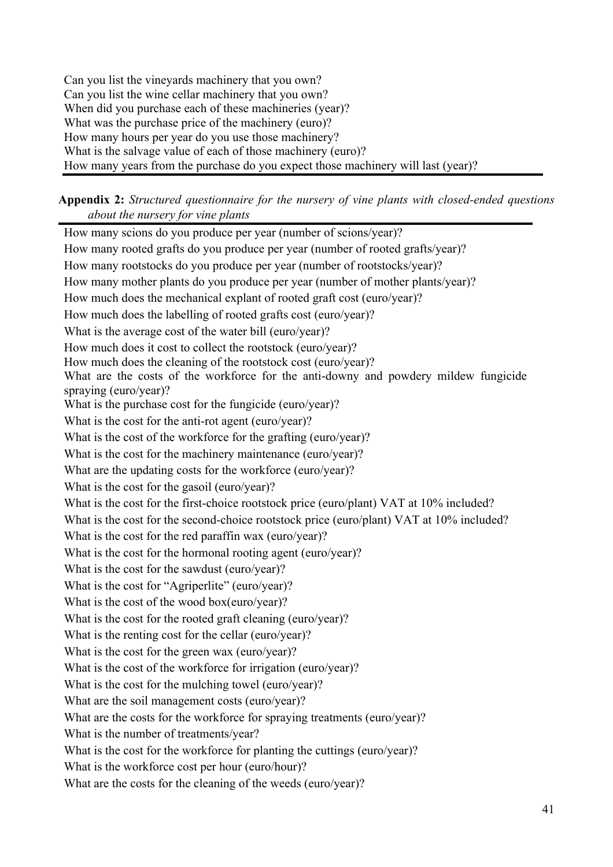Can you list the vineyards machinery that you own? Can you list the wine cellar machinery that you own? When did you purchase each of these machineries (year)? What was the purchase price of the machinery (euro)? How many hours per year do you use those machinery? What is the salvage value of each of those machinery (euro)? How many years from the purchase do you expect those machinery will last (year)?

**Appendix 2:** *Structured questionnaire for the nursery of vine plants with closed-ended questions about the nursery for vine plants*

How many scions do you produce per year (number of scions/year)? How many rooted grafts do you produce per year (number of rooted grafts/year)? How many rootstocks do you produce per year (number of rootstocks/year)? How many mother plants do you produce per year (number of mother plants/year)? How much does the mechanical explant of rooted graft cost (euro/year)? How much does the labelling of rooted grafts cost (euro/year)? What is the average cost of the water bill (euro/year)? How much does it cost to collect the rootstock (euro/year)? How much does the cleaning of the rootstock cost (euro/year)? What are the costs of the workforce for the anti-downy and powdery mildew fungicide spraying (euro/year)? What is the purchase cost for the fungicide (euro/year)? What is the cost for the anti-rot agent (euro/year)? What is the cost of the workforce for the grafting (euro/year)? What is the cost for the machinery maintenance (euro/year)? What are the updating costs for the workforce (euro/year)? What is the cost for the gasoil (euro/year)? What is the cost for the first-choice rootstock price (euro/plant) VAT at 10% included? What is the cost for the second-choice rootstock price (euro/plant) VAT at 10% included? What is the cost for the red paraffin wax (euro/year)? What is the cost for the hormonal rooting agent (euro/year)? What is the cost for the sawdust (euro/year)? What is the cost for "Agriperlite" (euro/year)? What is the cost of the wood box(euro/year)? What is the cost for the rooted graft cleaning (euro/year)? What is the renting cost for the cellar (euro/year)? What is the cost for the green wax (euro/year)? What is the cost of the workforce for irrigation (euro/year)? What is the cost for the mulching towel (euro/year)? What are the soil management costs (euro/year)? What are the costs for the workforce for spraying treatments (euro/year)? What is the number of treatments/year? What is the cost for the workforce for planting the cuttings (euro/year)? What is the workforce cost per hour (euro/hour)? What are the costs for the cleaning of the weeds (euro/year)?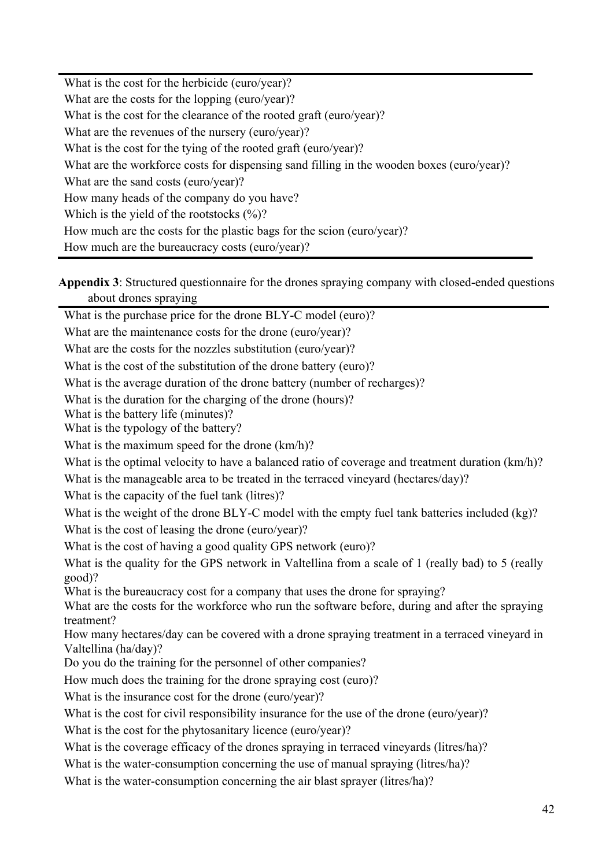What is the cost for the herbicide (euro/year)? What are the costs for the lopping (euro/year)? What is the cost for the clearance of the rooted graft (euro/year)? What are the revenues of the nursery (euro/year)? What is the cost for the tying of the rooted graft (euro/year)? What are the workforce costs for dispensing sand filling in the wooden boxes (euro/year)? What are the sand costs (euro/year)? How many heads of the company do you have? Which is the yield of the rootstocks  $(\%)$ ? How much are the costs for the plastic bags for the scion (euro/year)? How much are the bureaucracy costs (euro/year)?

**Appendix 3**: Structured questionnaire for the drones spraying company with closed-ended questions about drones spraying

What is the purchase price for the drone BLY-C model (euro)?

What are the maintenance costs for the drone (euro/year)?

What are the costs for the nozzles substitution (euro/year)?

What is the cost of the substitution of the drone battery (euro)?

What is the average duration of the drone battery (number of recharges)?

What is the duration for the charging of the drone (hours)?

What is the battery life (minutes)?

What is the typology of the battery?

What is the maximum speed for the drone (km/h)?

What is the optimal velocity to have a balanced ratio of coverage and treatment duration (km/h)?

What is the manageable area to be treated in the terraced vineyard (hectares/day)?

What is the capacity of the fuel tank (litres)?

What is the weight of the drone BLY-C model with the empty fuel tank batteries included (kg)?

What is the cost of leasing the drone (euro/year)?

What is the cost of having a good quality GPS network (euro)?

What is the quality for the GPS network in Valtellina from a scale of 1 (really bad) to 5 (really good)?

What is the bureaucracy cost for a company that uses the drone for spraying?

What are the costs for the workforce who run the software before, during and after the spraying treatment?

How many hectares/day can be covered with a drone spraying treatment in a terraced vineyard in Valtellina (ha/day)?

Do you do the training for the personnel of other companies?

How much does the training for the drone spraying cost (euro)?

What is the insurance cost for the drone (euro/year)?

What is the cost for civil responsibility insurance for the use of the drone (euro/year)?

What is the cost for the phytosanitary licence (euro/year)?

What is the coverage efficacy of the drones spraying in terraced vineyards (litres/ha)?

What is the water-consumption concerning the use of manual spraying (litres/ha)?

What is the water-consumption concerning the air blast sprayer (litres/ha)?